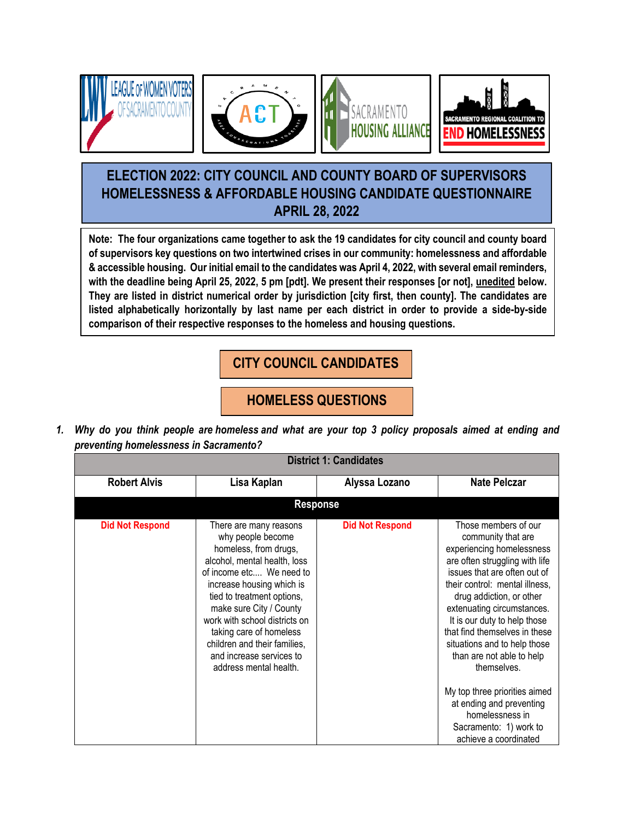







# **ELECTION 2022: CITY COUNCIL AND COUNTY BOARD OF SUPERVISORS HOMELESSNESS & AFFORDABLE HOUSING CANDIDATE QUESTIONNAIRE APRIL 28, 2022**

**Note: The four organizations came together to ask the 19 candidates for city council and county board of supervisors key questions on two intertwined crises in our community: homelessness and affordable & accessible housing. Our initial email to the candidates was April 4, 2022, with several email reminders, with the deadline being April 25, 2022, 5 pm [pdt]. We present their responses [or not], unedited below. They are listed in district numerical order by jurisdiction [city first, then county]. The candidates are listed alphabetically horizontally by last name per each district in order to provide a side-by-side comparison of their respective responses to the homeless and housing questions.**

**CITY COUNCIL CANDIDATES**

**HOMELESS QUESTIONS**

1. Why do you think people are homeless and what are your top 3 policy proposals aimed at ending and *preventing homelessness in Sacramento?*

| <b>District 1: Candidates</b> |                                                                                                                                                                                                                                                                                                                                                                          |                        |                                                                                                                                                                                                                                                                                                                                                                                                                     |  |
|-------------------------------|--------------------------------------------------------------------------------------------------------------------------------------------------------------------------------------------------------------------------------------------------------------------------------------------------------------------------------------------------------------------------|------------------------|---------------------------------------------------------------------------------------------------------------------------------------------------------------------------------------------------------------------------------------------------------------------------------------------------------------------------------------------------------------------------------------------------------------------|--|
| <b>Robert Alvis</b>           | Lisa Kaplan                                                                                                                                                                                                                                                                                                                                                              | Alyssa Lozano          | <b>Nate Pelczar</b>                                                                                                                                                                                                                                                                                                                                                                                                 |  |
|                               | <b>Response</b>                                                                                                                                                                                                                                                                                                                                                          |                        |                                                                                                                                                                                                                                                                                                                                                                                                                     |  |
| <b>Did Not Respond</b>        | There are many reasons<br>why people become<br>homeless, from drugs,<br>alcohol, mental health, loss<br>of income etc We need to<br>increase housing which is<br>tied to treatment options,<br>make sure City / County<br>work with school districts on<br>taking care of homeless<br>children and their families,<br>and increase services to<br>address mental health. | <b>Did Not Respond</b> | Those members of our<br>community that are<br>experiencing homelessness<br>are often struggling with life<br>issues that are often out of<br>their control: mental illness,<br>drug addiction, or other<br>extenuating circumstances.<br>It is our duty to help those<br>that find themselves in these<br>situations and to help those<br>than are not able to help<br>themselves.<br>My top three priorities aimed |  |
|                               |                                                                                                                                                                                                                                                                                                                                                                          |                        | at ending and preventing<br>homelessness in<br>Sacramento: 1) work to<br>achieve a coordinated                                                                                                                                                                                                                                                                                                                      |  |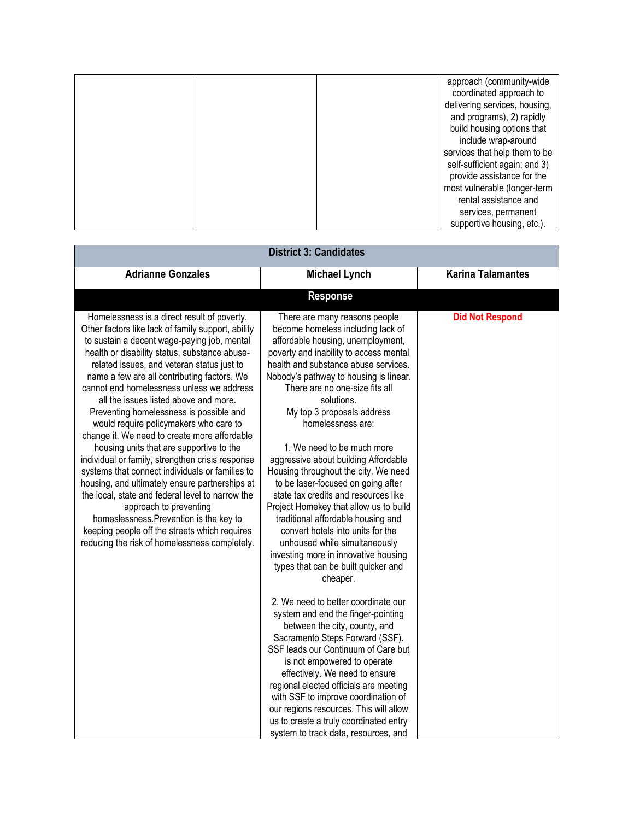|  | approach (community-wide      |
|--|-------------------------------|
|  | coordinated approach to       |
|  | delivering services, housing, |
|  | and programs), 2) rapidly     |
|  | build housing options that    |
|  | include wrap-around           |
|  | services that help them to be |
|  | self-sufficient again; and 3) |
|  | provide assistance for the    |
|  | most vulnerable (longer-term  |
|  | rental assistance and         |
|  | services, permanent           |
|  | supportive housing, etc.).    |

| <b>District 3: Candidates</b>                                                                                                                                                                                                                                                                                                                                                                                                                                                                                                                                                                                                                                                                                                                                                                                                                                                                                                                             |                                                                                                                                                                                                                                                                                                                                                                                                                                                                                                                                                                                                                                                                                                                                                                                                                                                                                                                                                                                                                                                                                                                                                                                                                                                           |                          |  |  |
|-----------------------------------------------------------------------------------------------------------------------------------------------------------------------------------------------------------------------------------------------------------------------------------------------------------------------------------------------------------------------------------------------------------------------------------------------------------------------------------------------------------------------------------------------------------------------------------------------------------------------------------------------------------------------------------------------------------------------------------------------------------------------------------------------------------------------------------------------------------------------------------------------------------------------------------------------------------|-----------------------------------------------------------------------------------------------------------------------------------------------------------------------------------------------------------------------------------------------------------------------------------------------------------------------------------------------------------------------------------------------------------------------------------------------------------------------------------------------------------------------------------------------------------------------------------------------------------------------------------------------------------------------------------------------------------------------------------------------------------------------------------------------------------------------------------------------------------------------------------------------------------------------------------------------------------------------------------------------------------------------------------------------------------------------------------------------------------------------------------------------------------------------------------------------------------------------------------------------------------|--------------------------|--|--|
| <b>Adrianne Gonzales</b>                                                                                                                                                                                                                                                                                                                                                                                                                                                                                                                                                                                                                                                                                                                                                                                                                                                                                                                                  | <b>Michael Lynch</b>                                                                                                                                                                                                                                                                                                                                                                                                                                                                                                                                                                                                                                                                                                                                                                                                                                                                                                                                                                                                                                                                                                                                                                                                                                      | <b>Karina Talamantes</b> |  |  |
|                                                                                                                                                                                                                                                                                                                                                                                                                                                                                                                                                                                                                                                                                                                                                                                                                                                                                                                                                           | <b>Response</b>                                                                                                                                                                                                                                                                                                                                                                                                                                                                                                                                                                                                                                                                                                                                                                                                                                                                                                                                                                                                                                                                                                                                                                                                                                           |                          |  |  |
| Homelessness is a direct result of poverty.<br>Other factors like lack of family support, ability<br>to sustain a decent wage-paying job, mental<br>health or disability status, substance abuse-<br>related issues, and veteran status just to<br>name a few are all contributing factors. We<br>cannot end homelessness unless we address<br>all the issues listed above and more.<br>Preventing homelessness is possible and<br>would require policymakers who care to<br>change it. We need to create more affordable<br>housing units that are supportive to the<br>individual or family, strengthen crisis response<br>systems that connect individuals or families to<br>housing, and ultimately ensure partnerships at<br>the local, state and federal level to narrow the<br>approach to preventing<br>homeslessness. Prevention is the key to<br>keeping people off the streets which requires<br>reducing the risk of homelessness completely. | There are many reasons people<br>become homeless including lack of<br>affordable housing, unemployment,<br>poverty and inability to access mental<br>health and substance abuse services.<br>Nobody's pathway to housing is linear.<br>There are no one-size fits all<br>solutions.<br>My top 3 proposals address<br>homelessness are:<br>1. We need to be much more<br>aggressive about building Affordable<br>Housing throughout the city. We need<br>to be laser-focused on going after<br>state tax credits and resources like<br>Project Homekey that allow us to build<br>traditional affordable housing and<br>convert hotels into units for the<br>unhoused while simultaneously<br>investing more in innovative housing<br>types that can be built quicker and<br>cheaper.<br>2. We need to better coordinate our<br>system and end the finger-pointing<br>between the city, county, and<br>Sacramento Steps Forward (SSF).<br>SSF leads our Continuum of Care but<br>is not empowered to operate<br>effectively. We need to ensure<br>regional elected officials are meeting<br>with SSF to improve coordination of<br>our regions resources. This will allow<br>us to create a truly coordinated entry<br>system to track data, resources, and | <b>Did Not Respond</b>   |  |  |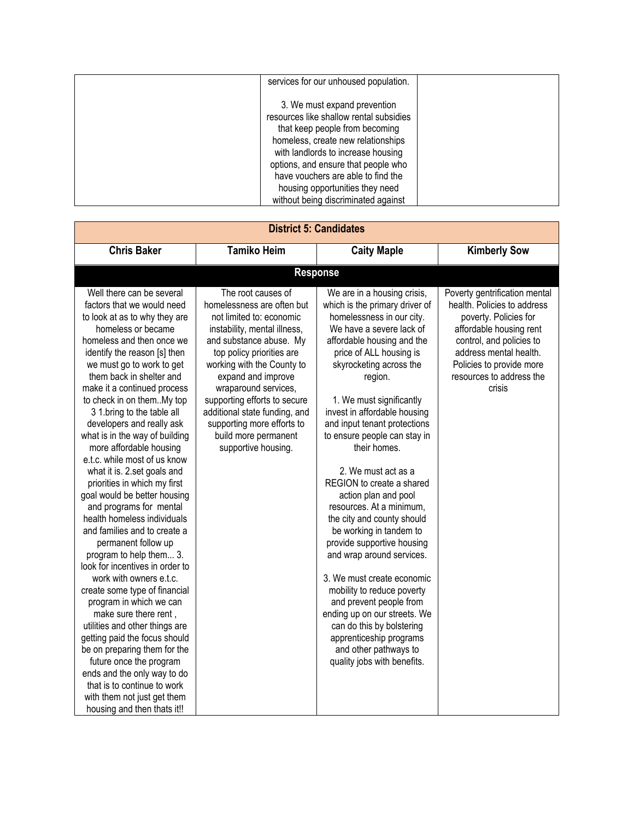| services for our unhoused population.   |  |
|-----------------------------------------|--|
|                                         |  |
| 3. We must expand prevention            |  |
| resources like shallow rental subsidies |  |
| that keep people from becoming          |  |
| homeless, create new relationships      |  |
| with landlords to increase housing      |  |
| options, and ensure that people who     |  |
| have vouchers are able to find the      |  |
| housing opportunities they need         |  |
| without being discriminated against     |  |

| <b>District 5: Candidates</b>                                                                                                                                                                                                                                                                                                                                                                                                                                                                                                                                                                                                                                                                                                                                                                                                                                                                                                                                                                                                                                                                                      |                                                                                                                                                                                                                                                                                                                                                                                                |                                                                                                                                                                                                                                                                                                                                                                                                                                                                                                                                                                                                                                                                                                                                                                                                                                      |                                                                                                                                                                                                                                          |  |
|--------------------------------------------------------------------------------------------------------------------------------------------------------------------------------------------------------------------------------------------------------------------------------------------------------------------------------------------------------------------------------------------------------------------------------------------------------------------------------------------------------------------------------------------------------------------------------------------------------------------------------------------------------------------------------------------------------------------------------------------------------------------------------------------------------------------------------------------------------------------------------------------------------------------------------------------------------------------------------------------------------------------------------------------------------------------------------------------------------------------|------------------------------------------------------------------------------------------------------------------------------------------------------------------------------------------------------------------------------------------------------------------------------------------------------------------------------------------------------------------------------------------------|--------------------------------------------------------------------------------------------------------------------------------------------------------------------------------------------------------------------------------------------------------------------------------------------------------------------------------------------------------------------------------------------------------------------------------------------------------------------------------------------------------------------------------------------------------------------------------------------------------------------------------------------------------------------------------------------------------------------------------------------------------------------------------------------------------------------------------------|------------------------------------------------------------------------------------------------------------------------------------------------------------------------------------------------------------------------------------------|--|
| <b>Chris Baker</b>                                                                                                                                                                                                                                                                                                                                                                                                                                                                                                                                                                                                                                                                                                                                                                                                                                                                                                                                                                                                                                                                                                 | <b>Tamiko Heim</b>                                                                                                                                                                                                                                                                                                                                                                             | <b>Caity Maple</b>                                                                                                                                                                                                                                                                                                                                                                                                                                                                                                                                                                                                                                                                                                                                                                                                                   | <b>Kimberly Sow</b>                                                                                                                                                                                                                      |  |
|                                                                                                                                                                                                                                                                                                                                                                                                                                                                                                                                                                                                                                                                                                                                                                                                                                                                                                                                                                                                                                                                                                                    |                                                                                                                                                                                                                                                                                                                                                                                                | <b>Response</b>                                                                                                                                                                                                                                                                                                                                                                                                                                                                                                                                                                                                                                                                                                                                                                                                                      |                                                                                                                                                                                                                                          |  |
| Well there can be several<br>factors that we would need<br>to look at as to why they are<br>homeless or became<br>homeless and then once we<br>identify the reason [s] then<br>we must go to work to get<br>them back in shelter and<br>make it a continued process<br>to check in on them. My top<br>3 1.bring to the table all<br>developers and really ask<br>what is in the way of building<br>more affordable housing<br>e.t.c. while most of us know<br>what it is. 2.set goals and<br>priorities in which my first<br>goal would be better housing<br>and programs for mental<br>health homeless individuals<br>and families and to create a<br>permanent follow up<br>program to help them 3.<br>look for incentives in order to<br>work with owners e.t.c.<br>create some type of financial<br>program in which we can<br>make sure there rent,<br>utilities and other things are<br>getting paid the focus should<br>be on preparing them for the<br>future once the program<br>ends and the only way to do<br>that is to continue to work<br>with them not just get them<br>housing and then thats it!! | The root causes of<br>homelessness are often but<br>not limited to: economic<br>instability, mental illness,<br>and substance abuse. My<br>top policy priorities are<br>working with the County to<br>expand and improve<br>wraparound services,<br>supporting efforts to secure<br>additional state funding, and<br>supporting more efforts to<br>build more permanent<br>supportive housing. | We are in a housing crisis,<br>which is the primary driver of<br>homelessness in our city.<br>We have a severe lack of<br>affordable housing and the<br>price of ALL housing is<br>skyrocketing across the<br>region.<br>1. We must significantly<br>invest in affordable housing<br>and input tenant protections<br>to ensure people can stay in<br>their homes.<br>2. We must act as a<br>REGION to create a shared<br>action plan and pool<br>resources. At a minimum,<br>the city and county should<br>be working in tandem to<br>provide supportive housing<br>and wrap around services.<br>3. We must create economic<br>mobility to reduce poverty<br>and prevent people from<br>ending up on our streets. We<br>can do this by bolstering<br>apprenticeship programs<br>and other pathways to<br>quality jobs with benefits. | Poverty gentrification mental<br>health. Policies to address<br>poverty. Policies for<br>affordable housing rent<br>control, and policies to<br>address mental health.<br>Policies to provide more<br>resources to address the<br>crisis |  |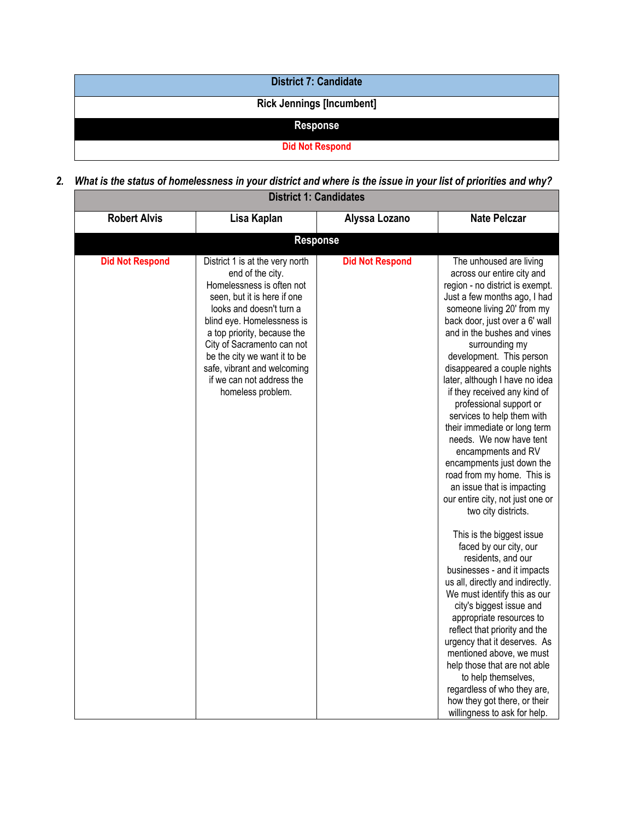| <b>District 7: Candidate</b>     |  |
|----------------------------------|--|
| <b>Rick Jennings [Incumbent]</b> |  |
| <b>Response</b>                  |  |
| <b>Did Not Respond</b>           |  |

2. What is the status of homelessness in your district and where is the issue in your list of priorities and why?

| <b>District 1: Candidates</b> |                                                                                                                                                                                                                                                                                                                                                         |                        |                                                                                                                                                                                                                                                                                                                                                                                                                                                                                                                                                                                                                                                                                                                                                                                                                                                                                                                                                                                                                                                                                                                                                                 |  |
|-------------------------------|---------------------------------------------------------------------------------------------------------------------------------------------------------------------------------------------------------------------------------------------------------------------------------------------------------------------------------------------------------|------------------------|-----------------------------------------------------------------------------------------------------------------------------------------------------------------------------------------------------------------------------------------------------------------------------------------------------------------------------------------------------------------------------------------------------------------------------------------------------------------------------------------------------------------------------------------------------------------------------------------------------------------------------------------------------------------------------------------------------------------------------------------------------------------------------------------------------------------------------------------------------------------------------------------------------------------------------------------------------------------------------------------------------------------------------------------------------------------------------------------------------------------------------------------------------------------|--|
| <b>Robert Alvis</b>           | Lisa Kaplan                                                                                                                                                                                                                                                                                                                                             | Alyssa Lozano          | <b>Nate Pelczar</b>                                                                                                                                                                                                                                                                                                                                                                                                                                                                                                                                                                                                                                                                                                                                                                                                                                                                                                                                                                                                                                                                                                                                             |  |
|                               | <b>Response</b>                                                                                                                                                                                                                                                                                                                                         |                        |                                                                                                                                                                                                                                                                                                                                                                                                                                                                                                                                                                                                                                                                                                                                                                                                                                                                                                                                                                                                                                                                                                                                                                 |  |
| <b>Did Not Respond</b>        | District 1 is at the very north<br>end of the city.<br>Homelessness is often not<br>seen, but it is here if one<br>looks and doesn't turn a<br>blind eye. Homelessness is<br>a top priority, because the<br>City of Sacramento can not<br>be the city we want it to be<br>safe, vibrant and welcoming<br>if we can not address the<br>homeless problem. | <b>Did Not Respond</b> | The unhoused are living<br>across our entire city and<br>region - no district is exempt.<br>Just a few months ago, I had<br>someone living 20' from my<br>back door, just over a 6' wall<br>and in the bushes and vines<br>surrounding my<br>development. This person<br>disappeared a couple nights<br>later, although I have no idea<br>if they received any kind of<br>professional support or<br>services to help them with<br>their immediate or long term<br>needs. We now have tent<br>encampments and RV<br>encampments just down the<br>road from my home. This is<br>an issue that is impacting<br>our entire city, not just one or<br>two city districts.<br>This is the biggest issue<br>faced by our city, our<br>residents, and our<br>businesses - and it impacts<br>us all, directly and indirectly.<br>We must identify this as our<br>city's biggest issue and<br>appropriate resources to<br>reflect that priority and the<br>urgency that it deserves. As<br>mentioned above, we must<br>help those that are not able<br>to help themselves,<br>regardless of who they are,<br>how they got there, or their<br>willingness to ask for help. |  |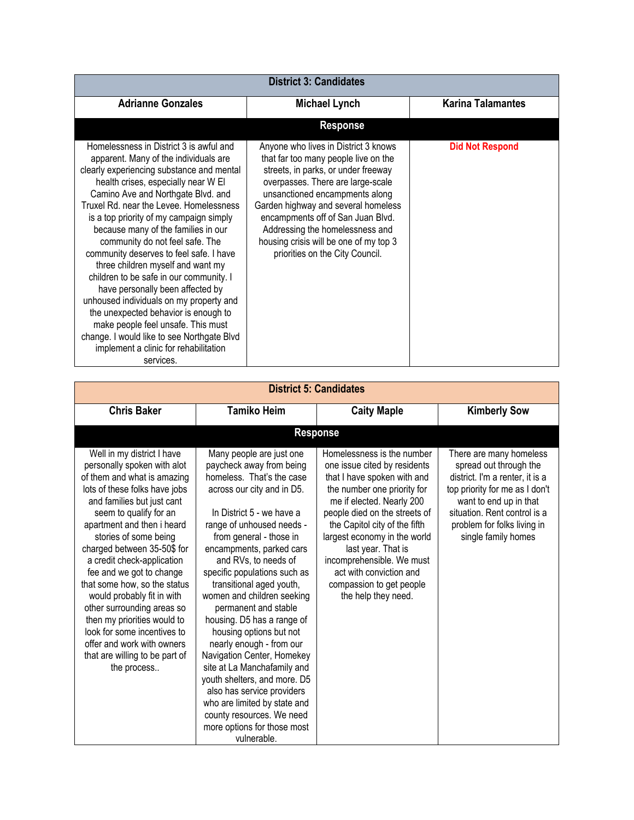| <b>District 3: Candidates</b>                                                                                                                                                                                                                                                                                                                                                                                                                                                                                                                                                                                                                                                                                                                                          |                                                                                                                                                                                                                                                                                                                                                                                        |                          |  |  |
|------------------------------------------------------------------------------------------------------------------------------------------------------------------------------------------------------------------------------------------------------------------------------------------------------------------------------------------------------------------------------------------------------------------------------------------------------------------------------------------------------------------------------------------------------------------------------------------------------------------------------------------------------------------------------------------------------------------------------------------------------------------------|----------------------------------------------------------------------------------------------------------------------------------------------------------------------------------------------------------------------------------------------------------------------------------------------------------------------------------------------------------------------------------------|--------------------------|--|--|
| <b>Adrianne Gonzales</b>                                                                                                                                                                                                                                                                                                                                                                                                                                                                                                                                                                                                                                                                                                                                               | <b>Michael Lynch</b>                                                                                                                                                                                                                                                                                                                                                                   | <b>Karina Talamantes</b> |  |  |
|                                                                                                                                                                                                                                                                                                                                                                                                                                                                                                                                                                                                                                                                                                                                                                        | <b>Response</b>                                                                                                                                                                                                                                                                                                                                                                        |                          |  |  |
| Homelessness in District 3 is awful and<br>apparent. Many of the individuals are<br>clearly experiencing substance and mental<br>health crises, especially near W El<br>Camino Ave and Northgate Blvd. and<br>Truxel Rd. near the Levee. Homelessness<br>is a top priority of my campaign simply<br>because many of the families in our<br>community do not feel safe. The<br>community deserves to feel safe. I have<br>three children myself and want my<br>children to be safe in our community. I<br>have personally been affected by<br>unhoused individuals on my property and<br>the unexpected behavior is enough to<br>make people feel unsafe. This must<br>change. I would like to see Northgate Blvd<br>implement a clinic for rehabilitation<br>services. | Anyone who lives in District 3 knows<br>that far too many people live on the<br>streets, in parks, or under freeway<br>overpasses. There are large-scale<br>unsanctioned encampments along<br>Garden highway and several homeless<br>encampments off of San Juan Blvd.<br>Addressing the homelessness and<br>housing crisis will be one of my top 3<br>priorities on the City Council. | <b>Did Not Respond</b>   |  |  |

| <b>District 5: Candidates</b>                                                                                                                                                                                                                                                                                                                                                                                                                                                                                                                                              |                                                                                                                                                                                                                                                                                                                                                                                                                                                                                                                                                                                                                                                                                                       |                                                                                                                                                                                                                                                                                                                                                                                          |                                                                                                                                                                                                                                        |  |
|----------------------------------------------------------------------------------------------------------------------------------------------------------------------------------------------------------------------------------------------------------------------------------------------------------------------------------------------------------------------------------------------------------------------------------------------------------------------------------------------------------------------------------------------------------------------------|-------------------------------------------------------------------------------------------------------------------------------------------------------------------------------------------------------------------------------------------------------------------------------------------------------------------------------------------------------------------------------------------------------------------------------------------------------------------------------------------------------------------------------------------------------------------------------------------------------------------------------------------------------------------------------------------------------|------------------------------------------------------------------------------------------------------------------------------------------------------------------------------------------------------------------------------------------------------------------------------------------------------------------------------------------------------------------------------------------|----------------------------------------------------------------------------------------------------------------------------------------------------------------------------------------------------------------------------------------|--|
| <b>Chris Baker</b>                                                                                                                                                                                                                                                                                                                                                                                                                                                                                                                                                         | <b>Tamiko Heim</b>                                                                                                                                                                                                                                                                                                                                                                                                                                                                                                                                                                                                                                                                                    | <b>Caity Maple</b>                                                                                                                                                                                                                                                                                                                                                                       | <b>Kimberly Sow</b>                                                                                                                                                                                                                    |  |
|                                                                                                                                                                                                                                                                                                                                                                                                                                                                                                                                                                            |                                                                                                                                                                                                                                                                                                                                                                                                                                                                                                                                                                                                                                                                                                       | <b>Response</b>                                                                                                                                                                                                                                                                                                                                                                          |                                                                                                                                                                                                                                        |  |
| Well in my district I have<br>personally spoken with alot<br>of them and what is amazing<br>lots of these folks have jobs<br>and families but just cant<br>seem to qualify for an<br>apartment and then i heard<br>stories of some being<br>charged between 35-50\$ for<br>a credit check-application<br>fee and we got to change<br>that some how, so the status<br>would probably fit in with<br>other surrounding areas so<br>then my priorities would to<br>look for some incentives to<br>offer and work with owners<br>that are willing to be part of<br>the process | Many people are just one<br>paycheck away from being<br>homeless. That's the case<br>across our city and in D5.<br>In District 5 - we have a<br>range of unhoused needs -<br>from general - those in<br>encampments, parked cars<br>and RVs, to needs of<br>specific populations such as<br>transitional aged youth,<br>women and children seeking<br>permanent and stable<br>housing. D5 has a range of<br>housing options but not<br>nearly enough - from our<br>Navigation Center, Homekey<br>site at La Manchafamily and<br>youth shelters, and more. D5<br>also has service providers<br>who are limited by state and<br>county resources. We need<br>more options for those most<br>vulnerable. | Homelessness is the number<br>one issue cited by residents<br>that I have spoken with and<br>the number one priority for<br>me if elected. Nearly 200<br>people died on the streets of<br>the Capitol city of the fifth<br>largest economy in the world<br>last year. That is<br>incomprehensible. We must<br>act with conviction and<br>compassion to get people<br>the help they need. | There are many homeless<br>spread out through the<br>district. I'm a renter, it is a<br>top priority for me as I don't<br>want to end up in that<br>situation. Rent control is a<br>problem for folks living in<br>single family homes |  |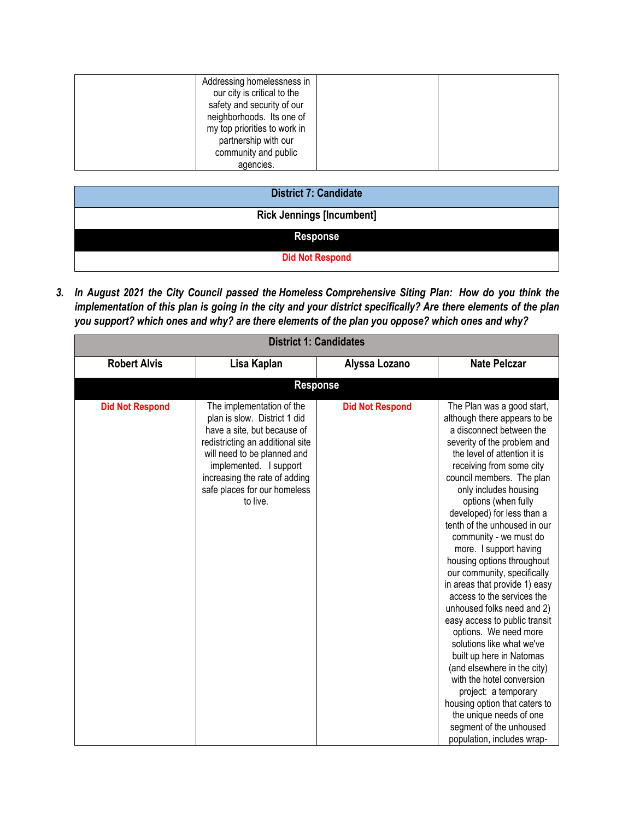| agencies. |
|-----------|
|-----------|

| <b>District 7: Candidate</b>     |
|----------------------------------|
| <b>Rick Jennings [Incumbent]</b> |
| <b>Response</b>                  |
| <b>Did Not Respond</b>           |

3. In August 2021 the City Council passed the Homeless Comprehensive Siting Plan: How do you think the implementation of this plan is going in the city and your district specifically? Are there elements of the plan *you support? which ones and why? are there elements of the plan you oppose? which ones and why?*

| <b>District 1: Candidates</b> |                                                                                                                                                                                                                                                                    |                        |                                                                                                                                                                                                                                                                                                                                                                                                                                                                                                                                                                                                                                                                                                                                                                                                                                                                        |  |
|-------------------------------|--------------------------------------------------------------------------------------------------------------------------------------------------------------------------------------------------------------------------------------------------------------------|------------------------|------------------------------------------------------------------------------------------------------------------------------------------------------------------------------------------------------------------------------------------------------------------------------------------------------------------------------------------------------------------------------------------------------------------------------------------------------------------------------------------------------------------------------------------------------------------------------------------------------------------------------------------------------------------------------------------------------------------------------------------------------------------------------------------------------------------------------------------------------------------------|--|
| <b>Robert Alvis</b>           | Lisa Kaplan                                                                                                                                                                                                                                                        | Alyssa Lozano          | <b>Nate Pelczar</b>                                                                                                                                                                                                                                                                                                                                                                                                                                                                                                                                                                                                                                                                                                                                                                                                                                                    |  |
|                               | <b>Response</b>                                                                                                                                                                                                                                                    |                        |                                                                                                                                                                                                                                                                                                                                                                                                                                                                                                                                                                                                                                                                                                                                                                                                                                                                        |  |
| <b>Did Not Respond</b>        | The implementation of the<br>plan is slow. District 1 did<br>have a site, but because of<br>redistricting an additional site<br>will need to be planned and<br>implemented. I support<br>increasing the rate of adding<br>safe places for our homeless<br>to live. | <b>Did Not Respond</b> | The Plan was a good start,<br>although there appears to be<br>a disconnect between the<br>severity of the problem and<br>the level of attention it is<br>receiving from some city<br>council members. The plan<br>only includes housing<br>options (when fully<br>developed) for less than a<br>tenth of the unhoused in our<br>community - we must do<br>more. I support having<br>housing options throughout<br>our community, specifically<br>in areas that provide 1) easy<br>access to the services the<br>unhoused folks need and 2)<br>easy access to public transit<br>options. We need more<br>solutions like what we've<br>built up here in Natomas<br>(and elsewhere in the city)<br>with the hotel conversion<br>project: a temporary<br>housing option that caters to<br>the unique needs of one<br>segment of the unhoused<br>population, includes wrap- |  |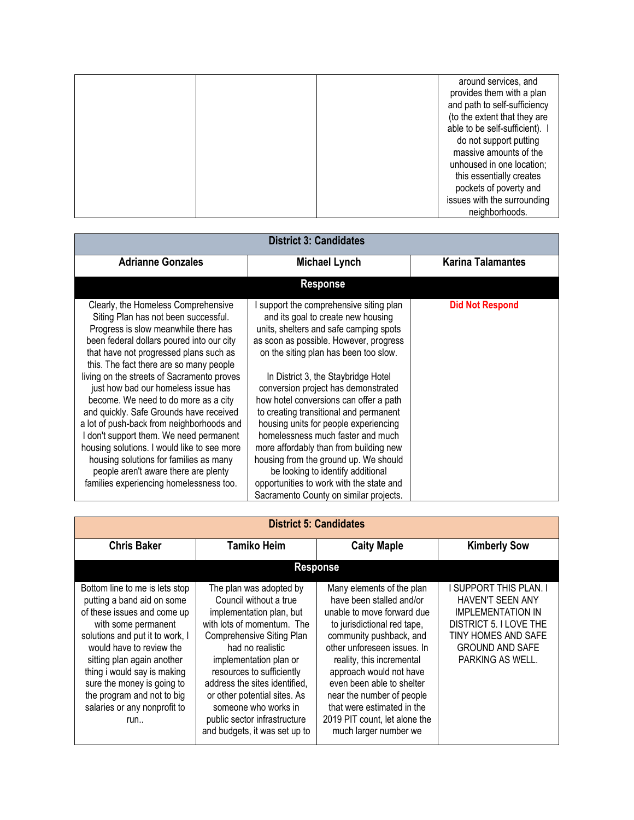|  | around services, and<br>provides them with a plan<br>and path to self-sufficiency<br>(to the extent that they are<br>able to be self-sufficient). I<br>do not support putting<br>massive amounts of the<br>unhoused in one location;<br>this essentially creates |
|--|------------------------------------------------------------------------------------------------------------------------------------------------------------------------------------------------------------------------------------------------------------------|
|  | pockets of poverty and                                                                                                                                                                                                                                           |
|  | issues with the surrounding                                                                                                                                                                                                                                      |
|  | neighborhoods.                                                                                                                                                                                                                                                   |

| <b>District 3: Candidates</b>                                                                                                                                                                                                                                                                                                                                                                                                                                                                                                                                                                                                                                                                     |                                                                                                                                                                                                                                                                                                                                                                                                                                                                                                                                                                                                                                                                        |                          |  |
|---------------------------------------------------------------------------------------------------------------------------------------------------------------------------------------------------------------------------------------------------------------------------------------------------------------------------------------------------------------------------------------------------------------------------------------------------------------------------------------------------------------------------------------------------------------------------------------------------------------------------------------------------------------------------------------------------|------------------------------------------------------------------------------------------------------------------------------------------------------------------------------------------------------------------------------------------------------------------------------------------------------------------------------------------------------------------------------------------------------------------------------------------------------------------------------------------------------------------------------------------------------------------------------------------------------------------------------------------------------------------------|--------------------------|--|
| <b>Adrianne Gonzales</b>                                                                                                                                                                                                                                                                                                                                                                                                                                                                                                                                                                                                                                                                          | <b>Michael Lynch</b>                                                                                                                                                                                                                                                                                                                                                                                                                                                                                                                                                                                                                                                   | <b>Karina Talamantes</b> |  |
|                                                                                                                                                                                                                                                                                                                                                                                                                                                                                                                                                                                                                                                                                                   | <b>Response</b>                                                                                                                                                                                                                                                                                                                                                                                                                                                                                                                                                                                                                                                        |                          |  |
| Clearly, the Homeless Comprehensive<br>Siting Plan has not been successful.<br>Progress is slow meanwhile there has<br>been federal dollars poured into our city<br>that have not progressed plans such as<br>this. The fact there are so many people<br>living on the streets of Sacramento proves<br>just how bad our homeless issue has<br>become. We need to do more as a city<br>and quickly. Safe Grounds have received<br>a lot of push-back from neighborhoods and<br>I don't support them. We need permanent<br>housing solutions. I would like to see more<br>housing solutions for families as many<br>people aren't aware there are plenty<br>families experiencing homelessness too. | support the comprehensive siting plan<br>and its goal to create new housing<br>units, shelters and safe camping spots<br>as soon as possible. However, progress<br>on the siting plan has been too slow.<br>In District 3, the Staybridge Hotel<br>conversion project has demonstrated<br>how hotel conversions can offer a path<br>to creating transitional and permanent<br>housing units for people experiencing<br>homelessness much faster and much<br>more affordably than from building new<br>housing from the ground up. We should<br>be looking to identify additional<br>opportunities to work with the state and<br>Sacramento County on similar projects. | <b>Did Not Respond</b>   |  |

| <b>District 5: Candidates</b>                                                                                                                                                                                                                                                                                                                     |                                                                                                                                                                                                                                                                                                                                                                               |                                                                                                                                                                                                                                                                                                                                                                                        |                                                                                                                                                                       |
|---------------------------------------------------------------------------------------------------------------------------------------------------------------------------------------------------------------------------------------------------------------------------------------------------------------------------------------------------|-------------------------------------------------------------------------------------------------------------------------------------------------------------------------------------------------------------------------------------------------------------------------------------------------------------------------------------------------------------------------------|----------------------------------------------------------------------------------------------------------------------------------------------------------------------------------------------------------------------------------------------------------------------------------------------------------------------------------------------------------------------------------------|-----------------------------------------------------------------------------------------------------------------------------------------------------------------------|
| <b>Chris Baker</b>                                                                                                                                                                                                                                                                                                                                | <b>Tamiko Heim</b>                                                                                                                                                                                                                                                                                                                                                            | <b>Caity Maple</b>                                                                                                                                                                                                                                                                                                                                                                     | <b>Kimberly Sow</b>                                                                                                                                                   |
|                                                                                                                                                                                                                                                                                                                                                   |                                                                                                                                                                                                                                                                                                                                                                               | <b>Response</b>                                                                                                                                                                                                                                                                                                                                                                        |                                                                                                                                                                       |
| Bottom line to me is lets stop<br>putting a band aid on some<br>of these issues and come up<br>with some permanent<br>solutions and put it to work, I<br>would have to review the<br>sitting plan again another<br>thing i would say is making<br>sure the money is going to<br>the program and not to big<br>salaries or any nonprofit to<br>run | The plan was adopted by<br>Council without a true<br>implementation plan, but<br>with lots of momentum. The<br>Comprehensive Siting Plan<br>had no realistic<br>implementation plan or<br>resources to sufficiently<br>address the sites identified.<br>or other potential sites. As<br>someone who works in<br>public sector infrastructure<br>and budgets, it was set up to | Many elements of the plan<br>have been stalled and/or<br>unable to move forward due<br>to jurisdictional red tape,<br>community pushback, and<br>other unforeseen issues. In<br>reality, this incremental<br>approach would not have<br>even been able to shelter<br>near the number of people<br>that were estimated in the<br>2019 PIT count, let alone the<br>much larger number we | I SUPPORT THIS PLAN. I<br>HAVEN'T SEEN ANY<br><b>IMPLEMENTATION IN</b><br>DISTRICT 5. I LOVE THE<br>TINY HOMES AND SAFE<br><b>GROUND AND SAFE</b><br>PARKING AS WELL. |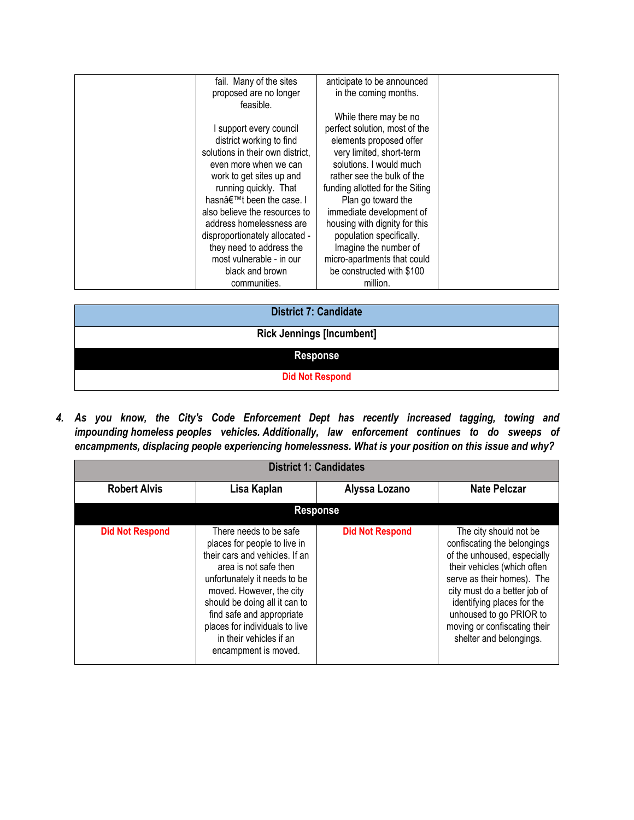|                       | fail. Many of the sites          | anticipate to be announced      |  |
|-----------------------|----------------------------------|---------------------------------|--|
|                       | proposed are no longer           | in the coming months.           |  |
|                       | feasible.                        |                                 |  |
|                       |                                  | While there may be no           |  |
|                       | I support every council          | perfect solution, most of the   |  |
|                       | district working to find         | elements proposed offer         |  |
|                       | solutions in their own district. | very limited, short-term        |  |
|                       | even more when we can            | solutions. I would much         |  |
|                       | work to get sites up and         | rather see the bulk of the      |  |
|                       | running quickly. That            | funding allotted for the Siting |  |
|                       | hasn't been the case. I          | Plan go toward the              |  |
|                       | also believe the resources to    | immediate development of        |  |
|                       | address homelessness are         | housing with dignity for this   |  |
|                       | disproportionately allocated -   | population specifically.        |  |
|                       | they need to address the         | Imagine the number of           |  |
|                       | most vulnerable - in our         | micro-apartments that could     |  |
|                       | black and brown                  | be constructed with \$100       |  |
|                       | communities.                     | million.                        |  |
|                       |                                  |                                 |  |
| District 7: Candidate |                                  |                                 |  |

| <b>District 7: Candidate</b>     |  |  |
|----------------------------------|--|--|
| <b>Rick Jennings [Incumbent]</b> |  |  |
| <b>Response</b>                  |  |  |
| <b>Did Not Respond</b>           |  |  |

*4. As you know, the City's Code Enforcement Dept has recently increased tagging, towing and impounding homeless peoples vehicles. Additionally, law enforcement continues to do sweeps of encampments, displacing people experiencing homelessness. What is your position on this issue and why?*

| <b>District 1: Candidates</b> |                                                                                                                                                                                                                                                                                                                                  |                        |                                                                                                                                                                                                                                                                                                       |
|-------------------------------|----------------------------------------------------------------------------------------------------------------------------------------------------------------------------------------------------------------------------------------------------------------------------------------------------------------------------------|------------------------|-------------------------------------------------------------------------------------------------------------------------------------------------------------------------------------------------------------------------------------------------------------------------------------------------------|
| <b>Robert Alvis</b>           | Lisa Kaplan                                                                                                                                                                                                                                                                                                                      | Alyssa Lozano          | <b>Nate Pelczar</b>                                                                                                                                                                                                                                                                                   |
|                               |                                                                                                                                                                                                                                                                                                                                  | <b>Response</b>        |                                                                                                                                                                                                                                                                                                       |
| <b>Did Not Respond</b>        | There needs to be safe<br>places for people to live in<br>their cars and vehicles. If an<br>area is not safe then<br>unfortunately it needs to be<br>moved. However, the city<br>should be doing all it can to<br>find safe and appropriate<br>places for individuals to live<br>in their vehicles if an<br>encampment is moved. | <b>Did Not Respond</b> | The city should not be<br>confiscating the belongings<br>of the unhoused, especially<br>their vehicles (which often<br>serve as their homes). The<br>city must do a better job of<br>identifying places for the<br>unhoused to go PRIOR to<br>moving or confiscating their<br>shelter and belongings. |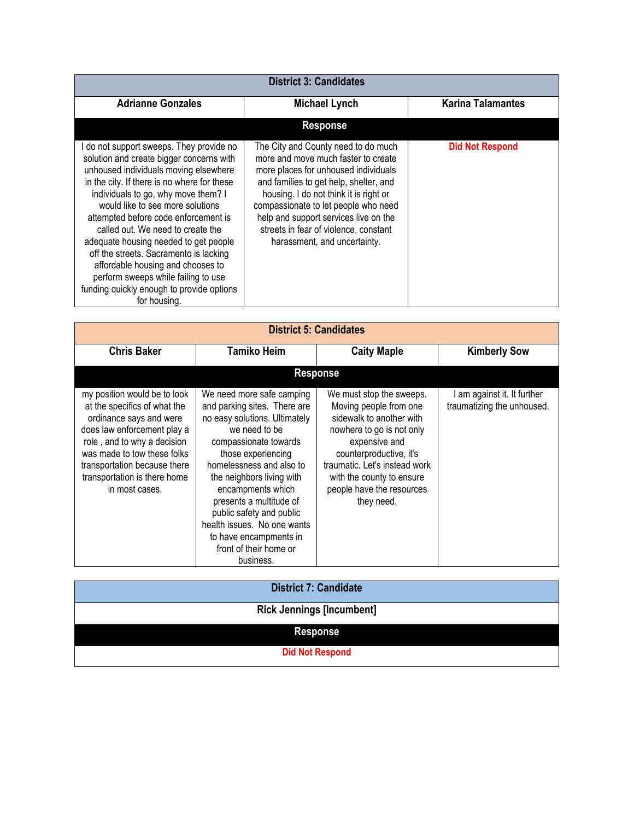| <b>District 3: Candidates</b>                                                                                                                                                                                                                                                                                                                                                                                                                                                                                                                                  |                                                                                                                                                                                                                                                                                                                                                                  |                          |  |
|----------------------------------------------------------------------------------------------------------------------------------------------------------------------------------------------------------------------------------------------------------------------------------------------------------------------------------------------------------------------------------------------------------------------------------------------------------------------------------------------------------------------------------------------------------------|------------------------------------------------------------------------------------------------------------------------------------------------------------------------------------------------------------------------------------------------------------------------------------------------------------------------------------------------------------------|--------------------------|--|
| <b>Adrianne Gonzales</b>                                                                                                                                                                                                                                                                                                                                                                                                                                                                                                                                       | <b>Michael Lynch</b>                                                                                                                                                                                                                                                                                                                                             | <b>Karina Talamantes</b> |  |
|                                                                                                                                                                                                                                                                                                                                                                                                                                                                                                                                                                | <b>Response</b>                                                                                                                                                                                                                                                                                                                                                  |                          |  |
| do not support sweeps. They provide no<br>solution and create bigger concerns with<br>unhoused individuals moving elsewhere<br>in the city. If there is no where for these<br>individuals to go, why move them? I<br>would like to see more solutions<br>attempted before code enforcement is<br>called out. We need to create the<br>adequate housing needed to get people<br>off the streets. Sacramento is lacking<br>affordable housing and chooses to<br>perform sweeps while failing to use<br>funding quickly enough to provide options<br>for housing. | The City and County need to do much<br>more and move much faster to create<br>more places for unhoused individuals<br>and families to get help, shelter, and<br>housing. I do not think it is right or<br>compassionate to let people who need<br>help and support services live on the<br>streets in fear of violence, constant<br>harassment, and uncertainty. | <b>Did Not Respond</b>   |  |

| <b>District 5: Candidates</b>                                                                                                                                                                                                                                          |                                                                                                                                                                                                                                                                                                                                                                                                 |                                                                                                                                                                                                                                                                  |                                                         |
|------------------------------------------------------------------------------------------------------------------------------------------------------------------------------------------------------------------------------------------------------------------------|-------------------------------------------------------------------------------------------------------------------------------------------------------------------------------------------------------------------------------------------------------------------------------------------------------------------------------------------------------------------------------------------------|------------------------------------------------------------------------------------------------------------------------------------------------------------------------------------------------------------------------------------------------------------------|---------------------------------------------------------|
| <b>Chris Baker</b>                                                                                                                                                                                                                                                     | <b>Tamiko Heim</b>                                                                                                                                                                                                                                                                                                                                                                              | <b>Caity Maple</b>                                                                                                                                                                                                                                               | <b>Kimberly Sow</b>                                     |
|                                                                                                                                                                                                                                                                        |                                                                                                                                                                                                                                                                                                                                                                                                 | <b>Response</b>                                                                                                                                                                                                                                                  |                                                         |
| my position would be to look<br>at the specifics of what the<br>ordinance says and were<br>does law enforcement play a<br>role, and to why a decision<br>was made to tow these folks<br>transportation because there<br>transportation is there home<br>in most cases. | We need more safe camping<br>and parking sites. There are<br>no easy solutions. Ultimately<br>we need to be<br>compassionate towards<br>those experiencing<br>homelessness and also to<br>the neighbors living with<br>encampments which<br>presents a multitude of<br>public safety and public<br>health issues. No one wants<br>to have encampments in<br>front of their home or<br>business. | We must stop the sweeps.<br>Moving people from one<br>sidewalk to another with<br>nowhere to go is not only<br>expensive and<br>counterproductive, it's<br>traumatic. Let's instead work<br>with the county to ensure<br>people have the resources<br>they need. | am against it. It further<br>traumatizing the unhoused. |

| <b>District 7: Candidate</b>     |
|----------------------------------|
| <b>Rick Jennings [Incumbent]</b> |
|                                  |
|                                  |
| <b>Did Not Respond</b>           |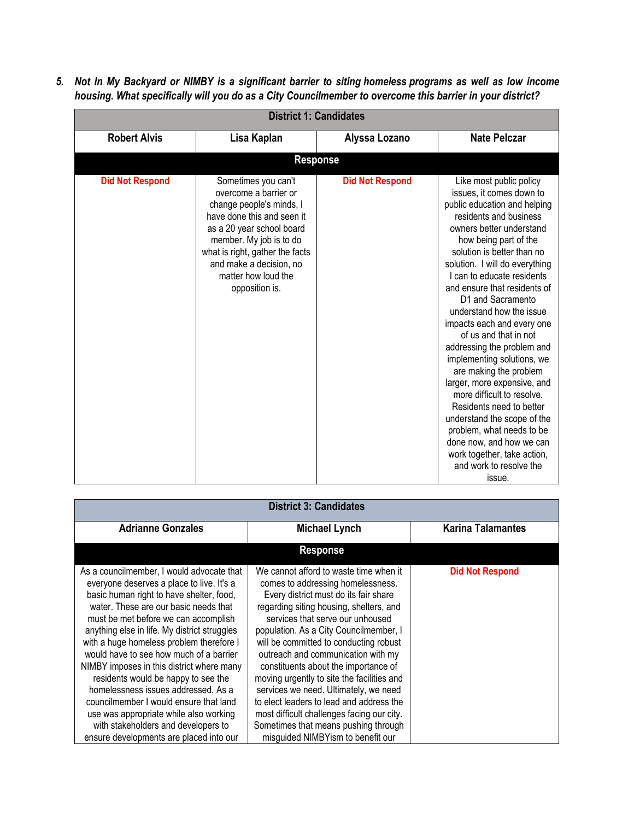5. Not In My Backyard or NIMBY is a significant barrier to siting homeless programs as well as low income *housing. What specifically will you do as a City Councilmember to overcome this barrier in your district?*

| <b>District 1: Candidates</b> |                                                                                                                                                                                                                                                                       |                        |                                                                                                                                                                                                                                                                                                                                                                                                                                                                                                                                                                                                                                                                                                                                                     |
|-------------------------------|-----------------------------------------------------------------------------------------------------------------------------------------------------------------------------------------------------------------------------------------------------------------------|------------------------|-----------------------------------------------------------------------------------------------------------------------------------------------------------------------------------------------------------------------------------------------------------------------------------------------------------------------------------------------------------------------------------------------------------------------------------------------------------------------------------------------------------------------------------------------------------------------------------------------------------------------------------------------------------------------------------------------------------------------------------------------------|
| <b>Robert Alvis</b>           | Lisa Kaplan                                                                                                                                                                                                                                                           | Alyssa Lozano          | <b>Nate Pelczar</b>                                                                                                                                                                                                                                                                                                                                                                                                                                                                                                                                                                                                                                                                                                                                 |
|                               | <b>Response</b>                                                                                                                                                                                                                                                       |                        |                                                                                                                                                                                                                                                                                                                                                                                                                                                                                                                                                                                                                                                                                                                                                     |
| <b>Did Not Respond</b>        | Sometimes you can't<br>overcome a barrier or<br>change people's minds, I<br>have done this and seen it<br>as a 20 year school board<br>member. My job is to do<br>what is right, gather the facts<br>and make a decision, no<br>matter how loud the<br>opposition is. | <b>Did Not Respond</b> | Like most public policy<br>issues, it comes down to<br>public education and helping<br>residents and business<br>owners better understand<br>how being part of the<br>solution is better than no<br>solution. I will do everything<br>I can to educate residents<br>and ensure that residents of<br>D1 and Sacramento<br>understand how the issue<br>impacts each and every one<br>of us and that in not<br>addressing the problem and<br>implementing solutions, we<br>are making the problem<br>larger, more expensive, and<br>more difficult to resolve.<br>Residents need to better<br>understand the scope of the<br>problem, what needs to be<br>done now, and how we can<br>work together, take action,<br>and work to resolve the<br>issue. |

| <b>District 3: Candidates</b>                                                                                                                                                                                                                                                                                                                                                                                                                                                                                                                                                                                                                               |                                                                                                                                                                                                                                                                                                                                                                                                                                                                                                                                                                                                                                     |                          |  |
|-------------------------------------------------------------------------------------------------------------------------------------------------------------------------------------------------------------------------------------------------------------------------------------------------------------------------------------------------------------------------------------------------------------------------------------------------------------------------------------------------------------------------------------------------------------------------------------------------------------------------------------------------------------|-------------------------------------------------------------------------------------------------------------------------------------------------------------------------------------------------------------------------------------------------------------------------------------------------------------------------------------------------------------------------------------------------------------------------------------------------------------------------------------------------------------------------------------------------------------------------------------------------------------------------------------|--------------------------|--|
| <b>Adrianne Gonzales</b>                                                                                                                                                                                                                                                                                                                                                                                                                                                                                                                                                                                                                                    | <b>Michael Lynch</b>                                                                                                                                                                                                                                                                                                                                                                                                                                                                                                                                                                                                                | <b>Karina Talamantes</b> |  |
|                                                                                                                                                                                                                                                                                                                                                                                                                                                                                                                                                                                                                                                             | <b>Response</b>                                                                                                                                                                                                                                                                                                                                                                                                                                                                                                                                                                                                                     |                          |  |
| As a councilmember, I would advocate that<br>everyone deserves a place to live. It's a<br>basic human right to have shelter, food,<br>water. These are our basic needs that<br>must be met before we can accomplish<br>anything else in life. My district struggles<br>with a huge homeless problem therefore I<br>would have to see how much of a barrier<br>NIMBY imposes in this district where many<br>residents would be happy to see the<br>homelessness issues addressed. As a<br>councilmember I would ensure that land<br>use was appropriate while also working<br>with stakeholders and developers to<br>ensure developments are placed into our | We cannot afford to waste time when it<br>comes to addressing homelessness.<br>Every district must do its fair share<br>regarding siting housing, shelters, and<br>services that serve our unhoused<br>population. As a City Councilmember, I<br>will be committed to conducting robust<br>outreach and communication with my<br>constituents about the importance of<br>moving urgently to site the facilities and<br>services we need. Ultimately, we need<br>to elect leaders to lead and address the<br>most difficult challenges facing our city.<br>Sometimes that means pushing through<br>misguided NIMBYism to benefit our | <b>Did Not Respond</b>   |  |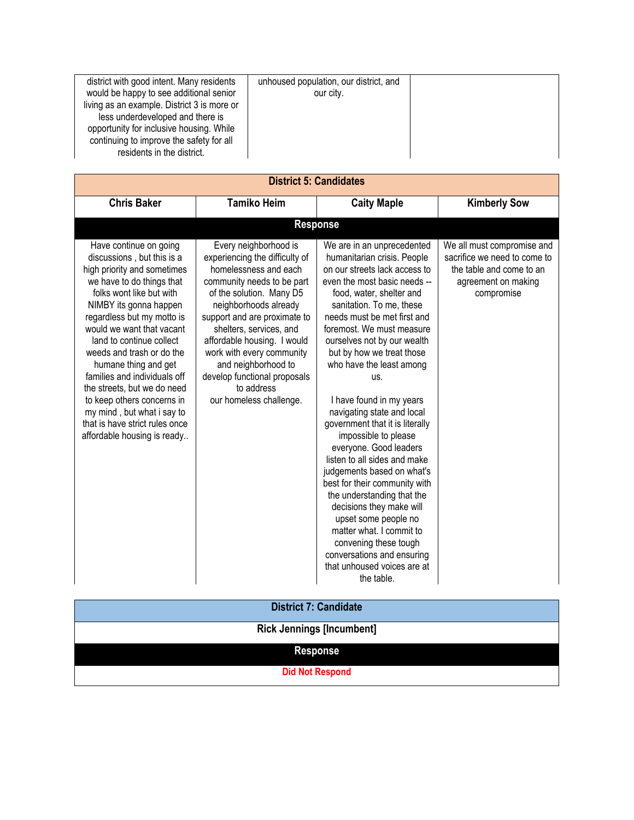| district with good intent. Many residents<br>would be happy to see additional senior<br>living as an example. District 3 is more or<br>less underdeveloped and there is | unhoused population, our district, and<br>our city. |  |
|-------------------------------------------------------------------------------------------------------------------------------------------------------------------------|-----------------------------------------------------|--|
| opportunity for inclusive housing. While<br>continuing to improve the safety for all                                                                                    |                                                     |  |
| residents in the district.                                                                                                                                              |                                                     |  |

| <b>District 5: Candidates</b>                                                                                                                                                                                                                                                                                                                                                                                                                                                                                  |                                                                                                                                                                                                                                                                                                                                                                                            |                                                                                                                                                                                                                                                                                                                                                                                                                                                                                                                                                                                                                                                                                                                                                                                                               |                                                                                                                             |  |
|----------------------------------------------------------------------------------------------------------------------------------------------------------------------------------------------------------------------------------------------------------------------------------------------------------------------------------------------------------------------------------------------------------------------------------------------------------------------------------------------------------------|--------------------------------------------------------------------------------------------------------------------------------------------------------------------------------------------------------------------------------------------------------------------------------------------------------------------------------------------------------------------------------------------|---------------------------------------------------------------------------------------------------------------------------------------------------------------------------------------------------------------------------------------------------------------------------------------------------------------------------------------------------------------------------------------------------------------------------------------------------------------------------------------------------------------------------------------------------------------------------------------------------------------------------------------------------------------------------------------------------------------------------------------------------------------------------------------------------------------|-----------------------------------------------------------------------------------------------------------------------------|--|
| <b>Chris Baker</b>                                                                                                                                                                                                                                                                                                                                                                                                                                                                                             | <b>Tamiko Heim</b>                                                                                                                                                                                                                                                                                                                                                                         | <b>Caity Maple</b>                                                                                                                                                                                                                                                                                                                                                                                                                                                                                                                                                                                                                                                                                                                                                                                            | <b>Kimberly Sow</b>                                                                                                         |  |
|                                                                                                                                                                                                                                                                                                                                                                                                                                                                                                                |                                                                                                                                                                                                                                                                                                                                                                                            | <b>Response</b>                                                                                                                                                                                                                                                                                                                                                                                                                                                                                                                                                                                                                                                                                                                                                                                               |                                                                                                                             |  |
| Have continue on going<br>discussions, but this is a<br>high priority and sometimes<br>we have to do things that<br>folks wont like but with<br>NIMBY its gonna happen<br>regardless but my motto is<br>would we want that vacant<br>land to continue collect<br>weeds and trash or do the<br>humane thing and get<br>families and individuals off<br>the streets, but we do need<br>to keep others concerns in<br>my mind, but what i say to<br>that is have strict rules once<br>affordable housing is ready | Every neighborhood is<br>experiencing the difficulty of<br>homelessness and each<br>community needs to be part<br>of the solution. Many D5<br>neighborhoods already<br>support and are proximate to<br>shelters, services, and<br>affordable housing. I would<br>work with every community<br>and neighborhood to<br>develop functional proposals<br>to address<br>our homeless challenge. | We are in an unprecedented<br>humanitarian crisis. People<br>on our streets lack access to<br>even the most basic needs --<br>food, water, shelter and<br>sanitation. To me, these<br>needs must be met first and<br>foremost. We must measure<br>ourselves not by our wealth<br>but by how we treat those<br>who have the least among<br>US.<br>I have found in my years<br>navigating state and local<br>government that it is literally<br>impossible to please<br>everyone. Good leaders<br>listen to all sides and make<br>judgements based on what's<br>best for their community with<br>the understanding that the<br>decisions they make will<br>upset some people no<br>matter what. I commit to<br>convening these tough<br>conversations and ensuring<br>that unhoused voices are at<br>the table. | We all must compromise and<br>sacrifice we need to come to<br>the table and come to an<br>agreement on making<br>compromise |  |

| <b>District 7: Candidate</b>     |
|----------------------------------|
| <b>Rick Jennings [Incumbent]</b> |
| <b>Response</b>                  |
| <b>Did Not Respond</b>           |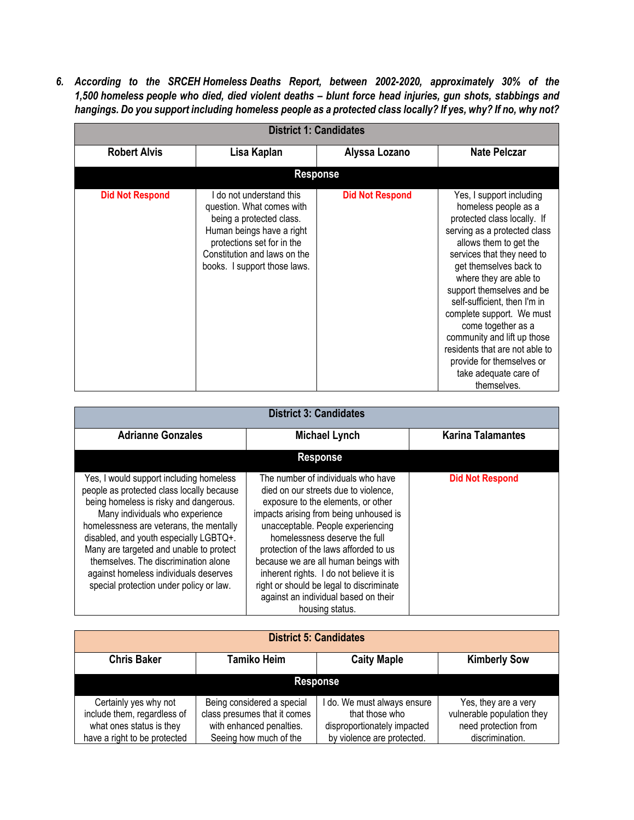*6. According to the SRCEH Homeless Deaths Report, between 2002-2020, approximately 30% of the 1,500 homeless people who died, died violent deaths – blunt force head injuries, gun shots, stabbings and* hangings. Do you support including homeless people as a protected class locally? If yes, why? If no, why not?

| <b>District 1: Candidates</b> |                                                                                                                                                                                                              |                        |                                                                                                                                                                                                                                                                                                                                                                                                                                                                                   |  |
|-------------------------------|--------------------------------------------------------------------------------------------------------------------------------------------------------------------------------------------------------------|------------------------|-----------------------------------------------------------------------------------------------------------------------------------------------------------------------------------------------------------------------------------------------------------------------------------------------------------------------------------------------------------------------------------------------------------------------------------------------------------------------------------|--|
| <b>Robert Alvis</b>           | Lisa Kaplan                                                                                                                                                                                                  | Alyssa Lozano          | <b>Nate Pelczar</b>                                                                                                                                                                                                                                                                                                                                                                                                                                                               |  |
|                               | <b>Response</b>                                                                                                                                                                                              |                        |                                                                                                                                                                                                                                                                                                                                                                                                                                                                                   |  |
| <b>Did Not Respond</b>        | I do not understand this<br>question. What comes with<br>being a protected class.<br>Human beings have a right<br>protections set for in the<br>Constitution and laws on the<br>books. I support those laws. | <b>Did Not Respond</b> | Yes, I support including<br>homeless people as a<br>protected class locally. If<br>serving as a protected class<br>allows them to get the<br>services that they need to<br>get themselves back to<br>where they are able to<br>support themselves and be<br>self-sufficient, then I'm in<br>complete support. We must<br>come together as a<br>community and lift up those<br>residents that are not able to<br>provide for themselves or<br>take adequate care of<br>themselves. |  |

| <b>District 3: Candidates</b>                                                                                                                                                                                                                                                                                                                                                                                                 |                                                                                                                                                                                                                                                                                                                                                                                                                                                                     |                          |  |  |
|-------------------------------------------------------------------------------------------------------------------------------------------------------------------------------------------------------------------------------------------------------------------------------------------------------------------------------------------------------------------------------------------------------------------------------|---------------------------------------------------------------------------------------------------------------------------------------------------------------------------------------------------------------------------------------------------------------------------------------------------------------------------------------------------------------------------------------------------------------------------------------------------------------------|--------------------------|--|--|
| <b>Adrianne Gonzales</b>                                                                                                                                                                                                                                                                                                                                                                                                      | <b>Michael Lynch</b>                                                                                                                                                                                                                                                                                                                                                                                                                                                | <b>Karina Talamantes</b> |  |  |
|                                                                                                                                                                                                                                                                                                                                                                                                                               | <b>Response</b>                                                                                                                                                                                                                                                                                                                                                                                                                                                     |                          |  |  |
| Yes, I would support including homeless<br>people as protected class locally because<br>being homeless is risky and dangerous.<br>Many individuals who experience<br>homelessness are veterans, the mentally<br>disabled, and youth especially LGBTQ+.<br>Many are targeted and unable to protect<br>themselves. The discrimination alone<br>against homeless individuals deserves<br>special protection under policy or law. | The number of individuals who have<br>died on our streets due to violence.<br>exposure to the elements, or other<br>impacts arising from being unhoused is<br>unacceptable. People experiencing<br>homelessness deserve the full<br>protection of the laws afforded to us<br>because we are all human beings with<br>inherent rights. I do not believe it is<br>right or should be legal to discriminate<br>against an individual based on their<br>housing status. | <b>Did Not Respond</b>   |  |  |

| <b>District 5: Candidates</b> |                              |                             |                            |  |
|-------------------------------|------------------------------|-----------------------------|----------------------------|--|
| <b>Chris Baker</b>            | <b>Tamiko Heim</b>           | <b>Caity Maple</b>          | <b>Kimberly Sow</b>        |  |
| <b>Response</b>               |                              |                             |                            |  |
| Certainly yes why not         | Being considered a special   | do. We must always ensure   | Yes, they are a very       |  |
| include them, regardless of   | class presumes that it comes | that those who              | vulnerable population they |  |
| what ones status is they      | with enhanced penalties.     | disproportionately impacted | need protection from       |  |
| have a right to be protected  | Seeing how much of the       | by violence are protected.  | discrimination.            |  |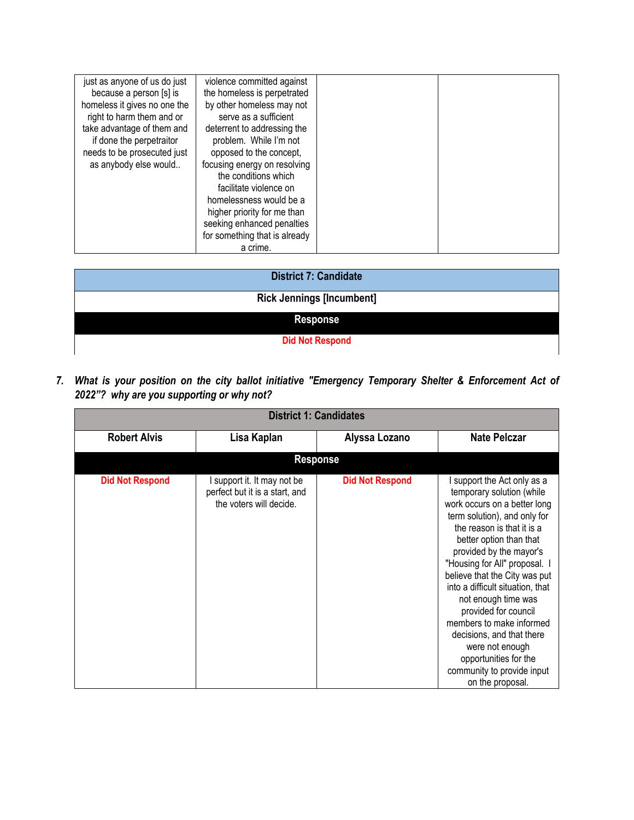| just as anyone of us do just | violence committed against    |  |
|------------------------------|-------------------------------|--|
| because a person [s] is      | the homeless is perpetrated   |  |
| homeless it gives no one the | by other homeless may not     |  |
| right to harm them and or    | serve as a sufficient         |  |
| take advantage of them and   | deterrent to addressing the   |  |
| if done the perpetraitor     | problem. While I'm not        |  |
| needs to be prosecuted just  | opposed to the concept,       |  |
| as anybody else would        | focusing energy on resolving  |  |
|                              | the conditions which          |  |
|                              | facilitate violence on        |  |
|                              | homelessness would be a       |  |
|                              | higher priority for me than   |  |
|                              | seeking enhanced penalties    |  |
|                              | for something that is already |  |
|                              | a crime.                      |  |

| <b>District 7: Candidate</b>     |
|----------------------------------|
| <b>Rick Jennings [Incumbent]</b> |
| <b>Response</b>                  |
| <b>Did Not Respond</b>           |

*7. What is your position on the city ballot initiative "Emergency Temporary Shelter & Enforcement Act of 2022"? why are you supporting or why not?*

| <b>District 1: Candidates</b> |                                                                                          |                        |                                                                                                                                                                                                                                                                                                                                                                                                                                                                                                                          |  |
|-------------------------------|------------------------------------------------------------------------------------------|------------------------|--------------------------------------------------------------------------------------------------------------------------------------------------------------------------------------------------------------------------------------------------------------------------------------------------------------------------------------------------------------------------------------------------------------------------------------------------------------------------------------------------------------------------|--|
| <b>Robert Alvis</b>           | Lisa Kaplan                                                                              | Alyssa Lozano          | <b>Nate Pelczar</b>                                                                                                                                                                                                                                                                                                                                                                                                                                                                                                      |  |
|                               |                                                                                          | <b>Response</b>        |                                                                                                                                                                                                                                                                                                                                                                                                                                                                                                                          |  |
| <b>Did Not Respond</b>        | I support it. It may not be<br>perfect but it is a start, and<br>the voters will decide. | <b>Did Not Respond</b> | I support the Act only as a<br>temporary solution (while<br>work occurs on a better long<br>term solution), and only for<br>the reason is that it is a<br>better option than that<br>provided by the mayor's<br>"Housing for All" proposal. I<br>believe that the City was put<br>into a difficult situation, that<br>not enough time was<br>provided for council<br>members to make informed<br>decisions, and that there<br>were not enough<br>opportunities for the<br>community to provide input<br>on the proposal. |  |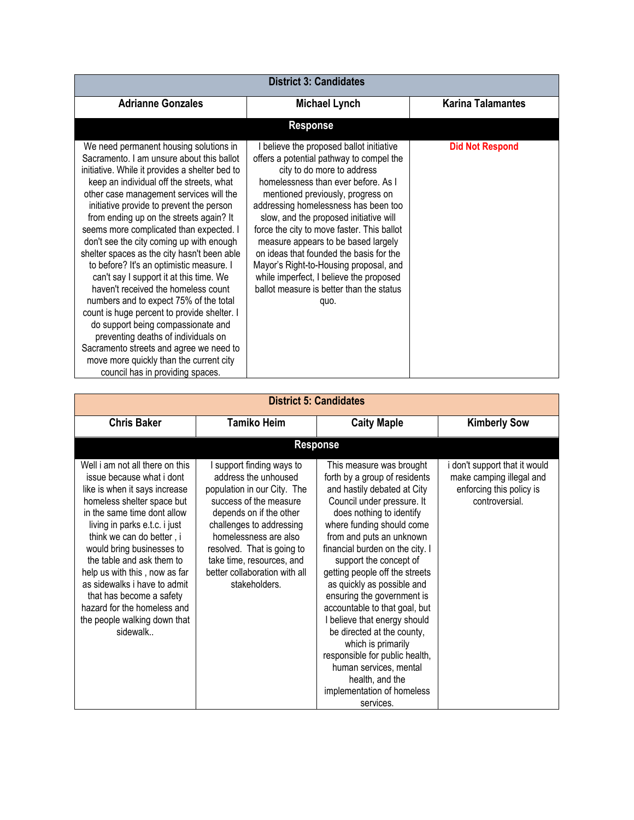| <b>District 3: Candidates</b>                                                                                                                                                                                                                                                                                                                                                                                                                                                                                                                                                                                                                                                                                                                                                                                                                                                           |                                                                                                                                                                                                                                                                                                                                                                                                                                                                                                                                                           |                        |  |  |
|-----------------------------------------------------------------------------------------------------------------------------------------------------------------------------------------------------------------------------------------------------------------------------------------------------------------------------------------------------------------------------------------------------------------------------------------------------------------------------------------------------------------------------------------------------------------------------------------------------------------------------------------------------------------------------------------------------------------------------------------------------------------------------------------------------------------------------------------------------------------------------------------|-----------------------------------------------------------------------------------------------------------------------------------------------------------------------------------------------------------------------------------------------------------------------------------------------------------------------------------------------------------------------------------------------------------------------------------------------------------------------------------------------------------------------------------------------------------|------------------------|--|--|
| <b>Adrianne Gonzales</b>                                                                                                                                                                                                                                                                                                                                                                                                                                                                                                                                                                                                                                                                                                                                                                                                                                                                | <b>Karina Talamantes</b>                                                                                                                                                                                                                                                                                                                                                                                                                                                                                                                                  |                        |  |  |
|                                                                                                                                                                                                                                                                                                                                                                                                                                                                                                                                                                                                                                                                                                                                                                                                                                                                                         | <b>Response</b>                                                                                                                                                                                                                                                                                                                                                                                                                                                                                                                                           |                        |  |  |
| We need permanent housing solutions in<br>Sacramento. I am unsure about this ballot<br>initiative. While it provides a shelter bed to<br>keep an individual off the streets, what<br>other case management services will the<br>initiative provide to prevent the person<br>from ending up on the streets again? It<br>seems more complicated than expected. I<br>don't see the city coming up with enough<br>shelter spaces as the city hasn't been able<br>to before? It's an optimistic measure. I<br>can't say I support it at this time. We<br>haven't received the homeless count<br>numbers and to expect 75% of the total<br>count is huge percent to provide shelter. I<br>do support being compassionate and<br>preventing deaths of individuals on<br>Sacramento streets and agree we need to<br>move more quickly than the current city<br>council has in providing spaces. | I believe the proposed ballot initiative<br>offers a potential pathway to compel the<br>city to do more to address<br>homelessness than ever before. As I<br>mentioned previously, progress on<br>addressing homelessness has been too<br>slow, and the proposed initiative will<br>force the city to move faster. This ballot<br>measure appears to be based largely<br>on ideas that founded the basis for the<br>Mayor's Right-to-Housing proposal, and<br>while imperfect, I believe the proposed<br>ballot measure is better than the status<br>quo. | <b>Did Not Respond</b> |  |  |

| <b>District 5: Candidates</b>                                                                                                                                                                                                                                                                                                                                                                                                                              |                                                                                                                                                                                                                                                                                                         |                                                                                                                                                                                                                                                                                                                                                                                                                                                                                                                                                                                                                       |                                                                                                         |  |
|------------------------------------------------------------------------------------------------------------------------------------------------------------------------------------------------------------------------------------------------------------------------------------------------------------------------------------------------------------------------------------------------------------------------------------------------------------|---------------------------------------------------------------------------------------------------------------------------------------------------------------------------------------------------------------------------------------------------------------------------------------------------------|-----------------------------------------------------------------------------------------------------------------------------------------------------------------------------------------------------------------------------------------------------------------------------------------------------------------------------------------------------------------------------------------------------------------------------------------------------------------------------------------------------------------------------------------------------------------------------------------------------------------------|---------------------------------------------------------------------------------------------------------|--|
| <b>Chris Baker</b>                                                                                                                                                                                                                                                                                                                                                                                                                                         | <b>Tamiko Heim</b>                                                                                                                                                                                                                                                                                      | <b>Caity Maple</b>                                                                                                                                                                                                                                                                                                                                                                                                                                                                                                                                                                                                    | <b>Kimberly Sow</b>                                                                                     |  |
|                                                                                                                                                                                                                                                                                                                                                                                                                                                            |                                                                                                                                                                                                                                                                                                         | <b>Response</b>                                                                                                                                                                                                                                                                                                                                                                                                                                                                                                                                                                                                       |                                                                                                         |  |
| Well i am not all there on this<br>issue because what i dont<br>like is when it says increase<br>homeless shelter space but<br>in the same time dont allow<br>living in parks e.t.c. i just<br>think we can do better, i<br>would bring businesses to<br>the table and ask them to<br>help us with this, now as far<br>as sidewalks i have to admit<br>that has become a safety<br>hazard for the homeless and<br>the people walking down that<br>sidewalk | I support finding ways to<br>address the unhoused<br>population in our City. The<br>success of the measure<br>depends on if the other<br>challenges to addressing<br>homelessness are also<br>resolved. That is going to<br>take time, resources, and<br>better collaboration with all<br>stakeholders. | This measure was brought<br>forth by a group of residents<br>and hastily debated at City<br>Council under pressure. It<br>does nothing to identify<br>where funding should come<br>from and puts an unknown<br>financial burden on the city. I<br>support the concept of<br>getting people off the streets<br>as quickly as possible and<br>ensuring the government is<br>accountable to that goal, but<br>I believe that energy should<br>be directed at the county,<br>which is primarily<br>responsible for public health,<br>human services, mental<br>health, and the<br>implementation of homeless<br>services. | i don't support that it would<br>make camping illegal and<br>enforcing this policy is<br>controversial. |  |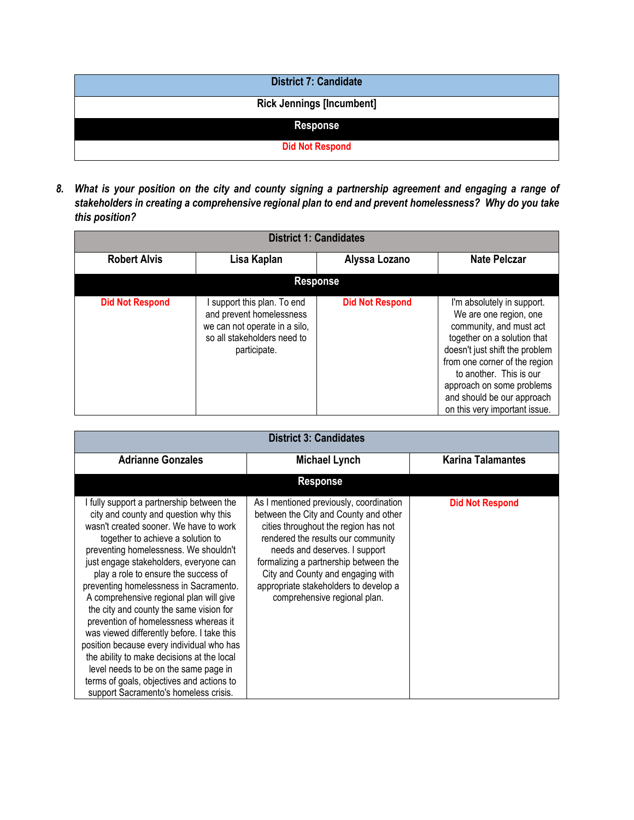| <b>District 7: Candidate</b>     |
|----------------------------------|
| <b>Rick Jennings [Incumbent]</b> |
| <b>Response</b>                  |
| <b>Did Not Respond</b>           |

*8. What is your position on the city and county signing a partnership agreement and engaging a range of stakeholders in creating a comprehensive regional plan to end and prevent homelessness? Why do you take this position?*

| <b>District 1: Candidates</b> |                                                                                                                                       |                        |                                                                                                                                                                                                                                                                                                          |  |  |
|-------------------------------|---------------------------------------------------------------------------------------------------------------------------------------|------------------------|----------------------------------------------------------------------------------------------------------------------------------------------------------------------------------------------------------------------------------------------------------------------------------------------------------|--|--|
| <b>Robert Alvis</b>           | Lisa Kaplan                                                                                                                           | Alyssa Lozano          | <b>Nate Pelczar</b>                                                                                                                                                                                                                                                                                      |  |  |
|                               | <b>Response</b>                                                                                                                       |                        |                                                                                                                                                                                                                                                                                                          |  |  |
| <b>Did Not Respond</b>        | support this plan. To end<br>and prevent homelessness<br>we can not operate in a silo,<br>so all stakeholders need to<br>participate. | <b>Did Not Respond</b> | I'm absolutely in support.<br>We are one region, one<br>community, and must act<br>together on a solution that<br>doesn't just shift the problem<br>from one corner of the region<br>to another. This is our<br>approach on some problems<br>and should be our approach<br>on this very important issue. |  |  |

|                                                                                                                                                                                                                                                                                                                                                                                                                                                                                                                                                                                                                                                                                                                                               | <b>District 3: Candidates</b>                                                                                                                                                                                                                                                                                                                          |                          |
|-----------------------------------------------------------------------------------------------------------------------------------------------------------------------------------------------------------------------------------------------------------------------------------------------------------------------------------------------------------------------------------------------------------------------------------------------------------------------------------------------------------------------------------------------------------------------------------------------------------------------------------------------------------------------------------------------------------------------------------------------|--------------------------------------------------------------------------------------------------------------------------------------------------------------------------------------------------------------------------------------------------------------------------------------------------------------------------------------------------------|--------------------------|
| <b>Adrianne Gonzales</b><br><b>Michael Lynch</b>                                                                                                                                                                                                                                                                                                                                                                                                                                                                                                                                                                                                                                                                                              |                                                                                                                                                                                                                                                                                                                                                        | <b>Karina Talamantes</b> |
|                                                                                                                                                                                                                                                                                                                                                                                                                                                                                                                                                                                                                                                                                                                                               | <b>Response</b>                                                                                                                                                                                                                                                                                                                                        |                          |
| I fully support a partnership between the<br>city and county and question why this<br>wasn't created sooner. We have to work<br>together to achieve a solution to<br>preventing homelessness. We shouldn't<br>just engage stakeholders, everyone can<br>play a role to ensure the success of<br>preventing homelessness in Sacramento.<br>A comprehensive regional plan will give<br>the city and county the same vision for<br>prevention of homelessness whereas it<br>was viewed differently before. I take this<br>position because every individual who has<br>the ability to make decisions at the local<br>level needs to be on the same page in<br>terms of goals, objectives and actions to<br>support Sacramento's homeless crisis. | As I mentioned previously, coordination<br>between the City and County and other<br>cities throughout the region has not<br>rendered the results our community<br>needs and deserves. I support<br>formalizing a partnership between the<br>City and County and engaging with<br>appropriate stakeholders to develop a<br>comprehensive regional plan. | <b>Did Not Respond</b>   |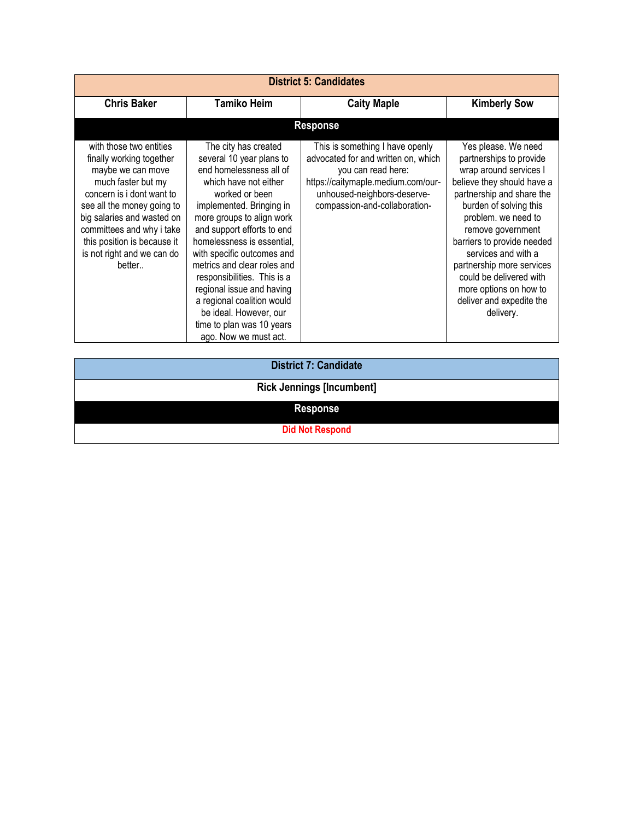| <b>District 5: Candidates</b>                                                                                                                                                                                                                                                               |                                                                                                                                                                                                                                                                                                                                                                                                                                                                                    |                                                                                                                                                                                                    |                                                                                                                                                                                                                                                                                                                                                                                           |
|---------------------------------------------------------------------------------------------------------------------------------------------------------------------------------------------------------------------------------------------------------------------------------------------|------------------------------------------------------------------------------------------------------------------------------------------------------------------------------------------------------------------------------------------------------------------------------------------------------------------------------------------------------------------------------------------------------------------------------------------------------------------------------------|----------------------------------------------------------------------------------------------------------------------------------------------------------------------------------------------------|-------------------------------------------------------------------------------------------------------------------------------------------------------------------------------------------------------------------------------------------------------------------------------------------------------------------------------------------------------------------------------------------|
| <b>Chris Baker</b>                                                                                                                                                                                                                                                                          | <b>Tamiko Heim</b>                                                                                                                                                                                                                                                                                                                                                                                                                                                                 | <b>Caity Maple</b>                                                                                                                                                                                 | <b>Kimberly Sow</b>                                                                                                                                                                                                                                                                                                                                                                       |
|                                                                                                                                                                                                                                                                                             |                                                                                                                                                                                                                                                                                                                                                                                                                                                                                    | <b>Response</b>                                                                                                                                                                                    |                                                                                                                                                                                                                                                                                                                                                                                           |
| with those two entities<br>finally working together<br>maybe we can move<br>much faster but my<br>concern is i dont want to<br>see all the money going to<br>big salaries and wasted on<br>committees and why i take<br>this position is because it<br>is not right and we can do<br>better | The city has created<br>several 10 year plans to<br>end homelessness all of<br>which have not either<br>worked or been<br>implemented. Bringing in<br>more groups to align work<br>and support efforts to end<br>homelessness is essential,<br>with specific outcomes and<br>metrics and clear roles and<br>responsibilities. This is a<br>regional issue and having<br>a regional coalition would<br>be ideal. However, our<br>time to plan was 10 years<br>ago. Now we must act. | This is something I have openly<br>advocated for and written on, which<br>you can read here:<br>https://caitymaple.medium.com/our-<br>unhoused-neighbors-deserve-<br>compassion-and-collaboration- | Yes please. We need<br>partnerships to provide<br>wrap around services I<br>believe they should have a<br>partnership and share the<br>burden of solving this<br>problem. we need to<br>remove government<br>barriers to provide needed<br>services and with a<br>partnership more services<br>could be delivered with<br>more options on how to<br>deliver and expedite the<br>delivery. |

**District 7: Candidate**

**Rick Jennings [Incumbent]**

**Response**

**Did Not Respond**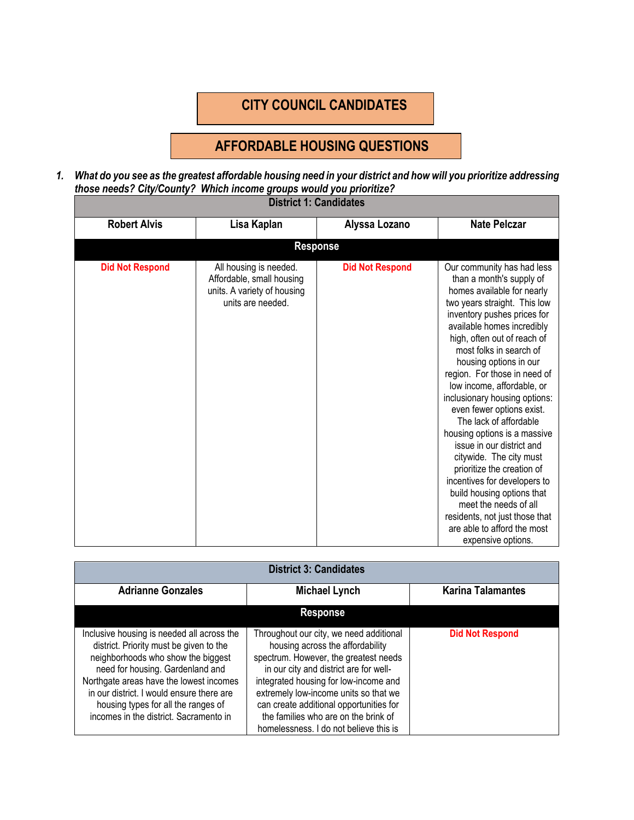# **CITY COUNCIL CANDIDATES**

# **AFFORDABLE HOUSING QUESTIONS**

*1. What do you see as the greatest affordable housing need in your district and how will you prioritize addressing those needs? City/County? Which income groups would you prioritize?* ÷

| <b>District 1: Candidates</b> |                                                                                                         |                        |                                                                                                                                                                                                                                                                                                                                                                                                                                                                                                                                                                                                                                                                                                                                 |  |
|-------------------------------|---------------------------------------------------------------------------------------------------------|------------------------|---------------------------------------------------------------------------------------------------------------------------------------------------------------------------------------------------------------------------------------------------------------------------------------------------------------------------------------------------------------------------------------------------------------------------------------------------------------------------------------------------------------------------------------------------------------------------------------------------------------------------------------------------------------------------------------------------------------------------------|--|
| <b>Robert Alvis</b>           | Lisa Kaplan                                                                                             | Alyssa Lozano          | <b>Nate Pelczar</b>                                                                                                                                                                                                                                                                                                                                                                                                                                                                                                                                                                                                                                                                                                             |  |
|                               |                                                                                                         | <b>Response</b>        |                                                                                                                                                                                                                                                                                                                                                                                                                                                                                                                                                                                                                                                                                                                                 |  |
| <b>Did Not Respond</b>        | All housing is needed.<br>Affordable, small housing<br>units. A variety of housing<br>units are needed. | <b>Did Not Respond</b> | Our community has had less<br>than a month's supply of<br>homes available for nearly<br>two years straight. This low<br>inventory pushes prices for<br>available homes incredibly<br>high, often out of reach of<br>most folks in search of<br>housing options in our<br>region. For those in need of<br>low income, affordable, or<br>inclusionary housing options:<br>even fewer options exist.<br>The lack of affordable<br>housing options is a massive<br>issue in our district and<br>citywide. The city must<br>prioritize the creation of<br>incentives for developers to<br>build housing options that<br>meet the needs of all<br>residents, not just those that<br>are able to afford the most<br>expensive options. |  |

| <b>District 3: Candidates</b>                                                                                                                                                                                                                                                                                                            |                                                                                                                                                                                                                                                                                                                                                                               |                          |
|------------------------------------------------------------------------------------------------------------------------------------------------------------------------------------------------------------------------------------------------------------------------------------------------------------------------------------------|-------------------------------------------------------------------------------------------------------------------------------------------------------------------------------------------------------------------------------------------------------------------------------------------------------------------------------------------------------------------------------|--------------------------|
| <b>Adrianne Gonzales</b><br><b>Michael Lynch</b>                                                                                                                                                                                                                                                                                         |                                                                                                                                                                                                                                                                                                                                                                               | <b>Karina Talamantes</b> |
|                                                                                                                                                                                                                                                                                                                                          | <b>Response</b>                                                                                                                                                                                                                                                                                                                                                               |                          |
| Inclusive housing is needed all across the<br>district. Priority must be given to the<br>neighborhoods who show the biggest<br>need for housing. Gardenland and<br>Northgate areas have the lowest incomes<br>in our district. I would ensure there are<br>housing types for all the ranges of<br>incomes in the district. Sacramento in | Throughout our city, we need additional<br>housing across the affordability<br>spectrum. However, the greatest needs<br>in our city and district are for well-<br>integrated housing for low-income and<br>extremely low-income units so that we<br>can create additional opportunities for<br>the families who are on the brink of<br>homelessness. I do not believe this is | <b>Did Not Respond</b>   |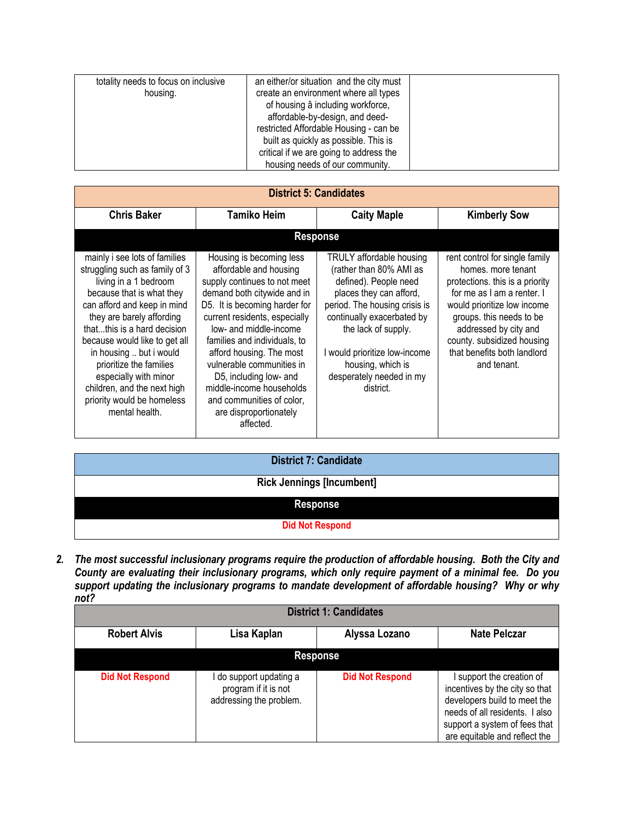| totality needs to focus on inclusive<br>housing. | an either/or situation and the city must<br>create an environment where all types<br>of housing â including workforce,<br>affordable-by-design, and deed-<br>restricted Affordable Housing - can be<br>built as quickly as possible. This is<br>critical if we are going to address the<br>housing needs of our community. |  |
|--------------------------------------------------|----------------------------------------------------------------------------------------------------------------------------------------------------------------------------------------------------------------------------------------------------------------------------------------------------------------------------|--|
|--------------------------------------------------|----------------------------------------------------------------------------------------------------------------------------------------------------------------------------------------------------------------------------------------------------------------------------------------------------------------------------|--|

| <b>District 5: Candidates</b>                                                                                                                                                                                                                                                                                                                                                                                   |                                                                                                                                                                                                                                                                                                                                                                                                                                  |                                                                                                                                                                                                                                                                                              |                                                                                                                                                                                                                                                                                       |
|-----------------------------------------------------------------------------------------------------------------------------------------------------------------------------------------------------------------------------------------------------------------------------------------------------------------------------------------------------------------------------------------------------------------|----------------------------------------------------------------------------------------------------------------------------------------------------------------------------------------------------------------------------------------------------------------------------------------------------------------------------------------------------------------------------------------------------------------------------------|----------------------------------------------------------------------------------------------------------------------------------------------------------------------------------------------------------------------------------------------------------------------------------------------|---------------------------------------------------------------------------------------------------------------------------------------------------------------------------------------------------------------------------------------------------------------------------------------|
| <b>Chris Baker</b>                                                                                                                                                                                                                                                                                                                                                                                              | <b>Tamiko Heim</b>                                                                                                                                                                                                                                                                                                                                                                                                               | <b>Caity Maple</b>                                                                                                                                                                                                                                                                           | <b>Kimberly Sow</b>                                                                                                                                                                                                                                                                   |
|                                                                                                                                                                                                                                                                                                                                                                                                                 | <b>Response</b>                                                                                                                                                                                                                                                                                                                                                                                                                  |                                                                                                                                                                                                                                                                                              |                                                                                                                                                                                                                                                                                       |
| mainly i see lots of families<br>struggling such as family of 3<br>living in a 1 bedroom<br>because that is what they<br>can afford and keep in mind<br>they are barely affording<br>thatthis is a hard decision<br>because would like to get all<br>in housing  but i would<br>prioritize the families<br>especially with minor<br>children, and the next high<br>priority would be homeless<br>mental health. | Housing is becoming less<br>affordable and housing<br>supply continues to not meet<br>demand both citywide and in<br>D5. It is becoming harder for<br>current residents, especially<br>low- and middle-income<br>families and individuals, to<br>afford housing. The most<br>vulnerable communities in<br>D5, including low- and<br>middle-income households<br>and communities of color,<br>are disproportionately<br>affected. | TRULY affordable housing<br>(rather than 80% AMI as<br>defined). People need<br>places they can afford,<br>period. The housing crisis is<br>continually exacerbated by<br>the lack of supply.<br>I would prioritize low-income<br>housing, which is<br>desperately needed in my<br>district. | rent control for single family<br>homes, more tenant<br>protections. this is a priority<br>for me as I am a renter. I<br>would prioritize low income<br>groups. this needs to be<br>addressed by city and<br>county. subsidized housing<br>that benefits both landlord<br>and tenant. |

| <b>District 7: Candidate</b>     |
|----------------------------------|
| <b>Rick Jennings [Incumbent]</b> |
| <b>Response</b>                  |
| <b>Did Not Respond</b>           |

*2. The most successful inclusionary programs require the production of affordable housing. Both the City and County are evaluating their inclusionary programs, which only require payment of a minimal fee. Do you support updating the inclusionary programs to mandate development of affordable housing? Why or why not?*

|                        |                                                                            | <b>District 1: Candidates</b> |                                                                                                                                                                                                 |
|------------------------|----------------------------------------------------------------------------|-------------------------------|-------------------------------------------------------------------------------------------------------------------------------------------------------------------------------------------------|
| <b>Robert Alvis</b>    | Lisa Kaplan                                                                | Alyssa Lozano                 | <b>Nate Pelczar</b>                                                                                                                                                                             |
|                        | <b>Response</b>                                                            |                               |                                                                                                                                                                                                 |
| <b>Did Not Respond</b> | l do support updating a<br>program if it is not<br>addressing the problem. | <b>Did Not Respond</b>        | I support the creation of<br>incentives by the city so that<br>developers build to meet the<br>needs of all residents. I also<br>support a system of fees that<br>are equitable and reflect the |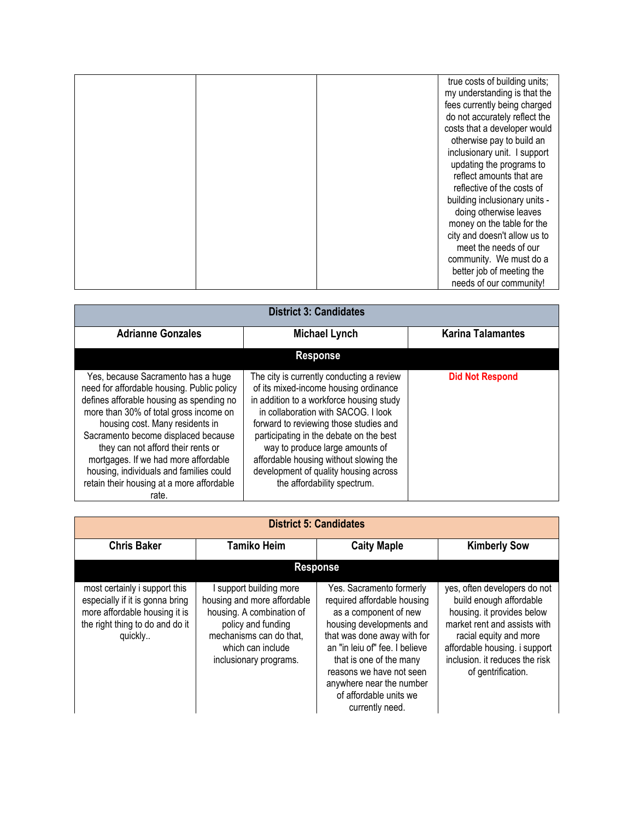|  | true costs of building units; |
|--|-------------------------------|
|  | my understanding is that the  |
|  | fees currently being charged  |
|  | do not accurately reflect the |
|  | costs that a developer would  |
|  | otherwise pay to build an     |
|  | inclusionary unit. I support  |
|  | updating the programs to      |
|  | reflect amounts that are      |
|  | reflective of the costs of    |
|  | building inclusionary units - |
|  | doing otherwise leaves        |
|  | money on the table for the    |
|  | city and doesn't allow us to  |
|  | meet the needs of our         |
|  | community. We must do a       |
|  | better job of meeting the     |
|  | needs of our community!       |

| <b>District 3: Candidates</b>                                                                                                                                                                                                                                                                                                                                                                                                   |                                                                                                                                                                                                                                                                                                                                                                                                                 |                          |
|---------------------------------------------------------------------------------------------------------------------------------------------------------------------------------------------------------------------------------------------------------------------------------------------------------------------------------------------------------------------------------------------------------------------------------|-----------------------------------------------------------------------------------------------------------------------------------------------------------------------------------------------------------------------------------------------------------------------------------------------------------------------------------------------------------------------------------------------------------------|--------------------------|
| <b>Adrianne Gonzales</b><br><b>Michael Lynch</b>                                                                                                                                                                                                                                                                                                                                                                                |                                                                                                                                                                                                                                                                                                                                                                                                                 | <b>Karina Talamantes</b> |
|                                                                                                                                                                                                                                                                                                                                                                                                                                 | <b>Response</b>                                                                                                                                                                                                                                                                                                                                                                                                 |                          |
| Yes, because Sacramento has a huge<br>need for affordable housing. Public policy<br>defines afforable housing as spending no<br>more than 30% of total gross income on<br>housing cost. Many residents in<br>Sacramento become displaced because<br>they can not afford their rents or<br>mortgages. If we had more affordable<br>housing, individuals and families could<br>retain their housing at a more affordable<br>rate. | The city is currently conducting a review<br>of its mixed-income housing ordinance<br>in addition to a workforce housing study<br>in collaboration with SACOG. I look<br>forward to reviewing those studies and<br>participating in the debate on the best<br>way to produce large amounts of<br>affordable housing without slowing the<br>development of quality housing across<br>the affordability spectrum. | <b>Did Not Respond</b>   |

| <b>District 5: Candidates</b>                                                                                                                   |                                                                                                                                                                                   |                                                                                                                                                                                                                                                                                                               |                                                                                                                                                                                                                                          |
|-------------------------------------------------------------------------------------------------------------------------------------------------|-----------------------------------------------------------------------------------------------------------------------------------------------------------------------------------|---------------------------------------------------------------------------------------------------------------------------------------------------------------------------------------------------------------------------------------------------------------------------------------------------------------|------------------------------------------------------------------------------------------------------------------------------------------------------------------------------------------------------------------------------------------|
| <b>Chris Baker</b>                                                                                                                              | <b>Tamiko Heim</b>                                                                                                                                                                | <b>Caity Maple</b>                                                                                                                                                                                                                                                                                            | <b>Kimberly Sow</b>                                                                                                                                                                                                                      |
|                                                                                                                                                 |                                                                                                                                                                                   | <b>Response</b>                                                                                                                                                                                                                                                                                               |                                                                                                                                                                                                                                          |
| most certainly i support this<br>especially if it is gonna bring<br>more affordable housing it is<br>the right thing to do and do it<br>quickly | support building more<br>housing and more affordable<br>housing. A combination of<br>policy and funding<br>mechanisms can do that,<br>which can include<br>inclusionary programs. | Yes. Sacramento formerly<br>required affordable housing<br>as a component of new<br>housing developments and<br>that was done away with for<br>an "in leiu of" fee. I believe<br>that is one of the many<br>reasons we have not seen<br>anywhere near the number<br>of affordable units we<br>currently need. | yes, often developers do not<br>build enough affordable<br>housing. it provides below<br>market rent and assists with<br>racial equity and more<br>affordable housing. i support<br>inclusion. it reduces the risk<br>of gentrification. |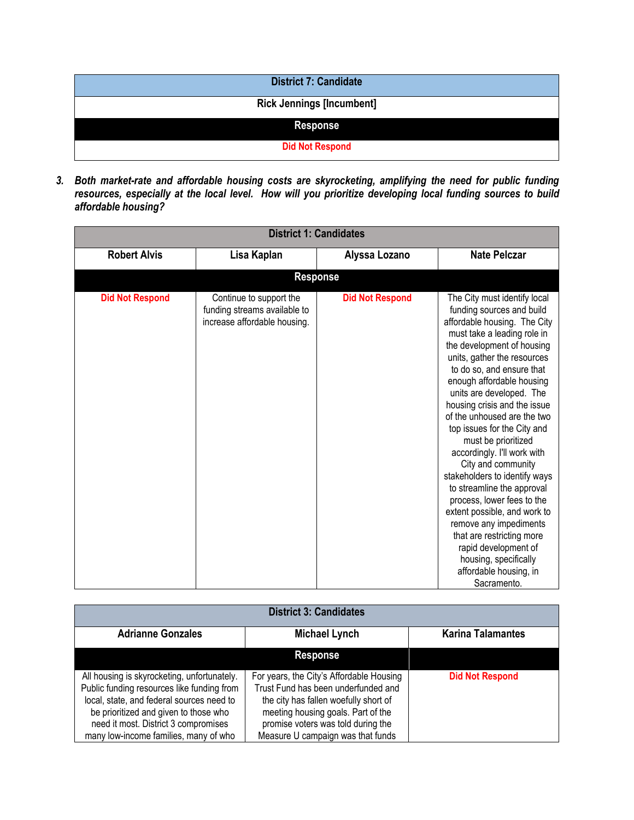| <b>District 7: Candidate</b>     |
|----------------------------------|
| <b>Rick Jennings [Incumbent]</b> |
| <b>Response</b>                  |
| <b>Did Not Respond</b>           |

*3. Both market-rate and affordable housing costs are skyrocketing, amplifying the need for public funding resources, especially at the local level. How will you prioritize developing local funding sources to build affordable housing?*

| <b>District 1: Candidates</b> |                                                                                         |                        |                                                                                                                                                                                                                                                                                                                                                                                                                                                                                                                                                                                                                                                                                                                                     |  |
|-------------------------------|-----------------------------------------------------------------------------------------|------------------------|-------------------------------------------------------------------------------------------------------------------------------------------------------------------------------------------------------------------------------------------------------------------------------------------------------------------------------------------------------------------------------------------------------------------------------------------------------------------------------------------------------------------------------------------------------------------------------------------------------------------------------------------------------------------------------------------------------------------------------------|--|
| <b>Robert Alvis</b>           | Lisa Kaplan                                                                             | Alyssa Lozano          | <b>Nate Pelczar</b>                                                                                                                                                                                                                                                                                                                                                                                                                                                                                                                                                                                                                                                                                                                 |  |
|                               | <b>Response</b>                                                                         |                        |                                                                                                                                                                                                                                                                                                                                                                                                                                                                                                                                                                                                                                                                                                                                     |  |
| <b>Did Not Respond</b>        | Continue to support the<br>funding streams available to<br>increase affordable housing. | <b>Did Not Respond</b> | The City must identify local<br>funding sources and build<br>affordable housing. The City<br>must take a leading role in<br>the development of housing<br>units, gather the resources<br>to do so, and ensure that<br>enough affordable housing<br>units are developed. The<br>housing crisis and the issue<br>of the unhoused are the two<br>top issues for the City and<br>must be prioritized<br>accordingly. I'll work with<br>City and community<br>stakeholders to identify ways<br>to streamline the approval<br>process, lower fees to the<br>extent possible, and work to<br>remove any impediments<br>that are restricting more<br>rapid development of<br>housing, specifically<br>affordable housing, in<br>Sacramento. |  |

| <b>District 3: Candidates</b>                                                                                                                                                                                                                                    |                                                                                                                                                                                                                                           |                          |  |  |
|------------------------------------------------------------------------------------------------------------------------------------------------------------------------------------------------------------------------------------------------------------------|-------------------------------------------------------------------------------------------------------------------------------------------------------------------------------------------------------------------------------------------|--------------------------|--|--|
| <b>Adrianne Gonzales</b>                                                                                                                                                                                                                                         | <b>Michael Lynch</b>                                                                                                                                                                                                                      | <b>Karina Talamantes</b> |  |  |
|                                                                                                                                                                                                                                                                  | <b>Response</b>                                                                                                                                                                                                                           |                          |  |  |
| All housing is skyrocketing, unfortunately.<br>Public funding resources like funding from<br>local, state, and federal sources need to<br>be prioritized and given to those who<br>need it most. District 3 compromises<br>many low-income families, many of who | For years, the City's Affordable Housing<br>Trust Fund has been underfunded and<br>the city has fallen woefully short of<br>meeting housing goals. Part of the<br>promise voters was told during the<br>Measure U campaign was that funds | <b>Did Not Respond</b>   |  |  |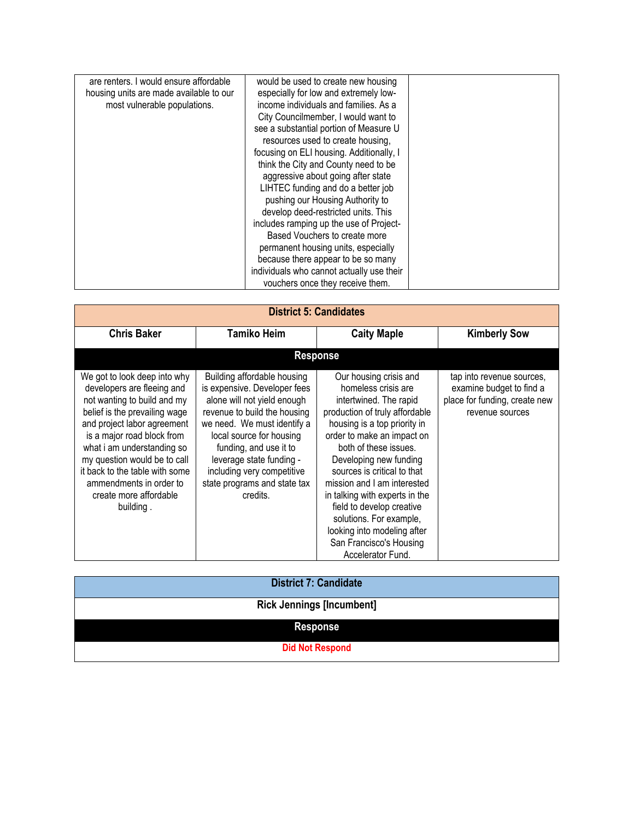| are renters. I would ensure affordable<br>housing units are made available to our<br>most vulnerable populations. | would be used to create new housing<br>especially for low and extremely low-<br>income individuals and families. As a<br>City Councilmember, I would want to<br>see a substantial portion of Measure U<br>resources used to create housing,<br>focusing on ELI housing. Additionally, I<br>think the City and County need to be<br>aggressive about going after state<br>LIHTEC funding and do a better job<br>pushing our Housing Authority to<br>develop deed-restricted units. This<br>includes ramping up the use of Project-<br>Based Vouchers to create more<br>permanent housing units, especially<br>because there appear to be so many<br>individuals who cannot actually use their<br>vouchers once they receive them. |  |
|-------------------------------------------------------------------------------------------------------------------|----------------------------------------------------------------------------------------------------------------------------------------------------------------------------------------------------------------------------------------------------------------------------------------------------------------------------------------------------------------------------------------------------------------------------------------------------------------------------------------------------------------------------------------------------------------------------------------------------------------------------------------------------------------------------------------------------------------------------------|--|
|-------------------------------------------------------------------------------------------------------------------|----------------------------------------------------------------------------------------------------------------------------------------------------------------------------------------------------------------------------------------------------------------------------------------------------------------------------------------------------------------------------------------------------------------------------------------------------------------------------------------------------------------------------------------------------------------------------------------------------------------------------------------------------------------------------------------------------------------------------------|--|

|                                                                                                                                                                                                                                                                                                                                                           |                                                                                                                                                                                                                                                                                                                       | <b>District 5: Candidates</b>                                                                                                                                                                                                                                                                                                                                                                                                                                     |                                                                                                           |
|-----------------------------------------------------------------------------------------------------------------------------------------------------------------------------------------------------------------------------------------------------------------------------------------------------------------------------------------------------------|-----------------------------------------------------------------------------------------------------------------------------------------------------------------------------------------------------------------------------------------------------------------------------------------------------------------------|-------------------------------------------------------------------------------------------------------------------------------------------------------------------------------------------------------------------------------------------------------------------------------------------------------------------------------------------------------------------------------------------------------------------------------------------------------------------|-----------------------------------------------------------------------------------------------------------|
| <b>Chris Baker</b>                                                                                                                                                                                                                                                                                                                                        | <b>Tamiko Heim</b>                                                                                                                                                                                                                                                                                                    | <b>Caity Maple</b>                                                                                                                                                                                                                                                                                                                                                                                                                                                | <b>Kimberly Sow</b>                                                                                       |
|                                                                                                                                                                                                                                                                                                                                                           |                                                                                                                                                                                                                                                                                                                       | <b>Response</b>                                                                                                                                                                                                                                                                                                                                                                                                                                                   |                                                                                                           |
| We got to look deep into why<br>developers are fleeing and<br>not wanting to build and my<br>belief is the prevailing wage<br>and project labor agreement<br>is a major road block from<br>what i am understanding so<br>my question would be to call<br>it back to the table with some<br>ammendments in order to<br>create more affordable<br>building. | Building affordable housing<br>is expensive. Developer fees<br>alone will not yield enough<br>revenue to build the housing<br>we need. We must identify a<br>local source for housing<br>funding, and use it to<br>leverage state funding -<br>including very competitive<br>state programs and state tax<br>credits. | Our housing crisis and<br>homeless crisis are<br>intertwined. The rapid<br>production of truly affordable<br>housing is a top priority in<br>order to make an impact on<br>both of these issues.<br>Developing new funding<br>sources is critical to that<br>mission and I am interested<br>in talking with experts in the<br>field to develop creative<br>solutions. For example,<br>looking into modeling after<br>San Francisco's Housing<br>Accelerator Fund. | tap into revenue sources,<br>examine budget to find a<br>place for funding, create new<br>revenue sources |

| <b>District 7: Candidate</b>     |
|----------------------------------|
| <b>Rick Jennings [Incumbent]</b> |
| <b>Response</b>                  |
| <b>Did Not Respond</b>           |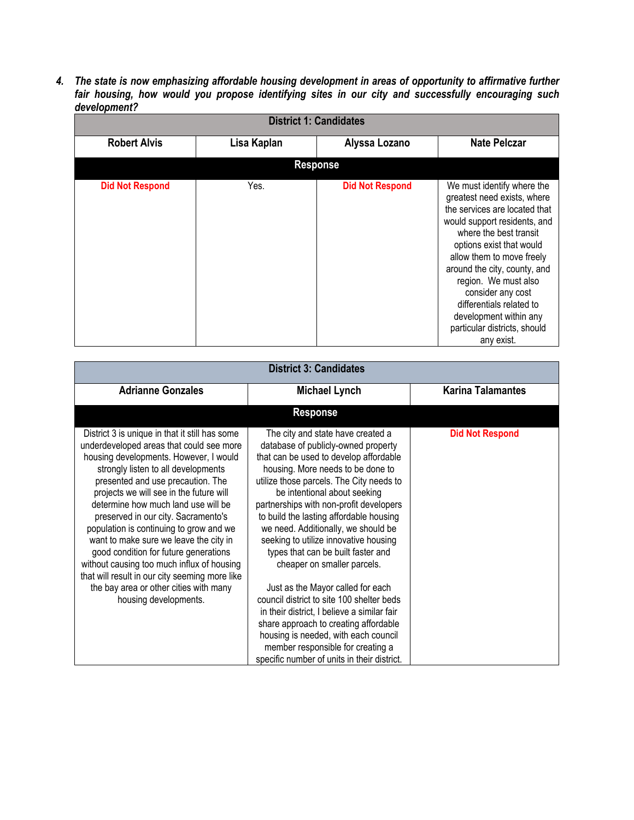*4. The state is now emphasizing affordable housing development in areas of opportunity to affirmative further fair housing, how would you propose identifying sites in our city and successfully encouraging such development?*

| <b>District 1: Candidates</b> |             |                        |                                                                                                                                                                                                                                                                                                                                                                                                |  |
|-------------------------------|-------------|------------------------|------------------------------------------------------------------------------------------------------------------------------------------------------------------------------------------------------------------------------------------------------------------------------------------------------------------------------------------------------------------------------------------------|--|
| <b>Robert Alvis</b>           | Lisa Kaplan | Alyssa Lozano          | <b>Nate Pelczar</b>                                                                                                                                                                                                                                                                                                                                                                            |  |
|                               |             | <b>Response</b>        |                                                                                                                                                                                                                                                                                                                                                                                                |  |
| <b>Did Not Respond</b>        | Yes.        | <b>Did Not Respond</b> | We must identify where the<br>greatest need exists, where<br>the services are located that<br>would support residents, and<br>where the best transit<br>options exist that would<br>allow them to move freely<br>around the city, county, and<br>region. We must also<br>consider any cost<br>differentials related to<br>development within any<br>particular districts, should<br>any exist. |  |

| <b>District 3: Candidates</b>                                                                                                                                                                                                                                                                                                                                                                                                                                                                                                                                                                                                              |                                                                                                                                                                                                                                                                                                                                                                                                                                                                                                                                                                                                                                                                                                                                                                                      |                          |  |
|--------------------------------------------------------------------------------------------------------------------------------------------------------------------------------------------------------------------------------------------------------------------------------------------------------------------------------------------------------------------------------------------------------------------------------------------------------------------------------------------------------------------------------------------------------------------------------------------------------------------------------------------|--------------------------------------------------------------------------------------------------------------------------------------------------------------------------------------------------------------------------------------------------------------------------------------------------------------------------------------------------------------------------------------------------------------------------------------------------------------------------------------------------------------------------------------------------------------------------------------------------------------------------------------------------------------------------------------------------------------------------------------------------------------------------------------|--------------------------|--|
| <b>Adrianne Gonzales</b>                                                                                                                                                                                                                                                                                                                                                                                                                                                                                                                                                                                                                   | <b>Michael Lynch</b>                                                                                                                                                                                                                                                                                                                                                                                                                                                                                                                                                                                                                                                                                                                                                                 | <b>Karina Talamantes</b> |  |
|                                                                                                                                                                                                                                                                                                                                                                                                                                                                                                                                                                                                                                            | <b>Response</b>                                                                                                                                                                                                                                                                                                                                                                                                                                                                                                                                                                                                                                                                                                                                                                      |                          |  |
| District 3 is unique in that it still has some<br>underdeveloped areas that could see more<br>housing developments. However, I would<br>strongly listen to all developments<br>presented and use precaution. The<br>projects we will see in the future will<br>determine how much land use will be<br>preserved in our city. Sacramento's<br>population is continuing to grow and we<br>want to make sure we leave the city in<br>good condition for future generations<br>without causing too much influx of housing<br>that will result in our city seeming more like<br>the bay area or other cities with many<br>housing developments. | The city and state have created a<br>database of publicly-owned property<br>that can be used to develop affordable<br>housing. More needs to be done to<br>utilize those parcels. The City needs to<br>be intentional about seeking<br>partnerships with non-profit developers<br>to build the lasting affordable housing<br>we need. Additionally, we should be<br>seeking to utilize innovative housing<br>types that can be built faster and<br>cheaper on smaller parcels.<br>Just as the Mayor called for each<br>council district to site 100 shelter beds<br>in their district, I believe a similar fair<br>share approach to creating affordable<br>housing is needed, with each council<br>member responsible for creating a<br>specific number of units in their district. | <b>Did Not Respond</b>   |  |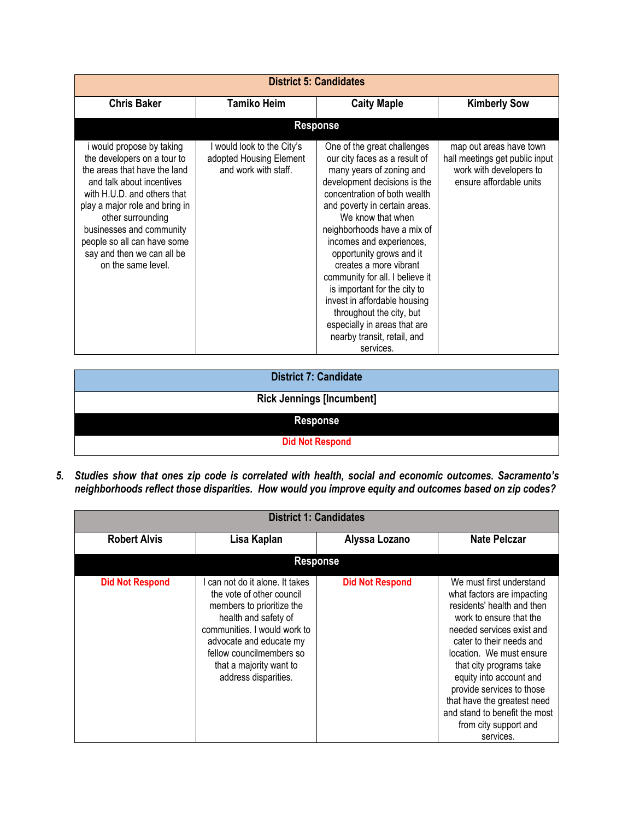| <b>District 5: Candidates</b>                                                                                                                                                                                                                                                                                              |                                                                               |                                                                                                                                                                                                                                                                                                                                                                                                                                                                                                                                            |                                                                                                                 |
|----------------------------------------------------------------------------------------------------------------------------------------------------------------------------------------------------------------------------------------------------------------------------------------------------------------------------|-------------------------------------------------------------------------------|--------------------------------------------------------------------------------------------------------------------------------------------------------------------------------------------------------------------------------------------------------------------------------------------------------------------------------------------------------------------------------------------------------------------------------------------------------------------------------------------------------------------------------------------|-----------------------------------------------------------------------------------------------------------------|
| <b>Chris Baker</b>                                                                                                                                                                                                                                                                                                         | <b>Tamiko Heim</b>                                                            | <b>Caity Maple</b>                                                                                                                                                                                                                                                                                                                                                                                                                                                                                                                         | <b>Kimberly Sow</b>                                                                                             |
|                                                                                                                                                                                                                                                                                                                            |                                                                               | <b>Response</b>                                                                                                                                                                                                                                                                                                                                                                                                                                                                                                                            |                                                                                                                 |
| i would propose by taking<br>the developers on a tour to<br>the areas that have the land<br>and talk about incentives<br>with H.U.D. and others that<br>play a major role and bring in<br>other surrounding<br>businesses and community<br>people so all can have some<br>say and then we can all be<br>on the same level. | I would look to the City's<br>adopted Housing Element<br>and work with staff. | One of the great challenges<br>our city faces as a result of<br>many years of zoning and<br>development decisions is the<br>concentration of both wealth<br>and poverty in certain areas.<br>We know that when<br>neighborhoods have a mix of<br>incomes and experiences,<br>opportunity grows and it<br>creates a more vibrant<br>community for all. I believe it<br>is important for the city to<br>invest in affordable housing<br>throughout the city, but<br>especially in areas that are<br>nearby transit, retail, and<br>services. | map out areas have town<br>hall meetings get public input<br>work with developers to<br>ensure affordable units |

**District 7: Candidate**

#### **Rick Jennings [Incumbent]**

**Response**

**Did Not Respond**

*5. Studies show that ones zip code is correlated with health, social and economic outcomes. Sacramento's neighborhoods reflect those disparities. How would you improve equity and outcomes based on zip codes?*

| <b>District 1: Candidates</b> |                                                                                                                                                                                                                                                             |                        |                                                                                                                                                                                                                                                                                                                                                                                               |  |
|-------------------------------|-------------------------------------------------------------------------------------------------------------------------------------------------------------------------------------------------------------------------------------------------------------|------------------------|-----------------------------------------------------------------------------------------------------------------------------------------------------------------------------------------------------------------------------------------------------------------------------------------------------------------------------------------------------------------------------------------------|--|
| <b>Robert Alvis</b>           | Lisa Kaplan                                                                                                                                                                                                                                                 | Alyssa Lozano          | <b>Nate Pelczar</b>                                                                                                                                                                                                                                                                                                                                                                           |  |
|                               | <b>Response</b>                                                                                                                                                                                                                                             |                        |                                                                                                                                                                                                                                                                                                                                                                                               |  |
| <b>Did Not Respond</b>        | I can not do it alone. It takes<br>the vote of other council<br>members to prioritize the<br>health and safety of<br>communities. I would work to<br>advocate and educate my<br>fellow councilmembers so<br>that a majority want to<br>address disparities. | <b>Did Not Respond</b> | We must first understand<br>what factors are impacting<br>residents' health and then<br>work to ensure that the<br>needed services exist and<br>cater to their needs and<br>location. We must ensure<br>that city programs take<br>equity into account and<br>provide services to those<br>that have the greatest need<br>and stand to benefit the most<br>from city support and<br>services. |  |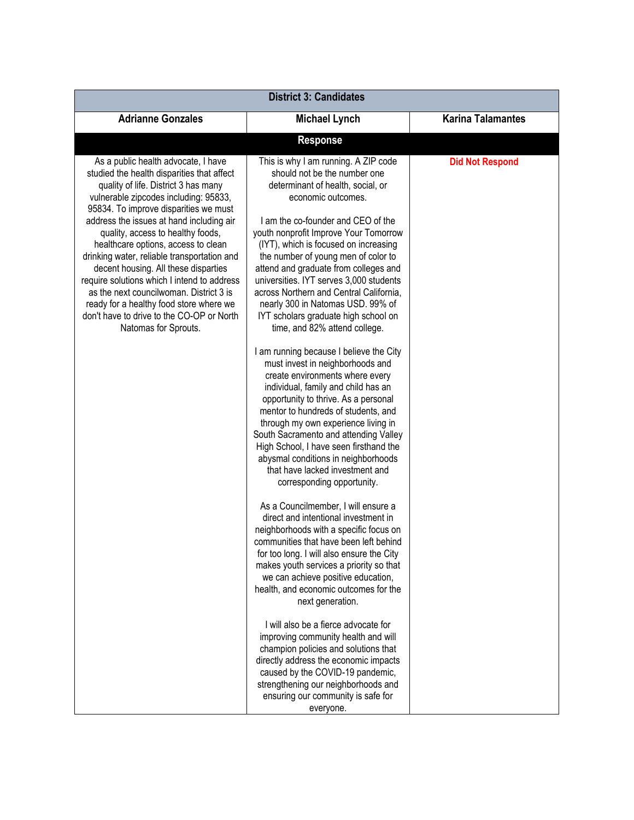| <b>District 3: Candidates</b>                                                                                                                                                                                                                                                                                                                                                                                                                                                                                                                                                                                                        |                                                                                                                                                                                                                                                                                                                                                                                                                                                                                                                                                                                                                                                                                                                                                                                                                                                                                                                                                                                                                                                                                                                                                                                                                                                                                                                                                                                                                                                                                                                                                                                                                                                                                   |                          |  |
|--------------------------------------------------------------------------------------------------------------------------------------------------------------------------------------------------------------------------------------------------------------------------------------------------------------------------------------------------------------------------------------------------------------------------------------------------------------------------------------------------------------------------------------------------------------------------------------------------------------------------------------|-----------------------------------------------------------------------------------------------------------------------------------------------------------------------------------------------------------------------------------------------------------------------------------------------------------------------------------------------------------------------------------------------------------------------------------------------------------------------------------------------------------------------------------------------------------------------------------------------------------------------------------------------------------------------------------------------------------------------------------------------------------------------------------------------------------------------------------------------------------------------------------------------------------------------------------------------------------------------------------------------------------------------------------------------------------------------------------------------------------------------------------------------------------------------------------------------------------------------------------------------------------------------------------------------------------------------------------------------------------------------------------------------------------------------------------------------------------------------------------------------------------------------------------------------------------------------------------------------------------------------------------------------------------------------------------|--------------------------|--|
| <b>Adrianne Gonzales</b>                                                                                                                                                                                                                                                                                                                                                                                                                                                                                                                                                                                                             | <b>Michael Lynch</b>                                                                                                                                                                                                                                                                                                                                                                                                                                                                                                                                                                                                                                                                                                                                                                                                                                                                                                                                                                                                                                                                                                                                                                                                                                                                                                                                                                                                                                                                                                                                                                                                                                                              | <b>Karina Talamantes</b> |  |
|                                                                                                                                                                                                                                                                                                                                                                                                                                                                                                                                                                                                                                      | <b>Response</b>                                                                                                                                                                                                                                                                                                                                                                                                                                                                                                                                                                                                                                                                                                                                                                                                                                                                                                                                                                                                                                                                                                                                                                                                                                                                                                                                                                                                                                                                                                                                                                                                                                                                   |                          |  |
| As a public health advocate, I have<br>studied the health disparities that affect<br>quality of life. District 3 has many<br>vulnerable zipcodes including: 95833,<br>95834. To improve disparities we must<br>address the issues at hand including air<br>quality, access to healthy foods,<br>healthcare options, access to clean<br>drinking water, reliable transportation and<br>decent housing. All these disparties<br>require solutions which I intend to address<br>as the next councilwoman. District 3 is<br>ready for a healthy food store where we<br>don't have to drive to the CO-OP or North<br>Natomas for Sprouts. | This is why I am running. A ZIP code<br>should not be the number one<br>determinant of health, social, or<br>economic outcomes.<br>I am the co-founder and CEO of the<br>youth nonprofit Improve Your Tomorrow<br>(IYT), which is focused on increasing<br>the number of young men of color to<br>attend and graduate from colleges and<br>universities. IYT serves 3,000 students<br>across Northern and Central California,<br>nearly 300 in Natomas USD. 99% of<br>IYT scholars graduate high school on<br>time, and 82% attend college.<br>I am running because I believe the City<br>must invest in neighborhoods and<br>create environments where every<br>individual, family and child has an<br>opportunity to thrive. As a personal<br>mentor to hundreds of students, and<br>through my own experience living in<br>South Sacramento and attending Valley<br>High School, I have seen firsthand the<br>abysmal conditions in neighborhoods<br>that have lacked investment and<br>corresponding opportunity.<br>As a Councilmember, I will ensure a<br>direct and intentional investment in<br>neighborhoods with a specific focus on<br>communities that have been left behind<br>for too long. I will also ensure the City<br>makes youth services a priority so that<br>we can achieve positive education,<br>health, and economic outcomes for the<br>next generation.<br>I will also be a fierce advocate for<br>improving community health and will<br>champion policies and solutions that<br>directly address the economic impacts<br>caused by the COVID-19 pandemic,<br>strengthening our neighborhoods and<br>ensuring our community is safe for<br>everyone. | <b>Did Not Respond</b>   |  |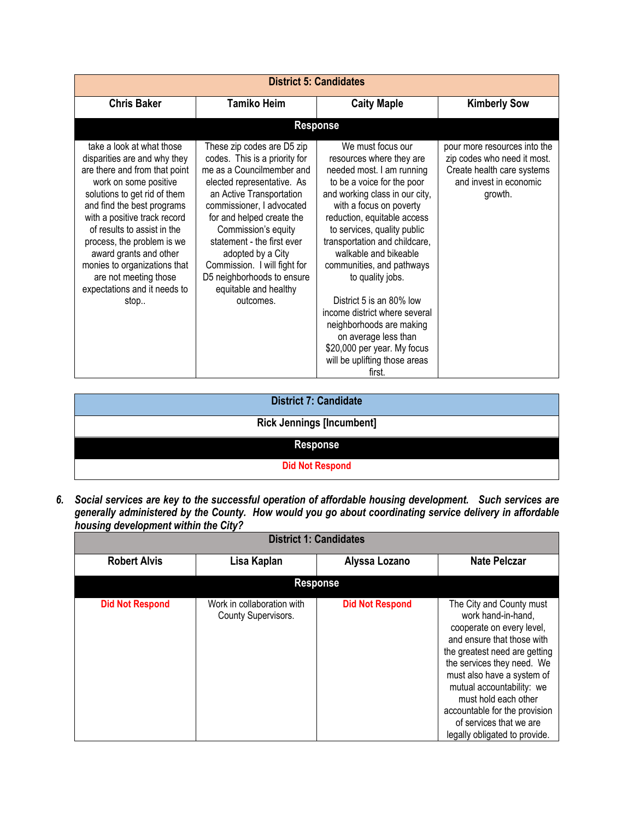|                                                                                                                                                                                                                                                                                                                                                                                                           |                                                                                                                                                                                                                                                                                                                                                                                            | <b>District 5: Candidates</b>                                                                                                                                                                                                                                                                                                                                                                                                                                                                                                             |                                                                                                                                |
|-----------------------------------------------------------------------------------------------------------------------------------------------------------------------------------------------------------------------------------------------------------------------------------------------------------------------------------------------------------------------------------------------------------|--------------------------------------------------------------------------------------------------------------------------------------------------------------------------------------------------------------------------------------------------------------------------------------------------------------------------------------------------------------------------------------------|-------------------------------------------------------------------------------------------------------------------------------------------------------------------------------------------------------------------------------------------------------------------------------------------------------------------------------------------------------------------------------------------------------------------------------------------------------------------------------------------------------------------------------------------|--------------------------------------------------------------------------------------------------------------------------------|
| <b>Chris Baker</b>                                                                                                                                                                                                                                                                                                                                                                                        | <b>Tamiko Heim</b>                                                                                                                                                                                                                                                                                                                                                                         | <b>Caity Maple</b>                                                                                                                                                                                                                                                                                                                                                                                                                                                                                                                        | <b>Kimberly Sow</b>                                                                                                            |
|                                                                                                                                                                                                                                                                                                                                                                                                           |                                                                                                                                                                                                                                                                                                                                                                                            | <b>Response</b>                                                                                                                                                                                                                                                                                                                                                                                                                                                                                                                           |                                                                                                                                |
| take a look at what those<br>disparities are and why they<br>are there and from that point<br>work on some positive<br>solutions to get rid of them<br>and find the best programs<br>with a positive track record<br>of results to assist in the<br>process, the problem is we<br>award grants and other<br>monies to organizations that<br>are not meeting those<br>expectations and it needs to<br>stop | These zip codes are D5 zip<br>codes. This is a priority for<br>me as a Councilmember and<br>elected representative. As<br>an Active Transportation<br>commissioner, I advocated<br>for and helped create the<br>Commission's equity<br>statement - the first ever<br>adopted by a City<br>Commission. I will fight for<br>D5 neighborhoods to ensure<br>equitable and healthy<br>outcomes. | We must focus our<br>resources where they are<br>needed most. I am running<br>to be a voice for the poor<br>and working class in our city,<br>with a focus on poverty<br>reduction, equitable access<br>to services, quality public<br>transportation and childcare,<br>walkable and bikeable<br>communities, and pathways<br>to quality jobs.<br>District 5 is an 80% low<br>income district where several<br>neighborhoods are making<br>on average less than<br>\$20,000 per year. My focus<br>will be uplifting those areas<br>first. | pour more resources into the<br>zip codes who need it most.<br>Create health care systems<br>and invest in economic<br>growth. |

| <b>District 7: Candidate</b>     |
|----------------------------------|
| <b>Rick Jennings [Incumbent]</b> |
| <b>Response</b>                  |
| <b>Did Not Respond</b>           |

*6. Social services are key to the successful operation of affordable housing development. Such services are generally administered by the County. How would you go about coordinating service delivery in affordable housing development within the City?* 

| <b>District 1: Candidates</b> |                                                   |                        |                                                                                                                                                                                                                                                                                                                                                          |  |
|-------------------------------|---------------------------------------------------|------------------------|----------------------------------------------------------------------------------------------------------------------------------------------------------------------------------------------------------------------------------------------------------------------------------------------------------------------------------------------------------|--|
| <b>Robert Alvis</b>           | Lisa Kaplan                                       | Alyssa Lozano          | <b>Nate Pelczar</b>                                                                                                                                                                                                                                                                                                                                      |  |
|                               | <b>Response</b>                                   |                        |                                                                                                                                                                                                                                                                                                                                                          |  |
| <b>Did Not Respond</b>        | Work in collaboration with<br>County Supervisors. | <b>Did Not Respond</b> | The City and County must<br>work hand-in-hand,<br>cooperate on every level,<br>and ensure that those with<br>the greatest need are getting<br>the services they need. We<br>must also have a system of<br>mutual accountability: we<br>must hold each other<br>accountable for the provision<br>of services that we are<br>legally obligated to provide. |  |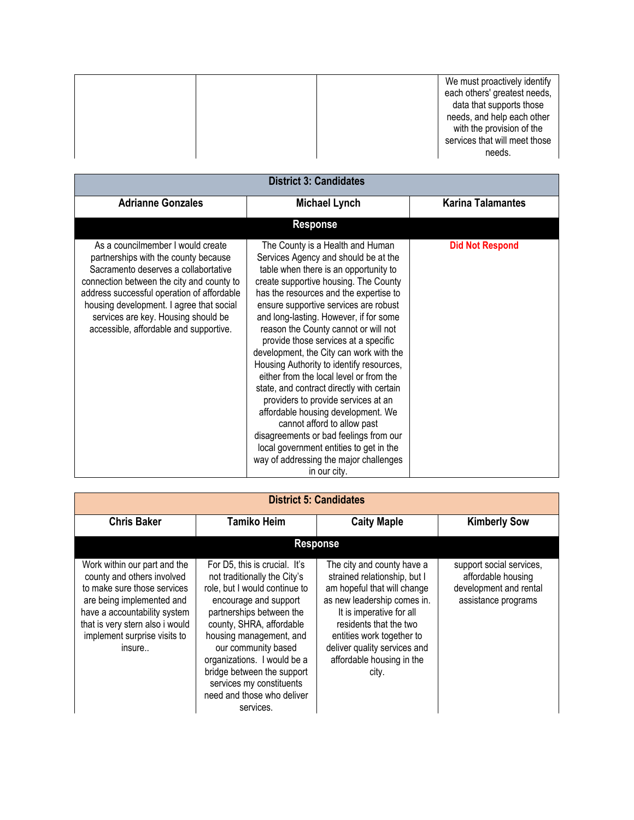| We must proactively identify<br>each others' greatest needs,<br>data that supports those<br>needs, and help each other<br>with the provision of the |
|-----------------------------------------------------------------------------------------------------------------------------------------------------|
| services that will meet those<br>needs.                                                                                                             |

| <b>District 3: Candidates</b>                                                                                                                                                                                                                                                                                                             |                                                                                                                                                                                                                                                                                                                                                                                                                                                                                                                                                                                                                                                                                                                                                                                                                   |                          |  |  |
|-------------------------------------------------------------------------------------------------------------------------------------------------------------------------------------------------------------------------------------------------------------------------------------------------------------------------------------------|-------------------------------------------------------------------------------------------------------------------------------------------------------------------------------------------------------------------------------------------------------------------------------------------------------------------------------------------------------------------------------------------------------------------------------------------------------------------------------------------------------------------------------------------------------------------------------------------------------------------------------------------------------------------------------------------------------------------------------------------------------------------------------------------------------------------|--------------------------|--|--|
| <b>Adrianne Gonzales</b>                                                                                                                                                                                                                                                                                                                  | <b>Michael Lynch</b>                                                                                                                                                                                                                                                                                                                                                                                                                                                                                                                                                                                                                                                                                                                                                                                              | <b>Karina Talamantes</b> |  |  |
|                                                                                                                                                                                                                                                                                                                                           | <b>Response</b>                                                                                                                                                                                                                                                                                                                                                                                                                                                                                                                                                                                                                                                                                                                                                                                                   |                          |  |  |
| As a councilmember I would create<br>partnerships with the county because<br>Sacramento deserves a collabortative<br>connection between the city and county to<br>address successful operation of affordable<br>housing development. I agree that social<br>services are key. Housing should be<br>accessible, affordable and supportive. | The County is a Health and Human<br>Services Agency and should be at the<br>table when there is an opportunity to<br>create supportive housing. The County<br>has the resources and the expertise to<br>ensure supportive services are robust<br>and long-lasting. However, if for some<br>reason the County cannot or will not<br>provide those services at a specific<br>development, the City can work with the<br>Housing Authority to identify resources,<br>either from the local level or from the<br>state, and contract directly with certain<br>providers to provide services at an<br>affordable housing development. We<br>cannot afford to allow past<br>disagreements or bad feelings from our<br>local government entities to get in the<br>way of addressing the major challenges<br>in our city. | <b>Did Not Respond</b>   |  |  |

| <b>District 5: Candidates</b>                                                                                                                                                                                                       |                                                                                                                                                                                                                                                                                                                                                                       |                                                                                                                                                                                                                                                                                   |                                                                                                 |
|-------------------------------------------------------------------------------------------------------------------------------------------------------------------------------------------------------------------------------------|-----------------------------------------------------------------------------------------------------------------------------------------------------------------------------------------------------------------------------------------------------------------------------------------------------------------------------------------------------------------------|-----------------------------------------------------------------------------------------------------------------------------------------------------------------------------------------------------------------------------------------------------------------------------------|-------------------------------------------------------------------------------------------------|
| <b>Chris Baker</b>                                                                                                                                                                                                                  | <b>Tamiko Heim</b>                                                                                                                                                                                                                                                                                                                                                    | <b>Caity Maple</b>                                                                                                                                                                                                                                                                | <b>Kimberly Sow</b>                                                                             |
| <b>Response</b>                                                                                                                                                                                                                     |                                                                                                                                                                                                                                                                                                                                                                       |                                                                                                                                                                                                                                                                                   |                                                                                                 |
| Work within our part and the<br>county and others involved<br>to make sure those services<br>are being implemented and<br>have a accountability system<br>that is very stern also i would<br>implement surprise visits to<br>insure | For D5, this is crucial. It's<br>not traditionally the City's<br>role, but I would continue to<br>encourage and support<br>partnerships between the<br>county, SHRA, affordable<br>housing management, and<br>our community based<br>organizations. I would be a<br>bridge between the support<br>services my constituents<br>need and those who deliver<br>services. | The city and county have a<br>strained relationship, but I<br>am hopeful that will change<br>as new leadership comes in.<br>It is imperative for all<br>residents that the two<br>entities work together to<br>deliver quality services and<br>affordable housing in the<br>city. | support social services,<br>affordable housing<br>development and rental<br>assistance programs |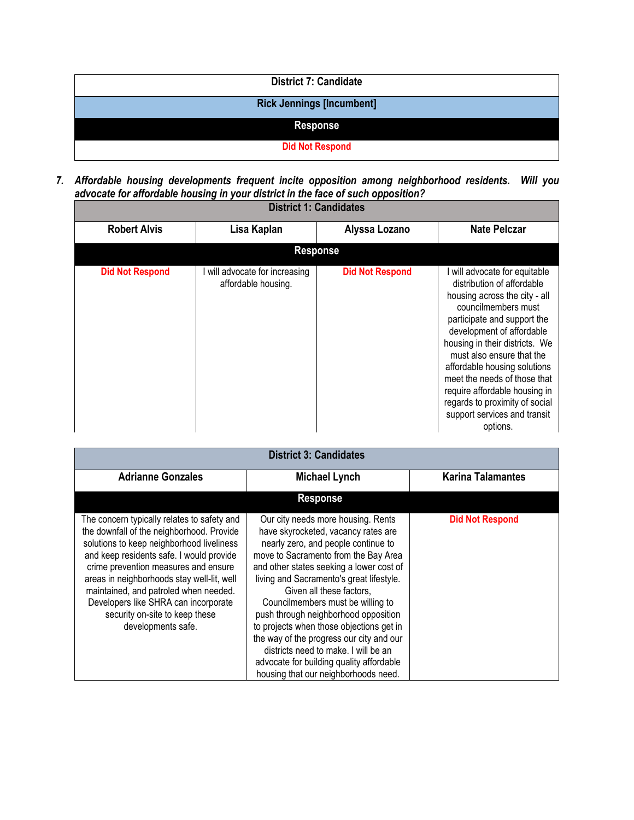| <b>District 7: Candidate</b>     |
|----------------------------------|
| <b>Rick Jennings [Incumbent]</b> |
| <b>Response</b>                  |
| <b>Did Not Respond</b>           |

*7. Affordable housing developments frequent incite opposition among neighborhood residents. Will you advocate for affordable housing in your district in the face of such opposition?* 

| <b>District 1: Candidates</b> |                                                       |                        |                                                                                                                                                                                                                                                                                                                                                                                                                               |  |
|-------------------------------|-------------------------------------------------------|------------------------|-------------------------------------------------------------------------------------------------------------------------------------------------------------------------------------------------------------------------------------------------------------------------------------------------------------------------------------------------------------------------------------------------------------------------------|--|
| <b>Robert Alvis</b>           | Lisa Kaplan                                           | Alyssa Lozano          | <b>Nate Pelczar</b>                                                                                                                                                                                                                                                                                                                                                                                                           |  |
|                               |                                                       | <b>Response</b>        |                                                                                                                                                                                                                                                                                                                                                                                                                               |  |
| <b>Did Not Respond</b>        | I will advocate for increasing<br>affordable housing. | <b>Did Not Respond</b> | I will advocate for equitable<br>distribution of affordable<br>housing across the city - all<br>councilmembers must<br>participate and support the<br>development of affordable<br>housing in their districts. We<br>must also ensure that the<br>affordable housing solutions<br>meet the needs of those that<br>require affordable housing in<br>regards to proximity of social<br>support services and transit<br>options. |  |

| <b>District 3: Candidates</b>                                                                                                                                                                                                                                                                                                                                                                                    |                                                                                                                                                                                                                                                                                                                                                                                                                                                                                                                                                                               |                        |  |  |  |  |
|------------------------------------------------------------------------------------------------------------------------------------------------------------------------------------------------------------------------------------------------------------------------------------------------------------------------------------------------------------------------------------------------------------------|-------------------------------------------------------------------------------------------------------------------------------------------------------------------------------------------------------------------------------------------------------------------------------------------------------------------------------------------------------------------------------------------------------------------------------------------------------------------------------------------------------------------------------------------------------------------------------|------------------------|--|--|--|--|
| <b>Adrianne Gonzales</b>                                                                                                                                                                                                                                                                                                                                                                                         | <b>Michael Lynch</b>                                                                                                                                                                                                                                                                                                                                                                                                                                                                                                                                                          |                        |  |  |  |  |
|                                                                                                                                                                                                                                                                                                                                                                                                                  | <b>Response</b>                                                                                                                                                                                                                                                                                                                                                                                                                                                                                                                                                               |                        |  |  |  |  |
| The concern typically relates to safety and<br>the downfall of the neighborhood. Provide<br>solutions to keep neighborhood liveliness<br>and keep residents safe. I would provide<br>crime prevention measures and ensure<br>areas in neighborhoods stay well-lit, well<br>maintained, and patroled when needed.<br>Developers like SHRA can incorporate<br>security on-site to keep these<br>developments safe. | Our city needs more housing. Rents<br>have skyrocketed, vacancy rates are<br>nearly zero, and people continue to<br>move to Sacramento from the Bay Area<br>and other states seeking a lower cost of<br>living and Sacramento's great lifestyle.<br>Given all these factors,<br>Councilmembers must be willing to<br>push through neighborhood opposition<br>to projects when those objections get in<br>the way of the progress our city and our<br>districts need to make. I will be an<br>advocate for building quality affordable<br>housing that our neighborhoods need. | <b>Did Not Respond</b> |  |  |  |  |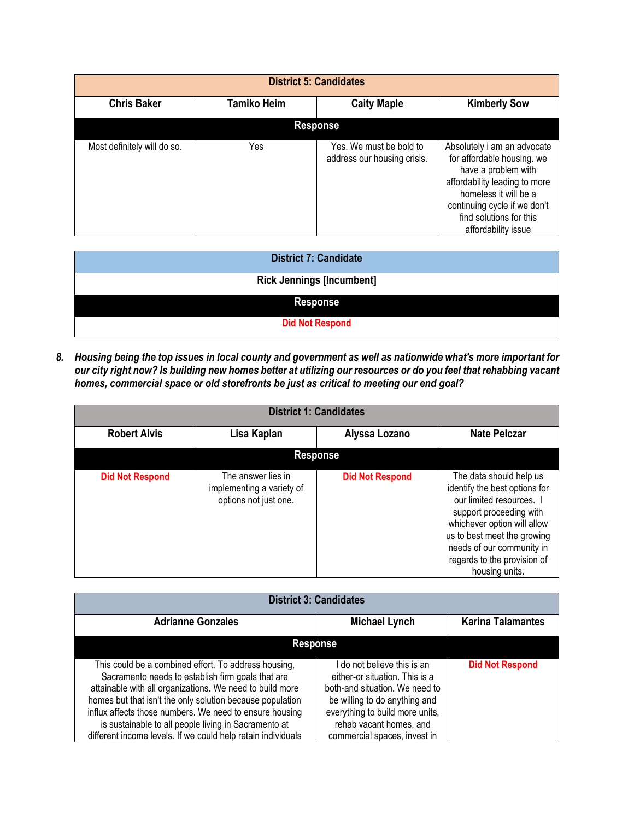|                             |             | <b>District 5: Candidates</b>                          |                                                                                                                                                                                                                              |  |
|-----------------------------|-------------|--------------------------------------------------------|------------------------------------------------------------------------------------------------------------------------------------------------------------------------------------------------------------------------------|--|
| <b>Chris Baker</b>          | Tamiko Heim | <b>Caity Maple</b>                                     | <b>Kimberly Sow</b>                                                                                                                                                                                                          |  |
| <b>Response</b>             |             |                                                        |                                                                                                                                                                                                                              |  |
| Most definitely will do so. | Yes         | Yes. We must be bold to<br>address our housing crisis. | Absolutely i am an advocate<br>for affordable housing. we<br>have a problem with<br>affordability leading to more<br>homeless it will be a<br>continuing cycle if we don't<br>find solutions for this<br>affordability issue |  |

| <b>District 7: Candidate</b>     |
|----------------------------------|
| <b>Rick Jennings [Incumbent]</b> |
| <b>Response</b>                  |
| <b>Did Not Respond</b>           |

*8. Housing being the top issues in local county and government as well as nationwide what's more important for our city right now? Is building new homes better at utilizing our resources or do you feel that rehabbing vacant homes, commercial space or old storefronts be just as critical to meeting our end goal?*

| <b>District 1: Candidates</b> |                                                                          |                        |                                                                                                                                                                                                                                                             |  |
|-------------------------------|--------------------------------------------------------------------------|------------------------|-------------------------------------------------------------------------------------------------------------------------------------------------------------------------------------------------------------------------------------------------------------|--|
| <b>Robert Alvis</b>           | Lisa Kaplan                                                              | Alyssa Lozano          | <b>Nate Pelczar</b>                                                                                                                                                                                                                                         |  |
| <b>Response</b>               |                                                                          |                        |                                                                                                                                                                                                                                                             |  |
| <b>Did Not Respond</b>        | The answer lies in<br>implementing a variety of<br>options not just one. | <b>Did Not Respond</b> | The data should help us<br>identify the best options for<br>our limited resources. I<br>support proceeding with<br>whichever option will allow<br>us to best meet the growing<br>needs of our community in<br>regards to the provision of<br>housing units. |  |

| <b>District 3: Candidates</b>                                                                                                                                                                                                                                                                                                                                                                                         |                                                                                                                                                                                                                              |                          |  |  |
|-----------------------------------------------------------------------------------------------------------------------------------------------------------------------------------------------------------------------------------------------------------------------------------------------------------------------------------------------------------------------------------------------------------------------|------------------------------------------------------------------------------------------------------------------------------------------------------------------------------------------------------------------------------|--------------------------|--|--|
| <b>Adrianne Gonzales</b>                                                                                                                                                                                                                                                                                                                                                                                              | <b>Michael Lynch</b>                                                                                                                                                                                                         | <b>Karina Talamantes</b> |  |  |
| <b>Response</b>                                                                                                                                                                                                                                                                                                                                                                                                       |                                                                                                                                                                                                                              |                          |  |  |
| This could be a combined effort. To address housing,<br>Sacramento needs to establish firm goals that are<br>attainable with all organizations. We need to build more<br>homes but that isn't the only solution because population<br>influx affects those numbers. We need to ensure housing<br>is sustainable to all people living in Sacramento at<br>different income levels. If we could help retain individuals | do not believe this is an<br>either-or situation. This is a<br>both-and situation. We need to<br>be willing to do anything and<br>everything to build more units,<br>rehab vacant homes, and<br>commercial spaces, invest in | <b>Did Not Respond</b>   |  |  |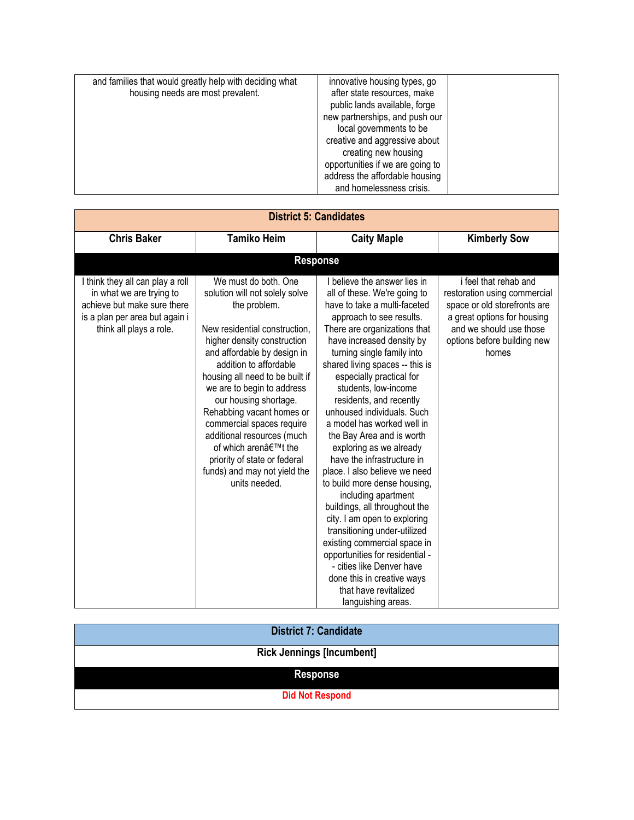| and families that would greatly help with deciding what<br>housing needs are most prevalent. | innovative housing types, go<br>after state resources, make<br>public lands available, forge<br>new partnerships, and push our<br>local governments to be<br>creative and aggressive about |  |
|----------------------------------------------------------------------------------------------|--------------------------------------------------------------------------------------------------------------------------------------------------------------------------------------------|--|
|                                                                                              | creating new housing<br>opportunities if we are going to<br>address the affordable housing                                                                                                 |  |
|                                                                                              | and homelessness crisis.                                                                                                                                                                   |  |

| <b>District 5: Candidates</b>                                                                                                                            |                                                                                                                                                                                                                                                                                                                                                                                                                                                                                           |                                                                                                                                                                                                                                                                                                                                                                                                                                                                                                                                                                                                                                                                                                                                                                                                                                                               |                                                                                                                                                                                         |
|----------------------------------------------------------------------------------------------------------------------------------------------------------|-------------------------------------------------------------------------------------------------------------------------------------------------------------------------------------------------------------------------------------------------------------------------------------------------------------------------------------------------------------------------------------------------------------------------------------------------------------------------------------------|---------------------------------------------------------------------------------------------------------------------------------------------------------------------------------------------------------------------------------------------------------------------------------------------------------------------------------------------------------------------------------------------------------------------------------------------------------------------------------------------------------------------------------------------------------------------------------------------------------------------------------------------------------------------------------------------------------------------------------------------------------------------------------------------------------------------------------------------------------------|-----------------------------------------------------------------------------------------------------------------------------------------------------------------------------------------|
| <b>Chris Baker</b>                                                                                                                                       | <b>Tamiko Heim</b>                                                                                                                                                                                                                                                                                                                                                                                                                                                                        | <b>Caity Maple</b>                                                                                                                                                                                                                                                                                                                                                                                                                                                                                                                                                                                                                                                                                                                                                                                                                                            | <b>Kimberly Sow</b>                                                                                                                                                                     |
|                                                                                                                                                          |                                                                                                                                                                                                                                                                                                                                                                                                                                                                                           | <b>Response</b>                                                                                                                                                                                                                                                                                                                                                                                                                                                                                                                                                                                                                                                                                                                                                                                                                                               |                                                                                                                                                                                         |
| I think they all can play a roll<br>in what we are trying to<br>achieve but make sure there<br>is a plan per area but again i<br>think all plays a role. | We must do both, One<br>solution will not solely solve<br>the problem.<br>New residential construction,<br>higher density construction<br>and affordable by design in<br>addition to affordable<br>housing all need to be built if<br>we are to begin to address<br>our housing shortage.<br>Rehabbing vacant homes or<br>commercial spaces require<br>additional resources (much<br>of which aren't the<br>priority of state or federal<br>funds) and may not yield the<br>units needed. | I believe the answer lies in<br>all of these. We're going to<br>have to take a multi-faceted<br>approach to see results.<br>There are organizations that<br>have increased density by<br>turning single family into<br>shared living spaces -- this is<br>especially practical for<br>students, low-income<br>residents, and recently<br>unhoused individuals. Such<br>a model has worked well in<br>the Bay Area and is worth<br>exploring as we already<br>have the infrastructure in<br>place. I also believe we need<br>to build more dense housing,<br>including apartment<br>buildings, all throughout the<br>city. I am open to exploring<br>transitioning under-utilized<br>existing commercial space in<br>opportunities for residential -<br>- cities like Denver have<br>done this in creative ways<br>that have revitalized<br>languishing areas. | i feel that rehab and<br>restoration using commercial<br>space or old storefronts are<br>a great options for housing<br>and we should use those<br>options before building new<br>homes |

| <b>District 7: Candidate</b>     |
|----------------------------------|
| <b>Rick Jennings [Incumbent]</b> |
| <b>Response</b>                  |
| <b>Did Not Respond</b>           |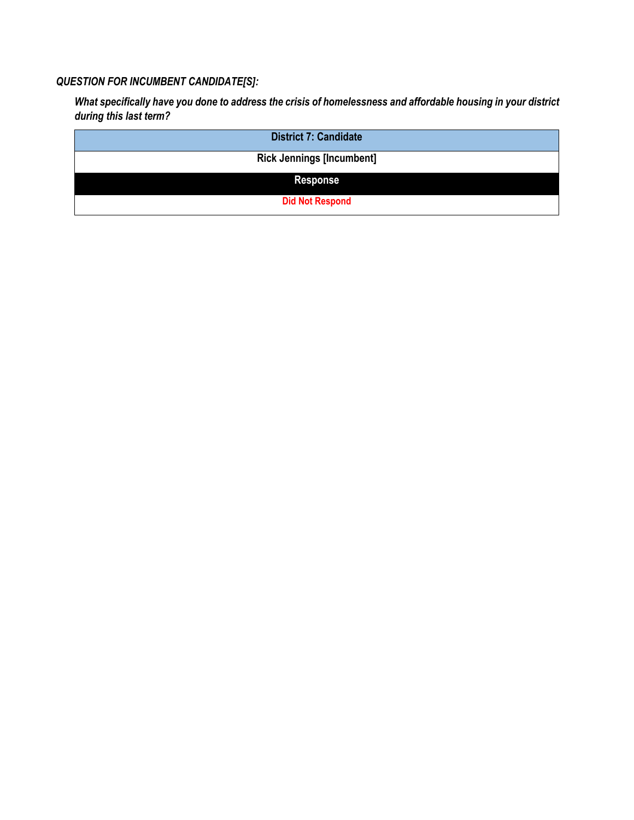#### *QUESTION FOR INCUMBENT CANDIDATE[S]:*

*What specifically have you done to address the crisis of homelessness and affordable housing in your district during this last term?*

| <b>District 7: Candidate</b>     |
|----------------------------------|
| <b>Rick Jennings [Incumbent]</b> |
| <b>Response</b>                  |
| <b>Did Not Respond</b>           |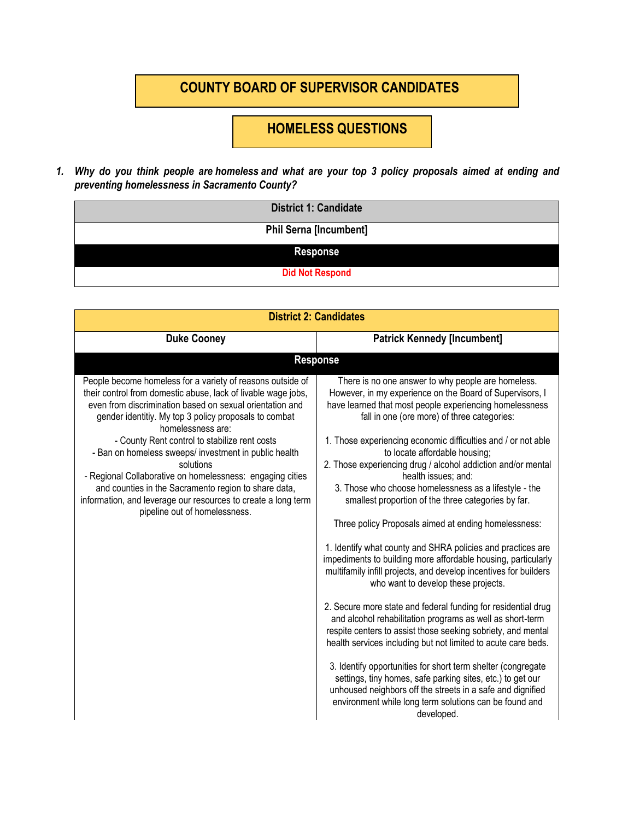### **COUNTY BOARD OF SUPERVISOR CANDIDATES**

## **HOMELESS QUESTIONS**

1. Why do you think people are homeless and what are your top 3 policy proposals aimed at ending and *preventing homelessness in Sacramento County?*

| <b>District 1: Candidate</b>  |
|-------------------------------|
| <b>Phil Serna [Incumbent]</b> |
| <b>Response</b>               |
| <b>Did Not Respond</b>        |

| <b>District 2: Candidates</b>                                                                                                                                                                                                                                                                                                                                                                                                                                                                                                                                                                                       |                                                                                                                                                                                                                                                                                                                                                                                                                                                                                                                                                                                                                                                                                                                                                                                                                                                                                                                                                                                                                                                                                                                                                                                                                                                                                                                                                                         |  |
|---------------------------------------------------------------------------------------------------------------------------------------------------------------------------------------------------------------------------------------------------------------------------------------------------------------------------------------------------------------------------------------------------------------------------------------------------------------------------------------------------------------------------------------------------------------------------------------------------------------------|-------------------------------------------------------------------------------------------------------------------------------------------------------------------------------------------------------------------------------------------------------------------------------------------------------------------------------------------------------------------------------------------------------------------------------------------------------------------------------------------------------------------------------------------------------------------------------------------------------------------------------------------------------------------------------------------------------------------------------------------------------------------------------------------------------------------------------------------------------------------------------------------------------------------------------------------------------------------------------------------------------------------------------------------------------------------------------------------------------------------------------------------------------------------------------------------------------------------------------------------------------------------------------------------------------------------------------------------------------------------------|--|
| <b>Duke Cooney</b>                                                                                                                                                                                                                                                                                                                                                                                                                                                                                                                                                                                                  | <b>Patrick Kennedy [Incumbent]</b>                                                                                                                                                                                                                                                                                                                                                                                                                                                                                                                                                                                                                                                                                                                                                                                                                                                                                                                                                                                                                                                                                                                                                                                                                                                                                                                                      |  |
|                                                                                                                                                                                                                                                                                                                                                                                                                                                                                                                                                                                                                     | <b>Response</b>                                                                                                                                                                                                                                                                                                                                                                                                                                                                                                                                                                                                                                                                                                                                                                                                                                                                                                                                                                                                                                                                                                                                                                                                                                                                                                                                                         |  |
| People become homeless for a variety of reasons outside of<br>their control from domestic abuse, lack of livable wage jobs,<br>even from discrimination based on sexual orientation and<br>gender identitiy. My top 3 policy proposals to combat<br>homelessness are:<br>- County Rent control to stabilize rent costs<br>- Ban on homeless sweeps/ investment in public health<br>solutions<br>- Regional Collaborative on homelessness: engaging cities<br>and counties in the Sacramento region to share data,<br>information, and leverage our resources to create a long term<br>pipeline out of homelessness. | There is no one answer to why people are homeless.<br>However, in my experience on the Board of Supervisors, I<br>have learned that most people experiencing homelessness<br>fall in one (ore more) of three categories:<br>1. Those experiencing economic difficulties and / or not able<br>to locate affordable housing;<br>2. Those experiencing drug / alcohol addiction and/or mental<br>health issues; and:<br>3. Those who choose homelessness as a lifestyle - the<br>smallest proportion of the three categories by far.<br>Three policy Proposals aimed at ending homelessness:<br>1. Identify what county and SHRA policies and practices are<br>impediments to building more affordable housing, particularly<br>multifamily infill projects, and develop incentives for builders<br>who want to develop these projects.<br>2. Secure more state and federal funding for residential drug<br>and alcohol rehabilitation programs as well as short-term<br>respite centers to assist those seeking sobriety, and mental<br>health services including but not limited to acute care beds.<br>3. Identify opportunities for short term shelter (congregate<br>settings, tiny homes, safe parking sites, etc.) to get our<br>unhoused neighbors off the streets in a safe and dignified<br>environment while long term solutions can be found and<br>developed. |  |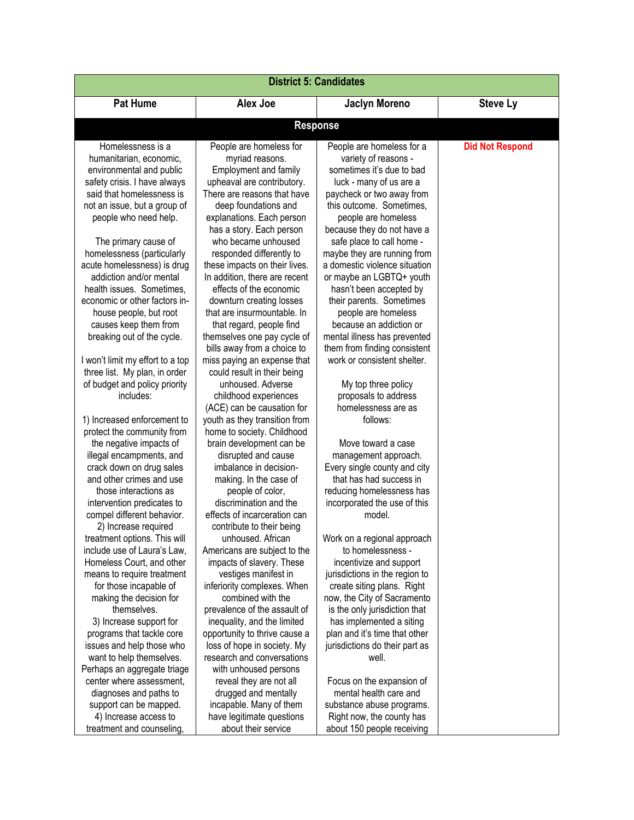| <b>District 5: Candidates</b>                                     |                                                            |                                                             |                        |  |
|-------------------------------------------------------------------|------------------------------------------------------------|-------------------------------------------------------------|------------------------|--|
| <b>Pat Hume</b>                                                   | Alex Joe                                                   | <b>Jaclyn Moreno</b>                                        | <b>Steve Ly</b>        |  |
| <b>Response</b>                                                   |                                                            |                                                             |                        |  |
| Homelessness is a                                                 | People are homeless for                                    | People are homeless for a                                   | <b>Did Not Respond</b> |  |
| humanitarian, economic,                                           | myriad reasons.                                            | variety of reasons -                                        |                        |  |
| environmental and public                                          | <b>Employment and family</b>                               | sometimes it's due to bad                                   |                        |  |
| safety crisis. I have always                                      | upheaval are contributory.                                 | luck - many of us are a                                     |                        |  |
| said that homelessness is                                         | There are reasons that have                                | paycheck or two away from                                   |                        |  |
| not an issue, but a group of                                      | deep foundations and                                       | this outcome. Sometimes,                                    |                        |  |
| people who need help.                                             | explanations. Each person                                  | people are homeless                                         |                        |  |
|                                                                   | has a story. Each person                                   | because they do not have a                                  |                        |  |
| The primary cause of                                              | who became unhoused                                        | safe place to call home -                                   |                        |  |
| homelessness (particularly                                        | responded differently to                                   | maybe they are running from                                 |                        |  |
| acute homelessness) is drug                                       | these impacts on their lives.                              | a domestic violence situation                               |                        |  |
| addiction and/or mental                                           | In addition, there are recent                              | or maybe an LGBTQ+ youth                                    |                        |  |
| health issues. Sometimes,                                         | effects of the economic                                    | hasn't been accepted by                                     |                        |  |
| economic or other factors in-                                     | downturn creating losses                                   | their parents. Sometimes                                    |                        |  |
| house people, but root                                            | that are insurmountable. In                                | people are homeless                                         |                        |  |
| causes keep them from                                             | that regard, people find                                   | because an addiction or                                     |                        |  |
| breaking out of the cycle.                                        | themselves one pay cycle of                                | mental illness has prevented                                |                        |  |
|                                                                   | bills away from a choice to                                | them from finding consistent<br>work or consistent shelter. |                        |  |
| I won't limit my effort to a top<br>three list. My plan, in order | miss paying an expense that<br>could result in their being |                                                             |                        |  |
| of budget and policy priority                                     | unhoused. Adverse                                          | My top three policy                                         |                        |  |
| includes:                                                         | childhood experiences                                      | proposals to address                                        |                        |  |
|                                                                   | (ACE) can be causation for                                 | homelessness are as                                         |                        |  |
| 1) Increased enforcement to                                       | youth as they transition from                              | follows:                                                    |                        |  |
| protect the community from                                        | home to society. Childhood                                 |                                                             |                        |  |
| the negative impacts of                                           | brain development can be                                   | Move toward a case                                          |                        |  |
| illegal encampments, and                                          | disrupted and cause                                        | management approach.                                        |                        |  |
| crack down on drug sales                                          | imbalance in decision-                                     | Every single county and city                                |                        |  |
| and other crimes and use                                          | making. In the case of                                     | that has had success in                                     |                        |  |
| those interactions as                                             | people of color,                                           | reducing homelessness has                                   |                        |  |
| intervention predicates to                                        | discrimination and the                                     | incorporated the use of this                                |                        |  |
| compel different behavior.                                        | effects of incarceration can                               | model.                                                      |                        |  |
| 2) Increase required<br>treatment options. This will              | contribute to their being<br>unhoused. African             | Work on a regional approach                                 |                        |  |
| include use of Laura's Law,                                       | Americans are subject to the                               | to homelessness -                                           |                        |  |
| Homeless Court, and other                                         | impacts of slavery. These                                  | incentivize and support                                     |                        |  |
| means to require treatment                                        | vestiges manifest in                                       | jurisdictions in the region to                              |                        |  |
| for those incapable of                                            | inferiority complexes. When                                | create siting plans. Right                                  |                        |  |
| making the decision for                                           | combined with the                                          | now, the City of Sacramento                                 |                        |  |
| themselves.                                                       | prevalence of the assault of                               | is the only jurisdiction that                               |                        |  |
| 3) Increase support for                                           | inequality, and the limited                                | has implemented a siting                                    |                        |  |
| programs that tackle core                                         | opportunity to thrive cause a                              | plan and it's time that other                               |                        |  |
| issues and help those who                                         | loss of hope in society. My                                | jurisdictions do their part as                              |                        |  |
| want to help themselves.                                          | research and conversations                                 | well.                                                       |                        |  |
| Perhaps an aggregate triage                                       | with unhoused persons                                      |                                                             |                        |  |
| center where assessment,<br>diagnoses and paths to                | reveal they are not all<br>drugged and mentally            | Focus on the expansion of<br>mental health care and         |                        |  |
| support can be mapped.                                            | incapable. Many of them                                    | substance abuse programs.                                   |                        |  |
| 4) Increase access to                                             | have legitimate questions                                  | Right now, the county has                                   |                        |  |
| treatment and counseling,                                         | about their service                                        | about 150 people receiving                                  |                        |  |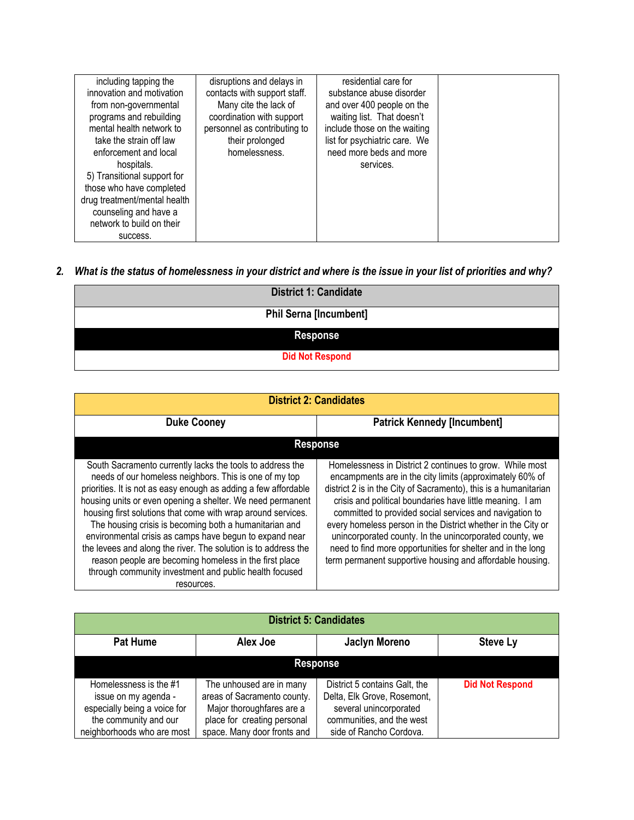| including tapping the<br>innovation and motivation<br>from non-governmental<br>programs and rebuilding<br>mental health network to<br>take the strain off law<br>enforcement and local<br>hospitals.<br>5) Transitional support for | disruptions and delays in<br>contacts with support staff.<br>Many cite the lack of<br>coordination with support<br>personnel as contributing to<br>their prolonged<br>homelessness. | residential care for<br>substance abuse disorder<br>and over 400 people on the<br>waiting list. That doesn't<br>include those on the waiting<br>list for psychiatric care. We<br>need more beds and more<br>services. |  |
|-------------------------------------------------------------------------------------------------------------------------------------------------------------------------------------------------------------------------------------|-------------------------------------------------------------------------------------------------------------------------------------------------------------------------------------|-----------------------------------------------------------------------------------------------------------------------------------------------------------------------------------------------------------------------|--|
| those who have completed                                                                                                                                                                                                            |                                                                                                                                                                                     |                                                                                                                                                                                                                       |  |
| drug treatment/mental health<br>counseling and have a<br>network to build on their                                                                                                                                                  |                                                                                                                                                                                     |                                                                                                                                                                                                                       |  |
| success.                                                                                                                                                                                                                            |                                                                                                                                                                                     |                                                                                                                                                                                                                       |  |

## 2. What is the status of homelessness in your district and where is the issue in your list of priorities and why?

| <b>District 1: Candidate</b>  |
|-------------------------------|
| <b>Phil Serna [Incumbent]</b> |
| <b>Response</b>               |
| <b>Did Not Respond</b>        |

| <b>District 2: Candidates</b>                                                                                                                                                                                                                                                                                                                                                                                                                                                                                                                                                                                                                 |                                                                                                                                                                                                                                                                                                                                                                                                                                                                                                                                                                         |  |  |
|-----------------------------------------------------------------------------------------------------------------------------------------------------------------------------------------------------------------------------------------------------------------------------------------------------------------------------------------------------------------------------------------------------------------------------------------------------------------------------------------------------------------------------------------------------------------------------------------------------------------------------------------------|-------------------------------------------------------------------------------------------------------------------------------------------------------------------------------------------------------------------------------------------------------------------------------------------------------------------------------------------------------------------------------------------------------------------------------------------------------------------------------------------------------------------------------------------------------------------------|--|--|
| <b>Duke Cooney</b>                                                                                                                                                                                                                                                                                                                                                                                                                                                                                                                                                                                                                            | <b>Patrick Kennedy [Incumbent]</b>                                                                                                                                                                                                                                                                                                                                                                                                                                                                                                                                      |  |  |
|                                                                                                                                                                                                                                                                                                                                                                                                                                                                                                                                                                                                                                               | <b>Response</b>                                                                                                                                                                                                                                                                                                                                                                                                                                                                                                                                                         |  |  |
| South Sacramento currently lacks the tools to address the<br>needs of our homeless neighbors. This is one of my top<br>priorities. It is not as easy enough as adding a few affordable<br>housing units or even opening a shelter. We need permanent<br>housing first solutions that come with wrap around services.<br>The housing crisis is becoming both a humanitarian and<br>environmental crisis as camps have begun to expand near<br>the levees and along the river. The solution is to address the<br>reason people are becoming homeless in the first place<br>through community investment and public health focused<br>resources. | Homelessness in District 2 continues to grow. While most<br>encampments are in the city limits (approximately 60% of<br>district 2 is in the City of Sacramento), this is a humanitarian<br>crisis and political boundaries have little meaning. I am<br>committed to provided social services and navigation to<br>every homeless person in the District whether in the City or<br>unincorporated county. In the unincorporated county, we<br>need to find more opportunities for shelter and in the long<br>term permanent supportive housing and affordable housing. |  |  |

| <b>District 5: Candidates</b>                                                                                                         |                                                                                                                                                    |                                                                                                                                                |                        |
|---------------------------------------------------------------------------------------------------------------------------------------|----------------------------------------------------------------------------------------------------------------------------------------------------|------------------------------------------------------------------------------------------------------------------------------------------------|------------------------|
| <b>Pat Hume</b>                                                                                                                       | Alex Joe                                                                                                                                           | <b>Jaclyn Moreno</b>                                                                                                                           | <b>Steve Ly</b>        |
|                                                                                                                                       |                                                                                                                                                    | <b>Response</b>                                                                                                                                |                        |
| Homelessness is the #1<br>issue on my agenda -<br>especially being a voice for<br>the community and our<br>neighborhoods who are most | The unhoused are in many<br>areas of Sacramento county.<br>Major thoroughfares are a<br>place for creating personal<br>space. Many door fronts and | District 5 contains Galt, the<br>Delta, Elk Grove, Rosemont,<br>several unincorporated<br>communities, and the west<br>side of Rancho Cordova. | <b>Did Not Respond</b> |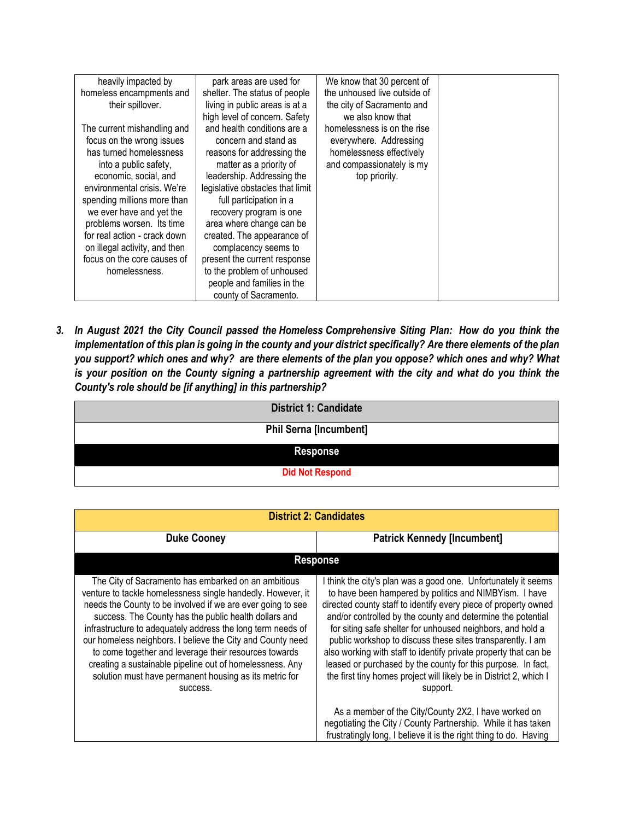| heavily impacted by           | park areas are used for          | We know that 30 percent of   |  |
|-------------------------------|----------------------------------|------------------------------|--|
| homeless encampments and      | shelter. The status of people    | the unhoused live outside of |  |
| their spillover.              | living in public areas is at a   | the city of Sacramento and   |  |
|                               | high level of concern. Safety    | we also know that            |  |
| The current mishandling and   | and health conditions are a      | homelessness is on the rise  |  |
| focus on the wrong issues     | concern and stand as             | everywhere. Addressing       |  |
| has turned homelessness       | reasons for addressing the       | homelessness effectively     |  |
| into a public safety,         | matter as a priority of          | and compassionately is my    |  |
| economic, social, and         | leadership. Addressing the       | top priority.                |  |
| environmental crisis. We're   | legislative obstacles that limit |                              |  |
| spending millions more than   | full participation in a          |                              |  |
| we ever have and yet the      | recovery program is one          |                              |  |
| problems worsen. Its time     | area where change can be         |                              |  |
| for real action - crack down  | created. The appearance of       |                              |  |
| on illegal activity, and then | complacency seems to             |                              |  |
| focus on the core causes of   | present the current response     |                              |  |
| homelessness.                 | to the problem of unhoused       |                              |  |
|                               | people and families in the       |                              |  |
|                               | county of Sacramento.            |                              |  |

3. In August 2021 the City Council passed the Homeless Comprehensive Siting Plan: How do you think the implementation of this plan is going in the county and your district specifically? Are there elements of the plan you support? which ones and why? are there elements of the plan you oppose? which ones and why? What is your position on the County signing a partnership agreement with the city and what do you think the *County's role should be [if anything] in this partnership?*

| <b>District 1: Candidate</b>  |
|-------------------------------|
| <b>Phil Serna [Incumbent]</b> |
| <b>Response</b>               |
| <b>Did Not Respond</b>        |

| <b>District 2: Candidates</b>                                                                                                                                                                                                                                                                                                                                                                                                                                                                                                                                      |                                                                                                                                                                                                                                                                                                                                                                                                                                                                                                                                                                                                              |
|--------------------------------------------------------------------------------------------------------------------------------------------------------------------------------------------------------------------------------------------------------------------------------------------------------------------------------------------------------------------------------------------------------------------------------------------------------------------------------------------------------------------------------------------------------------------|--------------------------------------------------------------------------------------------------------------------------------------------------------------------------------------------------------------------------------------------------------------------------------------------------------------------------------------------------------------------------------------------------------------------------------------------------------------------------------------------------------------------------------------------------------------------------------------------------------------|
| <b>Duke Cooney</b>                                                                                                                                                                                                                                                                                                                                                                                                                                                                                                                                                 | <b>Patrick Kennedy [Incumbent]</b>                                                                                                                                                                                                                                                                                                                                                                                                                                                                                                                                                                           |
|                                                                                                                                                                                                                                                                                                                                                                                                                                                                                                                                                                    | <b>Response</b>                                                                                                                                                                                                                                                                                                                                                                                                                                                                                                                                                                                              |
| The City of Sacramento has embarked on an ambitious<br>venture to tackle homelessness single handedly. However, it<br>needs the County to be involved if we are ever going to see<br>success. The County has the public health dollars and<br>infrastructure to adequately address the long term needs of<br>our homeless neighbors. I believe the City and County need<br>to come together and leverage their resources towards<br>creating a sustainable pipeline out of homelessness. Any<br>solution must have permanent housing as its metric for<br>success. | I think the city's plan was a good one. Unfortunately it seems<br>to have been hampered by politics and NIMBYism. I have<br>directed county staff to identify every piece of property owned<br>and/or controlled by the county and determine the potential<br>for siting safe shelter for unhoused neighbors, and hold a<br>public workshop to discuss these sites transparently. I am<br>also working with staff to identify private property that can be<br>leased or purchased by the county for this purpose. In fact,<br>the first tiny homes project will likely be in District 2, which I<br>support. |
|                                                                                                                                                                                                                                                                                                                                                                                                                                                                                                                                                                    | As a member of the City/County 2X2, I have worked on<br>negotiating the City / County Partnership. While it has taken<br>frustratingly long, I believe it is the right thing to do. Having                                                                                                                                                                                                                                                                                                                                                                                                                   |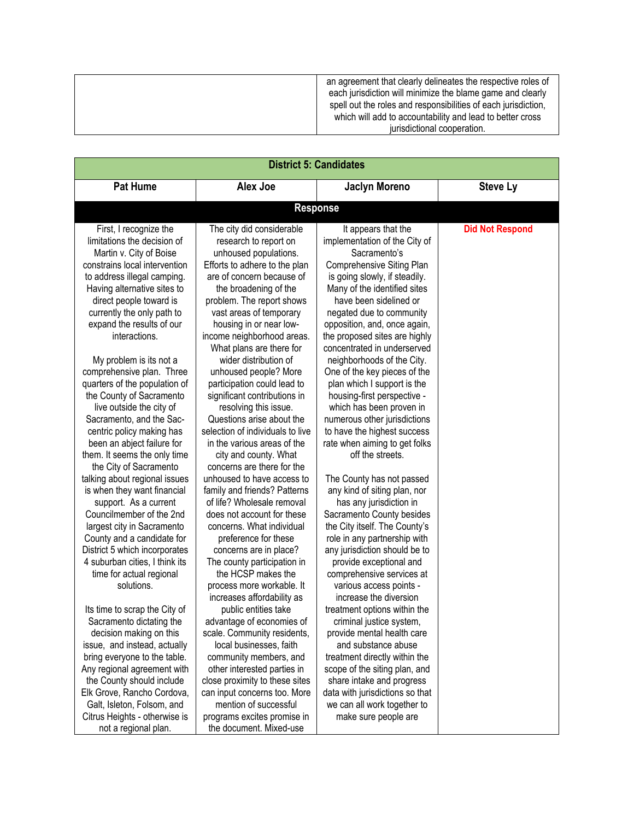an agreement that clearly delineates the respective roles of each jurisdiction will minimize the blame game and clearly spell out the roles and responsibilities of each jurisdiction, which will add to accountability and lead to better cross jurisdictional cooperation.

| <b>District 5: Candidates</b>                               |                                                               |                                                              |                        |
|-------------------------------------------------------------|---------------------------------------------------------------|--------------------------------------------------------------|------------------------|
| <b>Pat Hume</b>                                             | <b>Alex Joe</b>                                               | <b>Jaclyn Moreno</b>                                         | <b>Steve Ly</b>        |
|                                                             | <b>Response</b>                                               |                                                              |                        |
| First, I recognize the                                      | The city did considerable                                     | It appears that the                                          | <b>Did Not Respond</b> |
| limitations the decision of                                 | research to report on                                         | implementation of the City of                                |                        |
| Martin v. City of Boise                                     | unhoused populations.                                         | Sacramento's                                                 |                        |
| constrains local intervention                               | Efforts to adhere to the plan                                 | Comprehensive Siting Plan                                    |                        |
| to address illegal camping.                                 | are of concern because of                                     | is going slowly, if steadily.                                |                        |
| Having alternative sites to                                 | the broadening of the                                         | Many of the identified sites                                 |                        |
| direct people toward is                                     | problem. The report shows                                     | have been sidelined or                                       |                        |
| currently the only path to                                  | vast areas of temporary                                       | negated due to community                                     |                        |
| expand the results of our                                   | housing in or near low-                                       | opposition, and, once again,                                 |                        |
| interactions.                                               | income neighborhood areas.                                    | the proposed sites are highly                                |                        |
|                                                             | What plans are there for                                      | concentrated in underserved                                  |                        |
| My problem is its not a                                     | wider distribution of                                         | neighborhoods of the City.                                   |                        |
| comprehensive plan. Three                                   | unhoused people? More                                         | One of the key pieces of the                                 |                        |
| quarters of the population of                               | participation could lead to                                   | plan which I support is the                                  |                        |
| the County of Sacramento                                    | significant contributions in                                  | housing-first perspective -                                  |                        |
| live outside the city of                                    | resolving this issue.                                         | which has been proven in                                     |                        |
| Sacramento, and the Sac-                                    | Questions arise about the                                     | numerous other jurisdictions                                 |                        |
| centric policy making has                                   | selection of individuals to live                              | to have the highest success                                  |                        |
| been an abject failure for                                  | in the various areas of the                                   | rate when aiming to get folks                                |                        |
| them. It seems the only time                                | city and county. What                                         | off the streets.                                             |                        |
| the City of Sacramento                                      | concerns are there for the                                    |                                                              |                        |
| talking about regional issues                               | unhoused to have access to                                    | The County has not passed                                    |                        |
| is when they want financial                                 | family and friends? Patterns                                  | any kind of siting plan, nor                                 |                        |
| support. As a current                                       | of life? Wholesale removal                                    | has any jurisdiction in                                      |                        |
| Councilmember of the 2nd                                    | does not account for these                                    | Sacramento County besides                                    |                        |
| largest city in Sacramento                                  | concerns. What individual                                     | the City itself. The County's                                |                        |
| County and a candidate for                                  | preference for these                                          | role in any partnership with                                 |                        |
| District 5 which incorporates                               | concerns are in place?                                        | any jurisdiction should be to                                |                        |
| 4 suburban cities, I think its                              | The county participation in                                   | provide exceptional and                                      |                        |
| time for actual regional                                    | the HCSP makes the                                            | comprehensive services at                                    |                        |
| solutions.                                                  | process more workable. It                                     | various access points -                                      |                        |
|                                                             | increases affordability as                                    | increase the diversion                                       |                        |
| Its time to scrap the City of                               | public entities take                                          | treatment options within the                                 |                        |
| Sacramento dictating the                                    | advantage of economies of                                     | criminal justice system,                                     |                        |
| decision making on this                                     | scale. Community residents,<br>local businesses, faith        | provide mental health care                                   |                        |
| issue, and instead, actually                                |                                                               | and substance abuse                                          |                        |
| bring everyone to the table.<br>Any regional agreement with | community members, and                                        | treatment directly within the                                |                        |
|                                                             | other interested parties in<br>close proximity to these sites | scope of the siting plan, and                                |                        |
| the County should include<br>Elk Grove, Rancho Cordova,     | can input concerns too. More                                  | share intake and progress<br>data with jurisdictions so that |                        |
| Galt, Isleton, Folsom, and                                  | mention of successful                                         | we can all work together to                                  |                        |
| Citrus Heights - otherwise is                               | programs excites promise in                                   | make sure people are                                         |                        |
| not a regional plan.                                        | the document. Mixed-use                                       |                                                              |                        |
|                                                             |                                                               |                                                              |                        |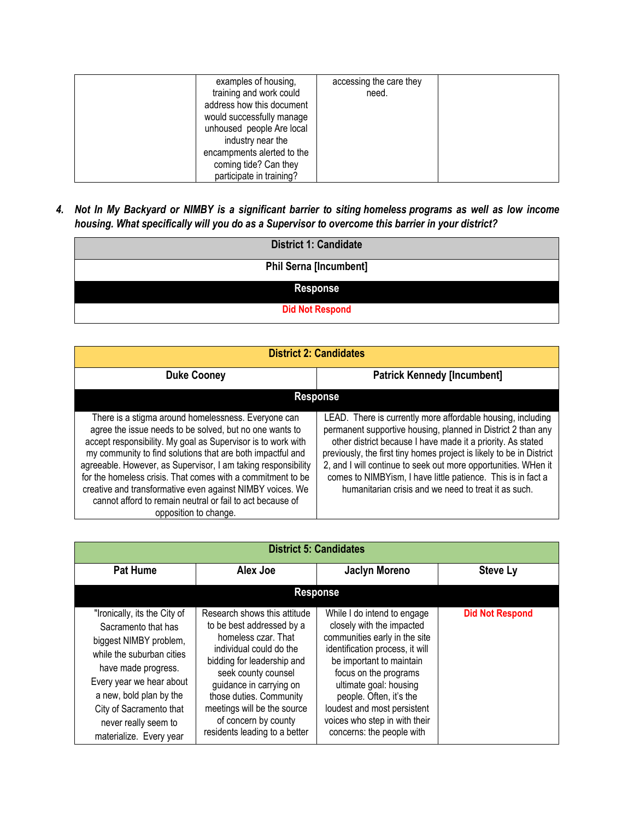| examples of housing,       | accessing the care they |  |
|----------------------------|-------------------------|--|
| training and work could    | need.                   |  |
| address how this document  |                         |  |
| would successfully manage  |                         |  |
| unhoused people Are local  |                         |  |
| industry near the          |                         |  |
| encampments alerted to the |                         |  |
| coming tide? Can they      |                         |  |
| participate in training?   |                         |  |

4. Not In My Backyard or NIMBY is a significant barrier to siting homeless programs as well as low income *housing. What specifically will you do as a Supervisor to overcome this barrier in your district?*

| <b>District 1: Candidate</b>  |  |
|-------------------------------|--|
| <b>Phil Serna [Incumbent]</b> |  |
| <b>Response</b>               |  |
| <b>Did Not Respond</b>        |  |

| <b>District 2: Candidates</b>                                                                                                                                                                                                                                                                                                                                                                                                                                                                                                   |                                                                                                                                                                                                                                                                                                                                                                                                                                                              |  |
|---------------------------------------------------------------------------------------------------------------------------------------------------------------------------------------------------------------------------------------------------------------------------------------------------------------------------------------------------------------------------------------------------------------------------------------------------------------------------------------------------------------------------------|--------------------------------------------------------------------------------------------------------------------------------------------------------------------------------------------------------------------------------------------------------------------------------------------------------------------------------------------------------------------------------------------------------------------------------------------------------------|--|
| <b>Patrick Kennedy [Incumbent]</b><br><b>Duke Cooney</b>                                                                                                                                                                                                                                                                                                                                                                                                                                                                        |                                                                                                                                                                                                                                                                                                                                                                                                                                                              |  |
| <b>Response</b>                                                                                                                                                                                                                                                                                                                                                                                                                                                                                                                 |                                                                                                                                                                                                                                                                                                                                                                                                                                                              |  |
| There is a stigma around homelessness. Everyone can<br>agree the issue needs to be solved, but no one wants to<br>accept responsibility. My goal as Supervisor is to work with<br>my community to find solutions that are both impactful and<br>agreeable. However, as Supervisor, I am taking responsibility<br>for the homeless crisis. That comes with a commitment to be<br>creative and transformative even against NIMBY voices. We<br>cannot afford to remain neutral or fail to act because of<br>opposition to change. | LEAD. There is currently more affordable housing, including<br>permanent supportive housing, planned in District 2 than any<br>other district because I have made it a priority. As stated<br>previously, the first tiny homes project is likely to be in District<br>2, and I will continue to seek out more opportunities. WHen it<br>comes to NIMBYism, I have little patience. This is in fact a<br>humanitarian crisis and we need to treat it as such. |  |

| <b>District 5: Candidates</b>                                                                                                                                                                                                                                          |                                                                                                                                                                                                                                                                                                                |                                                                                                                                                                                                                                                                                                                                     |                        |
|------------------------------------------------------------------------------------------------------------------------------------------------------------------------------------------------------------------------------------------------------------------------|----------------------------------------------------------------------------------------------------------------------------------------------------------------------------------------------------------------------------------------------------------------------------------------------------------------|-------------------------------------------------------------------------------------------------------------------------------------------------------------------------------------------------------------------------------------------------------------------------------------------------------------------------------------|------------------------|
| <b>Pat Hume</b>                                                                                                                                                                                                                                                        | Alex Joe                                                                                                                                                                                                                                                                                                       | <b>Jaclyn Moreno</b>                                                                                                                                                                                                                                                                                                                | <b>Steve Ly</b>        |
| <b>Response</b>                                                                                                                                                                                                                                                        |                                                                                                                                                                                                                                                                                                                |                                                                                                                                                                                                                                                                                                                                     |                        |
| "Ironically, its the City of<br>Sacramento that has<br>biggest NIMBY problem,<br>while the suburban cities<br>have made progress.<br>Every year we hear about<br>a new, bold plan by the<br>City of Sacramento that<br>never really seem to<br>materialize. Every year | Research shows this attitude<br>to be best addressed by a<br>homeless czar. That<br>individual could do the<br>bidding for leadership and<br>seek county counsel<br>guidance in carrying on<br>those duties. Community<br>meetings will be the source<br>of concern by county<br>residents leading to a better | While I do intend to engage<br>closely with the impacted<br>communities early in the site<br>identification process, it will<br>be important to maintain<br>focus on the programs<br>ultimate goal: housing<br>people. Often, it's the<br>loudest and most persistent<br>voices who step in with their<br>concerns: the people with | <b>Did Not Respond</b> |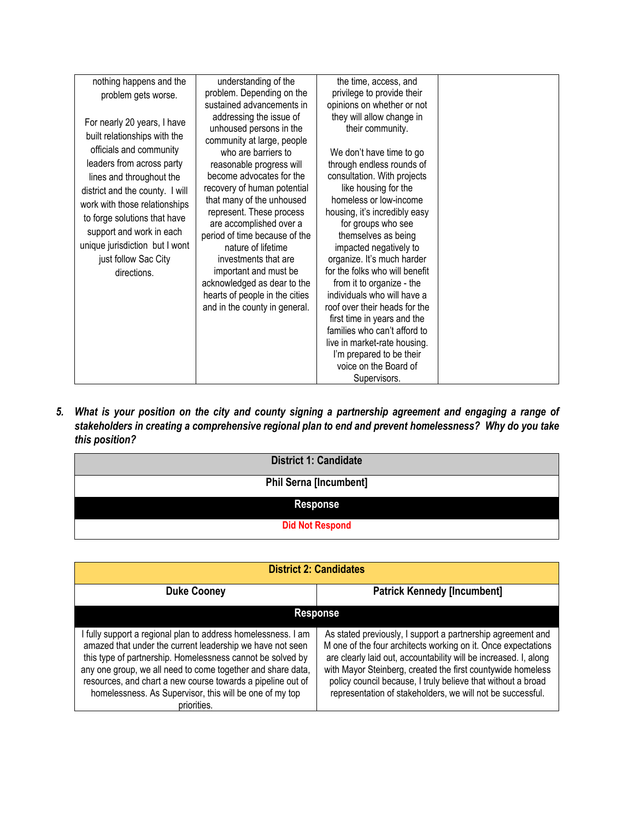| nothing happens and the                                                                                                                                                                                                                                                                                                                                  | understanding of the                                                                                                                                                                                                                                                                                                                                                                                                                                                                         | the time, access, and                                                                                                                                                                                                                                                                                                                                                                                                                                                                                                                                                                                                            |  |
|----------------------------------------------------------------------------------------------------------------------------------------------------------------------------------------------------------------------------------------------------------------------------------------------------------------------------------------------------------|----------------------------------------------------------------------------------------------------------------------------------------------------------------------------------------------------------------------------------------------------------------------------------------------------------------------------------------------------------------------------------------------------------------------------------------------------------------------------------------------|----------------------------------------------------------------------------------------------------------------------------------------------------------------------------------------------------------------------------------------------------------------------------------------------------------------------------------------------------------------------------------------------------------------------------------------------------------------------------------------------------------------------------------------------------------------------------------------------------------------------------------|--|
| problem gets worse.                                                                                                                                                                                                                                                                                                                                      | problem. Depending on the                                                                                                                                                                                                                                                                                                                                                                                                                                                                    | privilege to provide their                                                                                                                                                                                                                                                                                                                                                                                                                                                                                                                                                                                                       |  |
|                                                                                                                                                                                                                                                                                                                                                          | sustained advancements in                                                                                                                                                                                                                                                                                                                                                                                                                                                                    | opinions on whether or not                                                                                                                                                                                                                                                                                                                                                                                                                                                                                                                                                                                                       |  |
| For nearly 20 years, I have<br>built relationships with the<br>officials and community<br>leaders from across party<br>lines and throughout the<br>district and the county. I will<br>work with those relationships<br>to forge solutions that have<br>support and work in each<br>unique jurisdiction but I wont<br>just follow Sac City<br>directions. | addressing the issue of<br>unhoused persons in the<br>community at large, people<br>who are barriers to<br>reasonable progress will<br>become advocates for the<br>recovery of human potential<br>that many of the unhoused<br>represent. These process<br>are accomplished over a<br>period of time because of the<br>nature of lifetime<br>investments that are<br>important and must be<br>acknowledged as dear to the<br>hearts of people in the cities<br>and in the county in general. | they will allow change in<br>their community.<br>We don't have time to go<br>through endless rounds of<br>consultation. With projects<br>like housing for the<br>homeless or low-income<br>housing, it's incredibly easy<br>for groups who see<br>themselves as being<br>impacted negatively to<br>organize. It's much harder<br>for the folks who will benefit<br>from it to organize - the<br>individuals who will have a<br>roof over their heads for the<br>first time in years and the<br>families who can't afford to<br>live in market-rate housing.<br>I'm prepared to be their<br>voice on the Board of<br>Supervisors. |  |
|                                                                                                                                                                                                                                                                                                                                                          |                                                                                                                                                                                                                                                                                                                                                                                                                                                                                              |                                                                                                                                                                                                                                                                                                                                                                                                                                                                                                                                                                                                                                  |  |

*5. What is your position on the city and county signing a partnership agreement and engaging a range of stakeholders in creating a comprehensive regional plan to end and prevent homelessness? Why do you take this position?*

| <b>District 1: Candidate</b>  |  |
|-------------------------------|--|
| <b>Phil Serna [Incumbent]</b> |  |
| <b>Response</b>               |  |
| <b>Did Not Respond</b>        |  |

| <b>District 2: Candidates</b>                                                                                                                                                                                                                                                                                                                                                                    |                                                                                                                                                                                                                                                                                                                                                                                               |  |
|--------------------------------------------------------------------------------------------------------------------------------------------------------------------------------------------------------------------------------------------------------------------------------------------------------------------------------------------------------------------------------------------------|-----------------------------------------------------------------------------------------------------------------------------------------------------------------------------------------------------------------------------------------------------------------------------------------------------------------------------------------------------------------------------------------------|--|
| <b>Patrick Kennedy [Incumbent]</b><br><b>Duke Cooney</b>                                                                                                                                                                                                                                                                                                                                         |                                                                                                                                                                                                                                                                                                                                                                                               |  |
| <b>Response</b>                                                                                                                                                                                                                                                                                                                                                                                  |                                                                                                                                                                                                                                                                                                                                                                                               |  |
| I fully support a regional plan to address homelessness. I am<br>amazed that under the current leadership we have not seen<br>this type of partnership. Homelessness cannot be solved by<br>any one group, we all need to come together and share data,<br>resources, and chart a new course towards a pipeline out of<br>homelessness. As Supervisor, this will be one of my top<br>priorities. | As stated previously, I support a partnership agreement and<br>M one of the four architects working on it. Once expectations<br>are clearly laid out, accountability will be increased. I, along<br>with Mayor Steinberg, created the first countywide homeless<br>policy council because, I truly believe that without a broad<br>representation of stakeholders, we will not be successful. |  |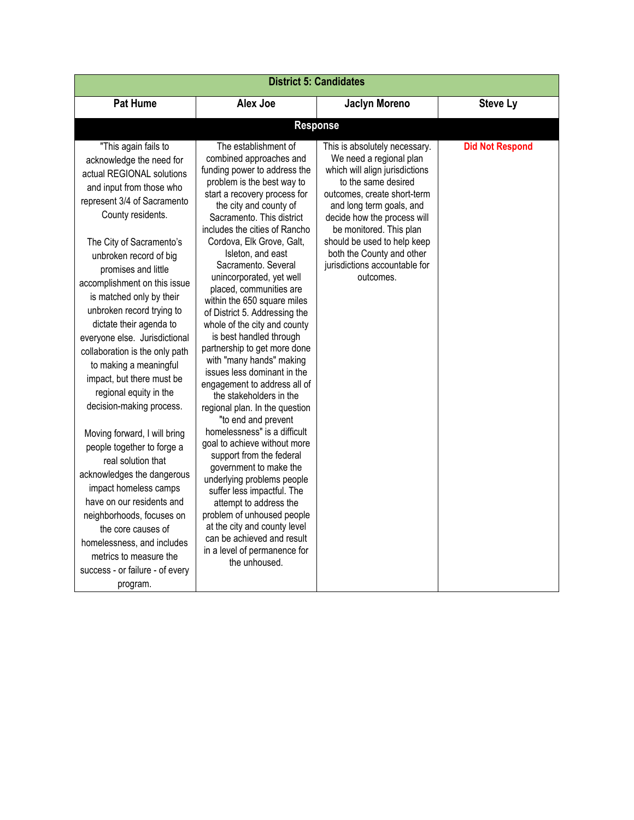| <b>District 5: Candidates</b>                                                                                                                                                                                                                                                                                                                                                                                                                                                                                                                                                                                                                                                                                                                                                                                                                                        |                                                                                                                                                                                                                                                                                                                                                                                                                                                                                                                                                                                                                                                                                                                                                                                                                                                                                                                                                                                                                                                                          |                                                                                                                                                                                                                                                                                                                                                  |                        |
|----------------------------------------------------------------------------------------------------------------------------------------------------------------------------------------------------------------------------------------------------------------------------------------------------------------------------------------------------------------------------------------------------------------------------------------------------------------------------------------------------------------------------------------------------------------------------------------------------------------------------------------------------------------------------------------------------------------------------------------------------------------------------------------------------------------------------------------------------------------------|--------------------------------------------------------------------------------------------------------------------------------------------------------------------------------------------------------------------------------------------------------------------------------------------------------------------------------------------------------------------------------------------------------------------------------------------------------------------------------------------------------------------------------------------------------------------------------------------------------------------------------------------------------------------------------------------------------------------------------------------------------------------------------------------------------------------------------------------------------------------------------------------------------------------------------------------------------------------------------------------------------------------------------------------------------------------------|--------------------------------------------------------------------------------------------------------------------------------------------------------------------------------------------------------------------------------------------------------------------------------------------------------------------------------------------------|------------------------|
| <b>Pat Hume</b>                                                                                                                                                                                                                                                                                                                                                                                                                                                                                                                                                                                                                                                                                                                                                                                                                                                      | Alex Joe                                                                                                                                                                                                                                                                                                                                                                                                                                                                                                                                                                                                                                                                                                                                                                                                                                                                                                                                                                                                                                                                 | <b>Jaclyn Moreno</b>                                                                                                                                                                                                                                                                                                                             | <b>Steve Ly</b>        |
|                                                                                                                                                                                                                                                                                                                                                                                                                                                                                                                                                                                                                                                                                                                                                                                                                                                                      |                                                                                                                                                                                                                                                                                                                                                                                                                                                                                                                                                                                                                                                                                                                                                                                                                                                                                                                                                                                                                                                                          | <b>Response</b>                                                                                                                                                                                                                                                                                                                                  |                        |
| "This again fails to<br>acknowledge the need for<br>actual REGIONAL solutions<br>and input from those who<br>represent 3/4 of Sacramento<br>County residents.<br>The City of Sacramento's<br>unbroken record of big<br>promises and little<br>accomplishment on this issue<br>is matched only by their<br>unbroken record trying to<br>dictate their agenda to<br>everyone else. Jurisdictional<br>collaboration is the only path<br>to making a meaningful<br>impact, but there must be<br>regional equity in the<br>decision-making process.<br>Moving forward, I will bring<br>people together to forge a<br>real solution that<br>acknowledges the dangerous<br>impact homeless camps<br>have on our residents and<br>neighborhoods, focuses on<br>the core causes of<br>homelessness, and includes<br>metrics to measure the<br>success - or failure - of every | The establishment of<br>combined approaches and<br>funding power to address the<br>problem is the best way to<br>start a recovery process for<br>the city and county of<br>Sacramento. This district<br>includes the cities of Rancho<br>Cordova, Elk Grove, Galt,<br>Isleton, and east<br>Sacramento. Several<br>unincorporated, yet well<br>placed, communities are<br>within the 650 square miles<br>of District 5. Addressing the<br>whole of the city and county<br>is best handled through<br>partnership to get more done<br>with "many hands" making<br>issues less dominant in the<br>engagement to address all of<br>the stakeholders in the<br>regional plan. In the question<br>"to end and prevent<br>homelessness" is a difficult<br>goal to achieve without more<br>support from the federal<br>government to make the<br>underlying problems people<br>suffer less impactful. The<br>attempt to address the<br>problem of unhoused people<br>at the city and county level<br>can be achieved and result<br>in a level of permanence for<br>the unhoused. | This is absolutely necessary.<br>We need a regional plan<br>which will align jurisdictions<br>to the same desired<br>outcomes, create short-term<br>and long term goals, and<br>decide how the process will<br>be monitored. This plan<br>should be used to help keep<br>both the County and other<br>jurisdictions accountable for<br>outcomes. | <b>Did Not Respond</b> |
| program.                                                                                                                                                                                                                                                                                                                                                                                                                                                                                                                                                                                                                                                                                                                                                                                                                                                             |                                                                                                                                                                                                                                                                                                                                                                                                                                                                                                                                                                                                                                                                                                                                                                                                                                                                                                                                                                                                                                                                          |                                                                                                                                                                                                                                                                                                                                                  |                        |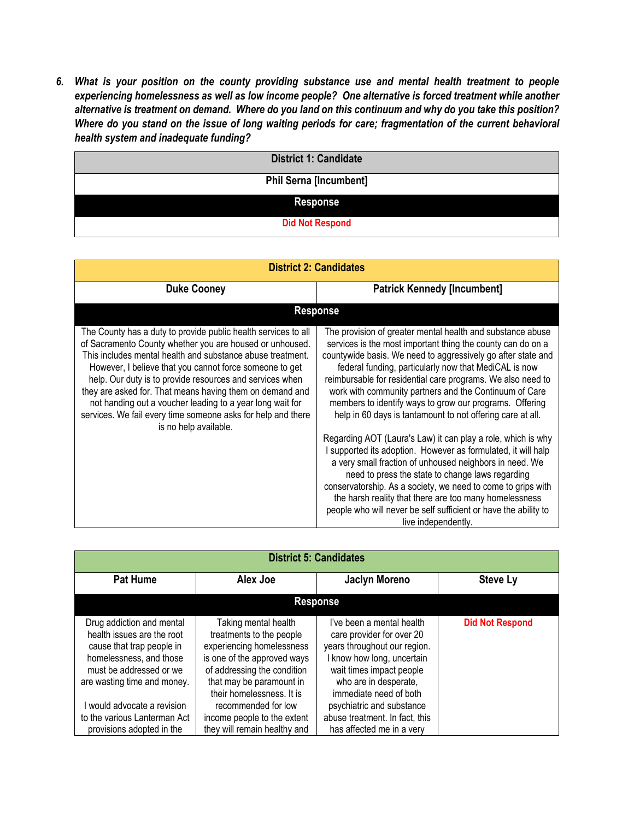*6. What is your position on the county providing substance use and mental health treatment to people experiencing homelessness as well as low income people? One alternative is forced treatment while another* alternative is treatment on demand. Where do you land on this continuum and why do you take this position? Where do you stand on the issue of long waiting periods for care; fragmentation of the current behavioral *health system and inadequate funding?*

| <b>District 1: Candidate</b>  |  |
|-------------------------------|--|
| <b>Phil Serna [Incumbent]</b> |  |
| <b>Response</b>               |  |
| <b>Did Not Respond</b>        |  |

| <b>District 2: Candidates</b>                                                                                                                                                                                                                                                                                                                                                                                                                                                                                                     |                                                                                                                                                                                                                                                                                                                                                                                                                                                                                                                                                                                                                                                                                                                                                                                                                                                                                                                                                                          |  |
|-----------------------------------------------------------------------------------------------------------------------------------------------------------------------------------------------------------------------------------------------------------------------------------------------------------------------------------------------------------------------------------------------------------------------------------------------------------------------------------------------------------------------------------|--------------------------------------------------------------------------------------------------------------------------------------------------------------------------------------------------------------------------------------------------------------------------------------------------------------------------------------------------------------------------------------------------------------------------------------------------------------------------------------------------------------------------------------------------------------------------------------------------------------------------------------------------------------------------------------------------------------------------------------------------------------------------------------------------------------------------------------------------------------------------------------------------------------------------------------------------------------------------|--|
| <b>Duke Cooney</b>                                                                                                                                                                                                                                                                                                                                                                                                                                                                                                                | <b>Patrick Kennedy [Incumbent]</b>                                                                                                                                                                                                                                                                                                                                                                                                                                                                                                                                                                                                                                                                                                                                                                                                                                                                                                                                       |  |
| <b>Response</b>                                                                                                                                                                                                                                                                                                                                                                                                                                                                                                                   |                                                                                                                                                                                                                                                                                                                                                                                                                                                                                                                                                                                                                                                                                                                                                                                                                                                                                                                                                                          |  |
| The County has a duty to provide public health services to all<br>of Sacramento County whether you are housed or unhoused.<br>This includes mental health and substance abuse treatment.<br>However, I believe that you cannot force someone to get<br>help. Our duty is to provide resources and services when<br>they are asked for. That means having them on demand and<br>not handing out a voucher leading to a year long wait for<br>services. We fail every time someone asks for help and there<br>is no help available. | The provision of greater mental health and substance abuse<br>services is the most important thing the county can do on a<br>countywide basis. We need to aggressively go after state and<br>federal funding, particularly now that MediCAL is now<br>reimbursable for residential care programs. We also need to<br>work with community partners and the Continuum of Care<br>members to identify ways to grow our programs. Offering<br>help in 60 days is tantamount to not offering care at all.<br>Regarding AOT (Laura's Law) it can play a role, which is why<br>I supported its adoption. However as formulated, it will halp<br>a very small fraction of unhoused neighbors in need. We<br>need to press the state to change laws regarding<br>conservatorship. As a society, we need to come to grips with<br>the harsh reality that there are too many homelessness<br>people who will never be self sufficient or have the ability to<br>live independently. |  |

| <b>District 5: Candidates</b>                                                                                                                                             |                                                                                                                                                                                                      |                                                                                                                                                                                                   |                        |
|---------------------------------------------------------------------------------------------------------------------------------------------------------------------------|------------------------------------------------------------------------------------------------------------------------------------------------------------------------------------------------------|---------------------------------------------------------------------------------------------------------------------------------------------------------------------------------------------------|------------------------|
| <b>Pat Hume</b>                                                                                                                                                           | Alex Joe                                                                                                                                                                                             | <b>Jaclyn Moreno</b>                                                                                                                                                                              | <b>Steve Ly</b>        |
| <b>Response</b>                                                                                                                                                           |                                                                                                                                                                                                      |                                                                                                                                                                                                   |                        |
| Drug addiction and mental<br>health issues are the root<br>cause that trap people in<br>homelessness, and those<br>must be addressed or we<br>are wasting time and money. | Taking mental health<br>treatments to the people<br>experiencing homelessness<br>is one of the approved ways<br>of addressing the condition<br>that may be paramount in<br>their homelessness. It is | I've been a mental health<br>care provider for over 20<br>years throughout our region.<br>know how long, uncertain<br>wait times impact people<br>who are in desperate,<br>immediate need of both | <b>Did Not Respond</b> |
| l would advocate a revision<br>to the various Lanterman Act<br>provisions adopted in the                                                                                  | recommended for low<br>income people to the extent<br>they will remain healthy and                                                                                                                   | psychiatric and substance<br>abuse treatment. In fact, this<br>has affected me in a very                                                                                                          |                        |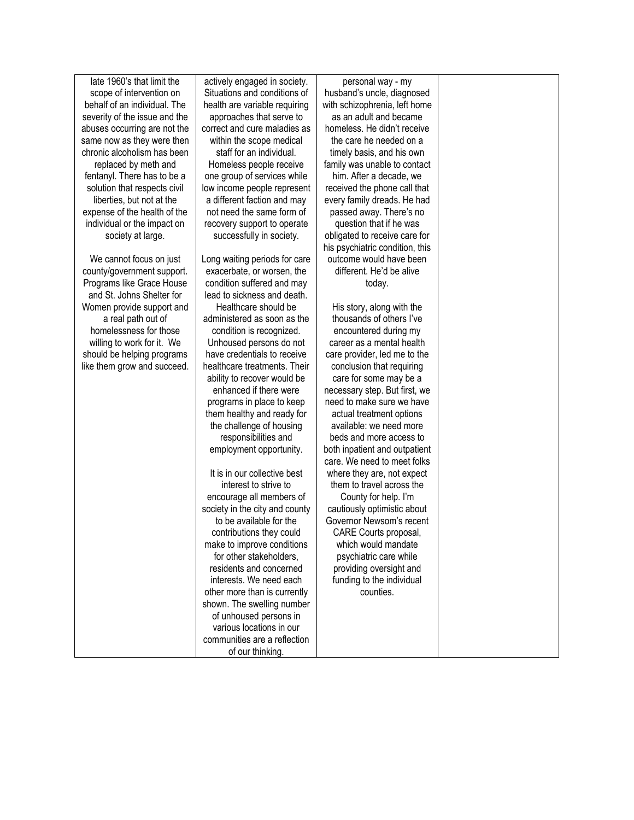late 1960's that limit the scope of intervention on behalf of an individual. The severity of the issue and the abuses occurring are not the same now as they were then chronic alcoholism has been replaced by meth and fentanyl. There has to be a solution that respects civil liberties, but not at the expense of the health of the individual or the impact on society at large.

We cannot focus on just county/government support. Programs like Grace House and St. Johns Shelter for Women provide support and a real path out of homelessness for those willing to work for it. We should be helping programs like them grow and succeed.

actively engaged in society. Situations and conditions of health are variable requiring approaches that serve to correct and cure maladies as within the scope medical staff for an individual. Homeless people receive one group of services while low income people represent a different faction and may not need the same form of recovery support to operate successfully in society. Long waiting periods for care exacerbate, or worsen, the condition suffered and may

lead to sickness and death. Healthcare should be administered as soon as the condition is recognized. Unhoused persons do not have credentials to receive healthcare treatments. Their ability to recover would be enhanced if there were programs in place to keep them healthy and ready for the challenge of housing responsibilities and employment opportunity.

It is in our collective best interest to strive to encourage all members of society in the city and county to be available for the contributions they could make to improve conditions for other stakeholders, residents and concerned interests. We need each other more than is currently shown. The swelling number of unhoused persons in various locations in our communities are a reflection of our thinking.

personal way - my husband's uncle, diagnosed with schizophrenia, left home as an adult and became homeless. He didn't receive the care he needed on a timely basis, and his own family was unable to contact him. After a decade, we received the phone call that every family dreads. He had passed away. There's no question that if he was obligated to receive care for his psychiatric condition, this outcome would have been different. He'd be alive today.

His story, along with the thousands of others I've encountered during my career as a mental health care provider, led me to the conclusion that requiring care for some may be a necessary step. But first, we need to make sure we have actual treatment options available: we need more beds and more access to both inpatient and outpatient care. We need to meet folks where they are, not expect them to travel across the County for help. I'm cautiously optimistic about Governor Newsom's recent CARE Courts proposal, which would mandate psychiatric care while providing oversight and funding to the individual counties.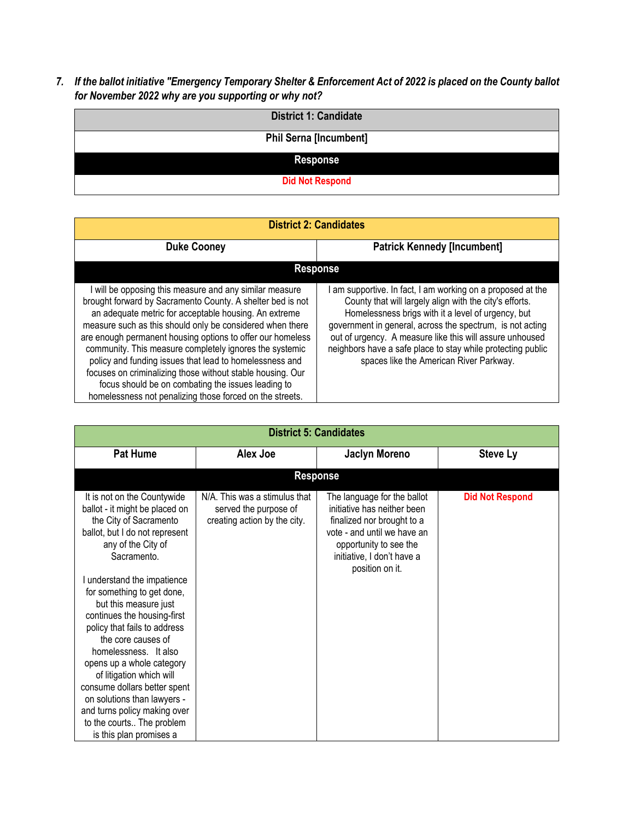*7. If the ballot initiative "Emergency Temporary Shelter & Enforcement Act of 2022 is placed on the County ballot for November 2022 why are you supporting or why not?*

| <b>District 1: Candidate</b>  |
|-------------------------------|
| <b>Phil Serna [Incumbent]</b> |
| <b>Response</b>               |
| <b>Did Not Respond</b>        |

| <b>District 2: Candidates</b>                                                                                                                                                                                                                                                                                                                                                                                                                                                                                                                                                                                 |                                                                                                                                                                                                                                                                                                                                                                                                               |  |
|---------------------------------------------------------------------------------------------------------------------------------------------------------------------------------------------------------------------------------------------------------------------------------------------------------------------------------------------------------------------------------------------------------------------------------------------------------------------------------------------------------------------------------------------------------------------------------------------------------------|---------------------------------------------------------------------------------------------------------------------------------------------------------------------------------------------------------------------------------------------------------------------------------------------------------------------------------------------------------------------------------------------------------------|--|
| <b>Duke Cooney</b>                                                                                                                                                                                                                                                                                                                                                                                                                                                                                                                                                                                            | <b>Patrick Kennedy [Incumbent]</b>                                                                                                                                                                                                                                                                                                                                                                            |  |
|                                                                                                                                                                                                                                                                                                                                                                                                                                                                                                                                                                                                               | <b>Response</b>                                                                                                                                                                                                                                                                                                                                                                                               |  |
| will be opposing this measure and any similar measure<br>brought forward by Sacramento County. A shelter bed is not<br>an adequate metric for acceptable housing. An extreme<br>measure such as this should only be considered when there<br>are enough permanent housing options to offer our homeless<br>community. This measure completely ignores the systemic<br>policy and funding issues that lead to homelessness and<br>focuses on criminalizing those without stable housing. Our<br>focus should be on combating the issues leading to<br>homelessness not penalizing those forced on the streets. | am supportive. In fact, I am working on a proposed at the<br>County that will largely align with the city's efforts.<br>Homelessness brigs with it a level of urgency, but<br>government in general, across the spectrum, is not acting<br>out of urgency. A measure like this will assure unhoused<br>neighbors have a safe place to stay while protecting public<br>spaces like the American River Parkway. |  |

| <b>District 5: Candidates</b>                                                                                                                                                                                |                                                                                        |                                                                                                                                                                                                    |                        |
|--------------------------------------------------------------------------------------------------------------------------------------------------------------------------------------------------------------|----------------------------------------------------------------------------------------|----------------------------------------------------------------------------------------------------------------------------------------------------------------------------------------------------|------------------------|
| <b>Pat Hume</b>                                                                                                                                                                                              | Alex Joe                                                                               | <b>Jaclyn Moreno</b>                                                                                                                                                                               | <b>Steve Ly</b>        |
|                                                                                                                                                                                                              |                                                                                        | <b>Response</b>                                                                                                                                                                                    |                        |
| It is not on the Countywide<br>ballot - it might be placed on<br>the City of Sacramento<br>ballot, but I do not represent<br>any of the City of<br>Sacramento.<br>I understand the impatience                | N/A. This was a stimulus that<br>served the purpose of<br>creating action by the city. | The language for the ballot<br>initiative has neither been<br>finalized nor brought to a<br>vote - and until we have an<br>opportunity to see the<br>initiative, I don't have a<br>position on it. | <b>Did Not Respond</b> |
| for something to get done,<br>but this measure just<br>continues the housing-first<br>policy that fails to address<br>the core causes of<br>homelessness. It also                                            |                                                                                        |                                                                                                                                                                                                    |                        |
| opens up a whole category<br>of litigation which will<br>consume dollars better spent<br>on solutions than lawyers -<br>and turns policy making over<br>to the courts The problem<br>is this plan promises a |                                                                                        |                                                                                                                                                                                                    |                        |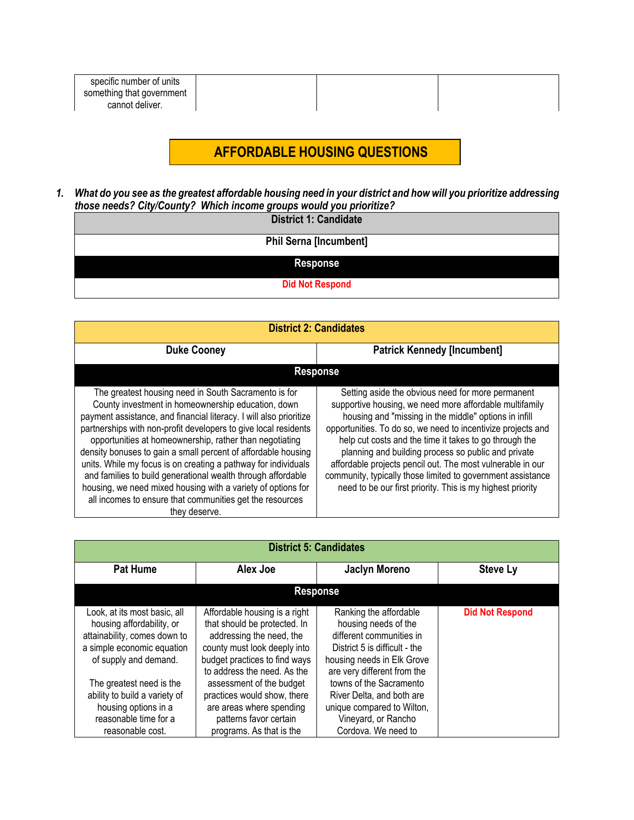| specific number of units  |  |  |
|---------------------------|--|--|
| something that government |  |  |
| cannot deliver.           |  |  |

# **AFFORDABLE HOUSING QUESTIONS**

*1. What do you see as the greatest affordable housing need in your district and how will you prioritize addressing those needs? City/County? Which income groups would you prioritize?*

|  |  | <b>District 1: Candidate</b> |
|--|--|------------------------------|
|--|--|------------------------------|

| <b>Phil Serna [Incumbent]</b> |
|-------------------------------|
|-------------------------------|

#### **Response**

**Did Not Respond**

| <b>District 2: Candidates</b>                                                                                                                                                                                                                                                                                                                                                                                                                                                                                                                                                                                                                                  |                                                                                                                                                                                                                                                                                                                                                                                                                                                                                                                                                   |  |  |
|----------------------------------------------------------------------------------------------------------------------------------------------------------------------------------------------------------------------------------------------------------------------------------------------------------------------------------------------------------------------------------------------------------------------------------------------------------------------------------------------------------------------------------------------------------------------------------------------------------------------------------------------------------------|---------------------------------------------------------------------------------------------------------------------------------------------------------------------------------------------------------------------------------------------------------------------------------------------------------------------------------------------------------------------------------------------------------------------------------------------------------------------------------------------------------------------------------------------------|--|--|
| <b>Duke Cooney</b>                                                                                                                                                                                                                                                                                                                                                                                                                                                                                                                                                                                                                                             | <b>Patrick Kennedy [Incumbent]</b>                                                                                                                                                                                                                                                                                                                                                                                                                                                                                                                |  |  |
|                                                                                                                                                                                                                                                                                                                                                                                                                                                                                                                                                                                                                                                                | <b>Response</b>                                                                                                                                                                                                                                                                                                                                                                                                                                                                                                                                   |  |  |
| The greatest housing need in South Sacramento is for<br>County investment in homeownership education, down<br>payment assistance, and financial literacy. I will also prioritize<br>partnerships with non-profit developers to give local residents<br>opportunities at homeownership, rather than negotiating<br>density bonuses to gain a small percent of affordable housing<br>units. While my focus is on creating a pathway for individuals<br>and families to build generational wealth through affordable<br>housing, we need mixed housing with a variety of options for<br>all incomes to ensure that communities get the resources<br>they deserve. | Setting aside the obvious need for more permanent<br>supportive housing, we need more affordable multifamily<br>housing and "missing in the middle" options in infill<br>opportunities. To do so, we need to incentivize projects and<br>help cut costs and the time it takes to go through the<br>planning and building process so public and private<br>affordable projects pencil out. The most vulnerable in our<br>community, typically those limited to government assistance<br>need to be our first priority. This is my highest priority |  |  |

| <b>District 5: Candidates</b>                                                                                                                                                                                                                                                      |                                                                                                                                                                                                                                                                                                                                        |                                                                                                                                                                                                                                                                                                              |                        |
|------------------------------------------------------------------------------------------------------------------------------------------------------------------------------------------------------------------------------------------------------------------------------------|----------------------------------------------------------------------------------------------------------------------------------------------------------------------------------------------------------------------------------------------------------------------------------------------------------------------------------------|--------------------------------------------------------------------------------------------------------------------------------------------------------------------------------------------------------------------------------------------------------------------------------------------------------------|------------------------|
| <b>Pat Hume</b>                                                                                                                                                                                                                                                                    | Alex Joe                                                                                                                                                                                                                                                                                                                               | <b>Jaclyn Moreno</b>                                                                                                                                                                                                                                                                                         | <b>Steve Ly</b>        |
| <b>Response</b>                                                                                                                                                                                                                                                                    |                                                                                                                                                                                                                                                                                                                                        |                                                                                                                                                                                                                                                                                                              |                        |
| Look, at its most basic, all<br>housing affordability, or<br>attainability, comes down to<br>a simple economic equation<br>of supply and demand.<br>The greatest need is the<br>ability to build a variety of<br>housing options in a<br>reasonable time for a<br>reasonable cost. | Affordable housing is a right<br>that should be protected. In<br>addressing the need, the<br>county must look deeply into<br>budget practices to find ways<br>to address the need. As the<br>assessment of the budget<br>practices would show, there<br>are areas where spending<br>patterns favor certain<br>programs. As that is the | Ranking the affordable<br>housing needs of the<br>different communities in<br>District 5 is difficult - the<br>housing needs in Elk Grove<br>are very different from the<br>towns of the Sacramento<br>River Delta, and both are<br>unique compared to Wilton,<br>Vineyard, or Rancho<br>Cordova. We need to | <b>Did Not Respond</b> |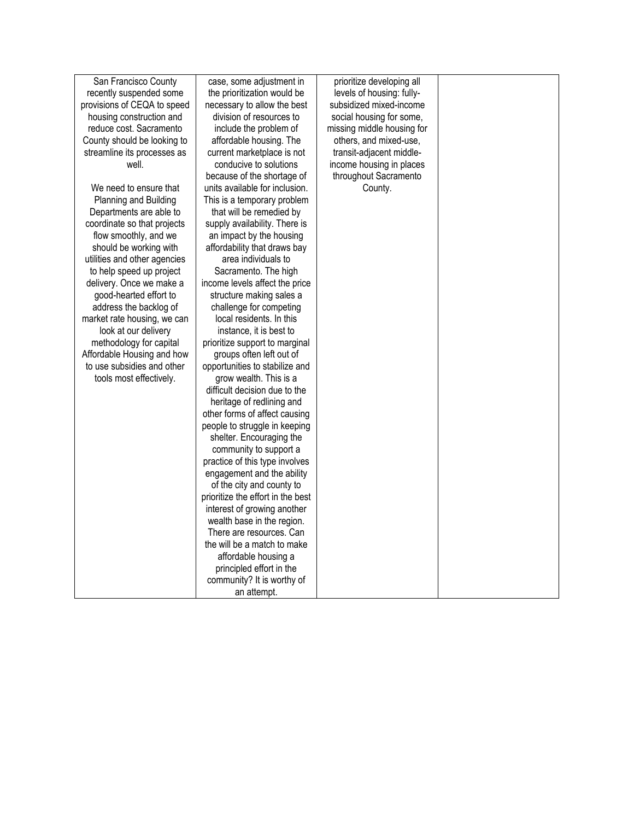| San Francisco County         | case, some adjustment in          | prioritize developing all  |  |
|------------------------------|-----------------------------------|----------------------------|--|
| recently suspended some      | the prioritization would be       | levels of housing: fully-  |  |
| provisions of CEQA to speed  | necessary to allow the best       | subsidized mixed-income    |  |
| housing construction and     | division of resources to          | social housing for some,   |  |
| reduce cost. Sacramento      | include the problem of            | missing middle housing for |  |
| County should be looking to  | affordable housing. The           | others, and mixed-use,     |  |
| streamline its processes as  | current marketplace is not        | transit-adjacent middle-   |  |
| well.                        | conducive to solutions            | income housing in places   |  |
|                              | because of the shortage of        | throughout Sacramento      |  |
| We need to ensure that       | units available for inclusion.    | County.                    |  |
| Planning and Building        | This is a temporary problem       |                            |  |
| Departments are able to      | that will be remedied by          |                            |  |
| coordinate so that projects  | supply availability. There is     |                            |  |
| flow smoothly, and we        | an impact by the housing          |                            |  |
| should be working with       | affordability that draws bay      |                            |  |
| utilities and other agencies | area individuals to               |                            |  |
| to help speed up project     | Sacramento. The high              |                            |  |
| delivery. Once we make a     | income levels affect the price    |                            |  |
| good-hearted effort to       | structure making sales a          |                            |  |
| address the backlog of       | challenge for competing           |                            |  |
| market rate housing, we can  | local residents. In this          |                            |  |
| look at our delivery         | instance, it is best to           |                            |  |
| methodology for capital      | prioritize support to marginal    |                            |  |
| Affordable Housing and how   | groups often left out of          |                            |  |
| to use subsidies and other   | opportunities to stabilize and    |                            |  |
| tools most effectively.      | grow wealth. This is a            |                            |  |
|                              | difficult decision due to the     |                            |  |
|                              | heritage of redlining and         |                            |  |
|                              | other forms of affect causing     |                            |  |
|                              | people to struggle in keeping     |                            |  |
|                              | shelter. Encouraging the          |                            |  |
|                              | community to support a            |                            |  |
|                              | practice of this type involves    |                            |  |
|                              | engagement and the ability        |                            |  |
|                              | of the city and county to         |                            |  |
|                              | prioritize the effort in the best |                            |  |
|                              | interest of growing another       |                            |  |
|                              | wealth base in the region.        |                            |  |
|                              | There are resources. Can          |                            |  |
|                              | the will be a match to make       |                            |  |
|                              | affordable housing a              |                            |  |
|                              | principled effort in the          |                            |  |
|                              | community? It is worthy of        |                            |  |
|                              | an attempt.                       |                            |  |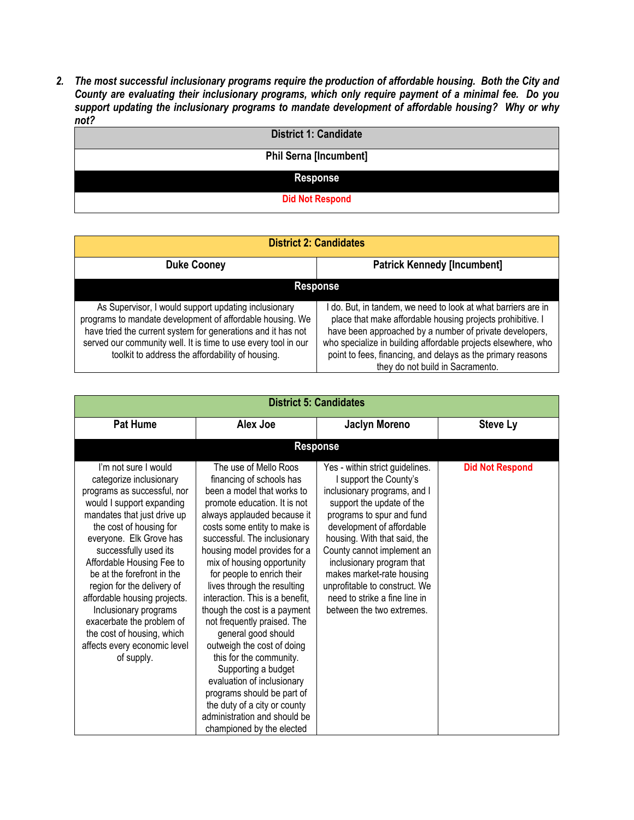*2. The most successful inclusionary programs require the production of affordable housing. Both the City and County are evaluating their inclusionary programs, which only require payment of a minimal fee. Do you support updating the inclusionary programs to mandate development of affordable housing? Why or why not?*

| <b>District 1: Candidate</b>  |
|-------------------------------|
| <b>Phil Serna [Incumbent]</b> |
| <b>Response</b>               |
| <b>Did Not Respond</b>        |

| <b>District 2: Candidates</b>                                                                                                                                                                                                                                                                           |                                                                                                                                                                                                                                                                                                                                                          |  |
|---------------------------------------------------------------------------------------------------------------------------------------------------------------------------------------------------------------------------------------------------------------------------------------------------------|----------------------------------------------------------------------------------------------------------------------------------------------------------------------------------------------------------------------------------------------------------------------------------------------------------------------------------------------------------|--|
| <b>Duke Cooney</b>                                                                                                                                                                                                                                                                                      | <b>Patrick Kennedy [Incumbent]</b>                                                                                                                                                                                                                                                                                                                       |  |
| <b>Response</b>                                                                                                                                                                                                                                                                                         |                                                                                                                                                                                                                                                                                                                                                          |  |
| As Supervisor, I would support updating inclusionary<br>programs to mandate development of affordable housing. We<br>have tried the current system for generations and it has not<br>served our community well. It is time to use every tool in our<br>toolkit to address the affordability of housing. | do. But, in tandem, we need to look at what barriers are in<br>place that make affordable housing projects prohibitive. I<br>have been approached by a number of private developers,<br>who specialize in building affordable projects elsewhere, who<br>point to fees, financing, and delays as the primary reasons<br>they do not build in Sacramento. |  |

| <b>District 5: Candidates</b>                                                                                                                                                                                                                                                                                                                                                                                                                                                        |                                                                                                                                                                                                                                                                                                                                                                                                                                                                                                                                                                                                                                                                                                             |                                                                                                                                                                                                                                                                                                                                                                                                         |                        |
|--------------------------------------------------------------------------------------------------------------------------------------------------------------------------------------------------------------------------------------------------------------------------------------------------------------------------------------------------------------------------------------------------------------------------------------------------------------------------------------|-------------------------------------------------------------------------------------------------------------------------------------------------------------------------------------------------------------------------------------------------------------------------------------------------------------------------------------------------------------------------------------------------------------------------------------------------------------------------------------------------------------------------------------------------------------------------------------------------------------------------------------------------------------------------------------------------------------|---------------------------------------------------------------------------------------------------------------------------------------------------------------------------------------------------------------------------------------------------------------------------------------------------------------------------------------------------------------------------------------------------------|------------------------|
| <b>Pat Hume</b>                                                                                                                                                                                                                                                                                                                                                                                                                                                                      | Alex Joe                                                                                                                                                                                                                                                                                                                                                                                                                                                                                                                                                                                                                                                                                                    | <b>Jaclyn Moreno</b>                                                                                                                                                                                                                                                                                                                                                                                    | <b>Steve Ly</b>        |
|                                                                                                                                                                                                                                                                                                                                                                                                                                                                                      |                                                                                                                                                                                                                                                                                                                                                                                                                                                                                                                                                                                                                                                                                                             | <b>Response</b>                                                                                                                                                                                                                                                                                                                                                                                         |                        |
| I'm not sure I would<br>categorize inclusionary<br>programs as successful, nor<br>would I support expanding<br>mandates that just drive up<br>the cost of housing for<br>everyone. Elk Grove has<br>successfully used its<br>Affordable Housing Fee to<br>be at the forefront in the<br>region for the delivery of<br>affordable housing projects.<br>Inclusionary programs<br>exacerbate the problem of<br>the cost of housing, which<br>affects every economic level<br>of supply. | The use of Mello Roos<br>financing of schools has<br>been a model that works to<br>promote education. It is not<br>always applauded because it<br>costs some entity to make is<br>successful. The inclusionary<br>housing model provides for a<br>mix of housing opportunity<br>for people to enrich their<br>lives through the resulting<br>interaction. This is a benefit,<br>though the cost is a payment<br>not frequently praised. The<br>general good should<br>outweigh the cost of doing<br>this for the community.<br>Supporting a budget<br>evaluation of inclusionary<br>programs should be part of<br>the duty of a city or county<br>administration and should be<br>championed by the elected | Yes - within strict guidelines.<br>I support the County's<br>inclusionary programs, and I<br>support the update of the<br>programs to spur and fund<br>development of affordable<br>housing. With that said, the<br>County cannot implement an<br>inclusionary program that<br>makes market-rate housing<br>unprofitable to construct. We<br>need to strike a fine line in<br>between the two extremes. | <b>Did Not Respond</b> |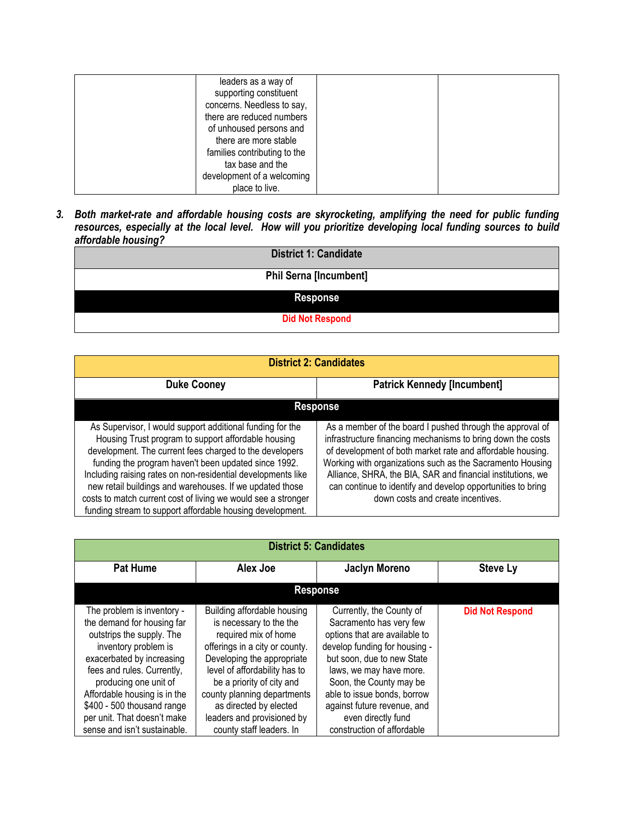| leaders as a way of<br>supporting constituent<br>concerns. Needless to say,<br>there are reduced numbers<br>of unhoused persons and<br>there are more stable<br>families contributing to the<br>tax base and the |  |
|------------------------------------------------------------------------------------------------------------------------------------------------------------------------------------------------------------------|--|
| development of a welcoming<br>place to live.                                                                                                                                                                     |  |

*3. Both market-rate and affordable housing costs are skyrocketing, amplifying the need for public funding resources, especially at the local level. How will you prioritize developing local funding sources to build affordable housing?*

| <b>District 1: Candidate</b>  |  |  |
|-------------------------------|--|--|
| <b>Phil Serna [Incumbent]</b> |  |  |
| <b>Response</b>               |  |  |
| <b>Did Not Respond</b>        |  |  |

| <b>District 2: Candidates</b>                                                                                                                                                                                                                                                                                                                                                                                                                                                                 |                                                                                                                                                                                                                                                                                                                                                                                                                        |  |  |
|-----------------------------------------------------------------------------------------------------------------------------------------------------------------------------------------------------------------------------------------------------------------------------------------------------------------------------------------------------------------------------------------------------------------------------------------------------------------------------------------------|------------------------------------------------------------------------------------------------------------------------------------------------------------------------------------------------------------------------------------------------------------------------------------------------------------------------------------------------------------------------------------------------------------------------|--|--|
| <b>Patrick Kennedy [Incumbent]</b><br><b>Duke Cooney</b>                                                                                                                                                                                                                                                                                                                                                                                                                                      |                                                                                                                                                                                                                                                                                                                                                                                                                        |  |  |
| <b>Response</b>                                                                                                                                                                                                                                                                                                                                                                                                                                                                               |                                                                                                                                                                                                                                                                                                                                                                                                                        |  |  |
| As Supervisor, I would support additional funding for the<br>Housing Trust program to support affordable housing<br>development. The current fees charged to the developers<br>funding the program haven't been updated since 1992.<br>Including raising rates on non-residential developments like<br>new retail buildings and warehouses. If we updated those<br>costs to match current cost of living we would see a stronger<br>funding stream to support affordable housing development. | As a member of the board I pushed through the approval of<br>infrastructure financing mechanisms to bring down the costs<br>of development of both market rate and affordable housing.<br>Working with organizations such as the Sacramento Housing<br>Alliance, SHRA, the BIA, SAR and financial institutions, we<br>can continue to identify and develop opportunities to bring<br>down costs and create incentives. |  |  |

| <b>District 5: Candidates</b>                                                                                                                                                                                                                                                                                                  |                                                                                                                                                                                                                                                                                                                                 |                                                                                                                                                                                                                                                                                                                             |                        |  |
|--------------------------------------------------------------------------------------------------------------------------------------------------------------------------------------------------------------------------------------------------------------------------------------------------------------------------------|---------------------------------------------------------------------------------------------------------------------------------------------------------------------------------------------------------------------------------------------------------------------------------------------------------------------------------|-----------------------------------------------------------------------------------------------------------------------------------------------------------------------------------------------------------------------------------------------------------------------------------------------------------------------------|------------------------|--|
| <b>Pat Hume</b>                                                                                                                                                                                                                                                                                                                | Alex Joe                                                                                                                                                                                                                                                                                                                        | <b>Jaclyn Moreno</b>                                                                                                                                                                                                                                                                                                        | <b>Steve Ly</b>        |  |
| <b>Response</b>                                                                                                                                                                                                                                                                                                                |                                                                                                                                                                                                                                                                                                                                 |                                                                                                                                                                                                                                                                                                                             |                        |  |
| The problem is inventory -<br>the demand for housing far<br>outstrips the supply. The<br>inventory problem is<br>exacerbated by increasing<br>fees and rules. Currently,<br>producing one unit of<br>Affordable housing is in the<br>\$400 - 500 thousand range<br>per unit. That doesn't make<br>sense and isn't sustainable. | Building affordable housing<br>is necessary to the the<br>required mix of home<br>offerings in a city or county.<br>Developing the appropriate<br>level of affordability has to<br>be a priority of city and<br>county planning departments<br>as directed by elected<br>leaders and provisioned by<br>county staff leaders. In | Currently, the County of<br>Sacramento has very few<br>options that are available to<br>develop funding for housing -<br>but soon, due to new State<br>laws, we may have more.<br>Soon, the County may be<br>able to issue bonds, borrow<br>against future revenue, and<br>even directly fund<br>construction of affordable | <b>Did Not Respond</b> |  |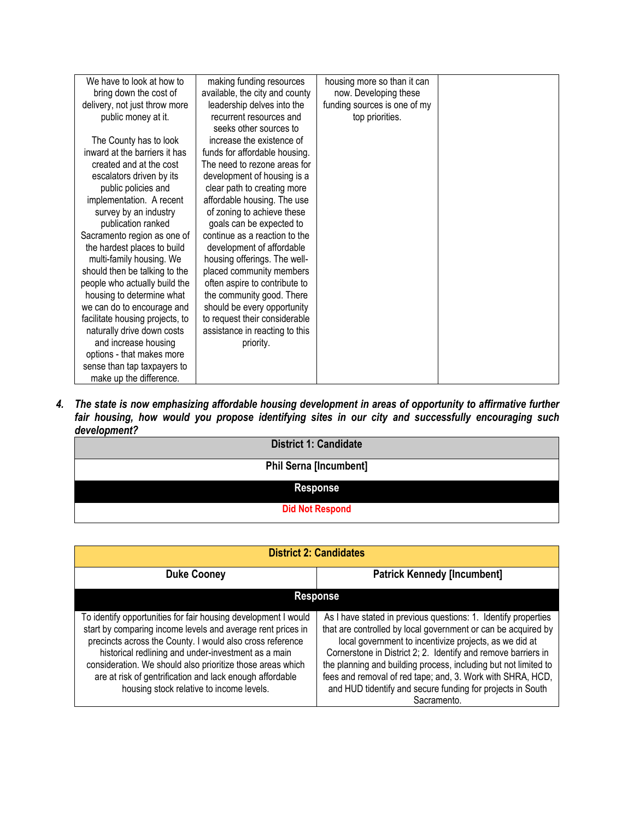| We have to look at how to       | making funding resources       | housing more so than it can  |  |
|---------------------------------|--------------------------------|------------------------------|--|
| bring down the cost of          | available, the city and county | now. Developing these        |  |
| delivery, not just throw more   | leadership delves into the     | funding sources is one of my |  |
| public money at it.             | recurrent resources and        | top priorities.              |  |
|                                 | seeks other sources to         |                              |  |
| The County has to look          | increase the existence of      |                              |  |
| inward at the barriers it has   | funds for affordable housing.  |                              |  |
| created and at the cost         | The need to rezone areas for   |                              |  |
| escalators driven by its        | development of housing is a    |                              |  |
| public policies and             | clear path to creating more    |                              |  |
| implementation. A recent        | affordable housing. The use    |                              |  |
| survey by an industry           | of zoning to achieve these     |                              |  |
| publication ranked              | goals can be expected to       |                              |  |
| Sacramento region as one of     | continue as a reaction to the  |                              |  |
| the hardest places to build     | development of affordable      |                              |  |
| multi-family housing. We        | housing offerings. The well-   |                              |  |
| should then be talking to the   | placed community members       |                              |  |
| people who actually build the   | often aspire to contribute to  |                              |  |
| housing to determine what       | the community good. There      |                              |  |
| we can do to encourage and      | should be every opportunity    |                              |  |
| facilitate housing projects, to | to request their considerable  |                              |  |
| naturally drive down costs      | assistance in reacting to this |                              |  |
| and increase housing            | priority.                      |                              |  |
| options - that makes more       |                                |                              |  |
| sense than tap taxpayers to     |                                |                              |  |
| make up the difference.         |                                |                              |  |

*4. The state is now emphasizing affordable housing development in areas of opportunity to affirmative further fair housing, how would you propose identifying sites in our city and successfully encouraging such development?*

| <b>District 1: Candidate</b>  |  |  |
|-------------------------------|--|--|
| <b>Phil Serna [Incumbent]</b> |  |  |
| <b>Response</b>               |  |  |
| <b>Did Not Respond</b>        |  |  |

| <b>District 2: Candidates</b>                                                                                                                                                                                                                                                                                                                                                                                           |                                                                                                                                                                                                                                                                                                                                                                                                                                                                          |  |  |
|-------------------------------------------------------------------------------------------------------------------------------------------------------------------------------------------------------------------------------------------------------------------------------------------------------------------------------------------------------------------------------------------------------------------------|--------------------------------------------------------------------------------------------------------------------------------------------------------------------------------------------------------------------------------------------------------------------------------------------------------------------------------------------------------------------------------------------------------------------------------------------------------------------------|--|--|
| <b>Duke Cooney</b>                                                                                                                                                                                                                                                                                                                                                                                                      | <b>Patrick Kennedy [Incumbent]</b>                                                                                                                                                                                                                                                                                                                                                                                                                                       |  |  |
| <b>Response</b>                                                                                                                                                                                                                                                                                                                                                                                                         |                                                                                                                                                                                                                                                                                                                                                                                                                                                                          |  |  |
| To identify opportunities for fair housing development I would<br>start by comparing income levels and average rent prices in<br>precincts across the County. I would also cross reference<br>historical redlining and under-investment as a main<br>consideration. We should also prioritize those areas which<br>are at risk of gentrification and lack enough affordable<br>housing stock relative to income levels. | As I have stated in previous questions: 1. Identify properties<br>that are controlled by local government or can be acquired by<br>local government to incentivize projects, as we did at<br>Cornerstone in District 2; 2. Identify and remove barriers in<br>the planning and building process, including but not limited to<br>fees and removal of red tape; and, 3. Work with SHRA, HCD,<br>and HUD tidentify and secure funding for projects in South<br>Sacramento. |  |  |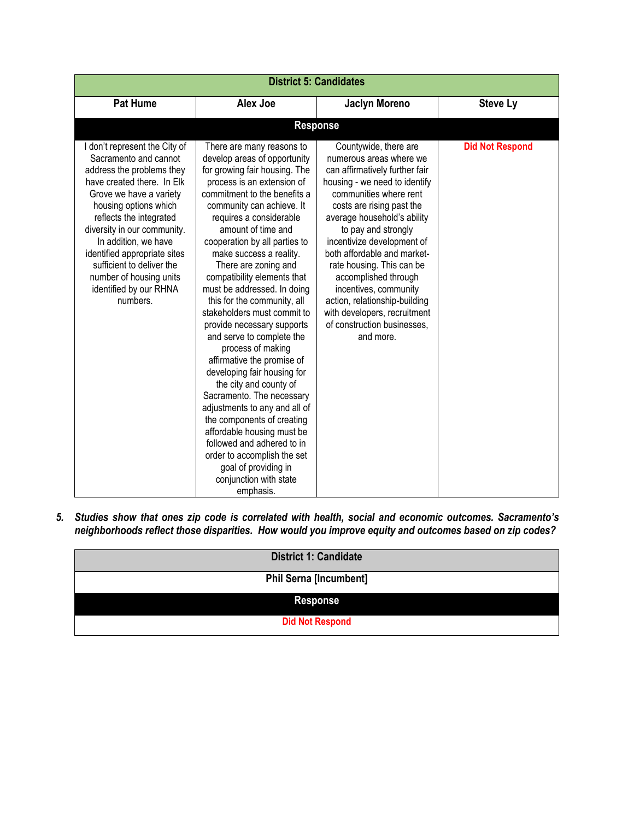| <b>District 5: Candidates</b>                                                                                                                                                                                                                                                                                                                                                         |                                                                                                                                                                                                                                                                                                                                                                                                                                                                                                                                                                                                                                                                                                                                                                                                                                                                                     |                                                                                                                                                                                                                                                                                                                                                                                                                                                                                          |                        |
|---------------------------------------------------------------------------------------------------------------------------------------------------------------------------------------------------------------------------------------------------------------------------------------------------------------------------------------------------------------------------------------|-------------------------------------------------------------------------------------------------------------------------------------------------------------------------------------------------------------------------------------------------------------------------------------------------------------------------------------------------------------------------------------------------------------------------------------------------------------------------------------------------------------------------------------------------------------------------------------------------------------------------------------------------------------------------------------------------------------------------------------------------------------------------------------------------------------------------------------------------------------------------------------|------------------------------------------------------------------------------------------------------------------------------------------------------------------------------------------------------------------------------------------------------------------------------------------------------------------------------------------------------------------------------------------------------------------------------------------------------------------------------------------|------------------------|
| <b>Pat Hume</b>                                                                                                                                                                                                                                                                                                                                                                       | <b>Alex Joe</b>                                                                                                                                                                                                                                                                                                                                                                                                                                                                                                                                                                                                                                                                                                                                                                                                                                                                     | <b>Jaclyn Moreno</b>                                                                                                                                                                                                                                                                                                                                                                                                                                                                     | <b>Steve Ly</b>        |
|                                                                                                                                                                                                                                                                                                                                                                                       |                                                                                                                                                                                                                                                                                                                                                                                                                                                                                                                                                                                                                                                                                                                                                                                                                                                                                     | <b>Response</b>                                                                                                                                                                                                                                                                                                                                                                                                                                                                          |                        |
| I don't represent the City of<br>Sacramento and cannot<br>address the problems they<br>have created there. In Elk<br>Grove we have a variety<br>housing options which<br>reflects the integrated<br>diversity in our community.<br>In addition, we have<br>identified appropriate sites<br>sufficient to deliver the<br>number of housing units<br>identified by our RHNA<br>numbers. | There are many reasons to<br>develop areas of opportunity<br>for growing fair housing. The<br>process is an extension of<br>commitment to the benefits a<br>community can achieve. It<br>requires a considerable<br>amount of time and<br>cooperation by all parties to<br>make success a reality.<br>There are zoning and<br>compatibility elements that<br>must be addressed. In doing<br>this for the community, all<br>stakeholders must commit to<br>provide necessary supports<br>and serve to complete the<br>process of making<br>affirmative the promise of<br>developing fair housing for<br>the city and county of<br>Sacramento. The necessary<br>adjustments to any and all of<br>the components of creating<br>affordable housing must be<br>followed and adhered to in<br>order to accomplish the set<br>goal of providing in<br>conjunction with state<br>emphasis. | Countywide, there are<br>numerous areas where we<br>can affirmatively further fair<br>housing - we need to identify<br>communities where rent<br>costs are rising past the<br>average household's ability<br>to pay and strongly<br>incentivize development of<br>both affordable and market-<br>rate housing. This can be<br>accomplished through<br>incentives, community<br>action, relationship-building<br>with developers, recruitment<br>of construction businesses,<br>and more. | <b>Did Not Respond</b> |

*5. Studies show that ones zip code is correlated with health, social and economic outcomes. Sacramento's neighborhoods reflect those disparities. How would you improve equity and outcomes based on zip codes?*

| <b>District 1: Candidate</b>  |
|-------------------------------|
| <b>Phil Serna [Incumbent]</b> |
| <b>Response</b>               |
| <b>Did Not Respond</b>        |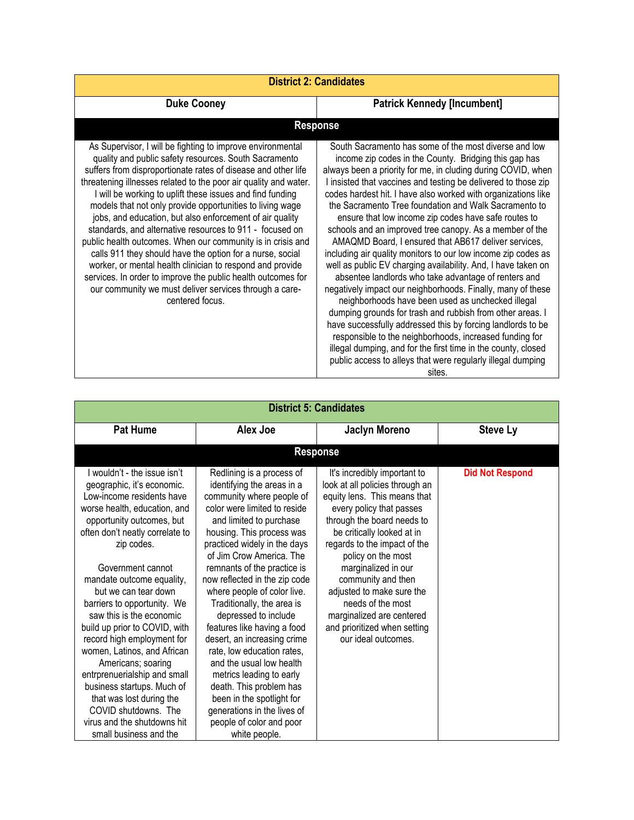| <b>District 2: Candidates</b>                                                                                                                                                                                                                                                                                                                                                                                                                                                                                                                                                                                                                                                                                                                                                                                                                    |                                                                                                                                                                                                                                                                                                                                                                                                                                                                                                                                                                                                                                                                                                                                                                                                                                                                                                                                                                                                                                                                                                                                                                                                      |  |  |
|--------------------------------------------------------------------------------------------------------------------------------------------------------------------------------------------------------------------------------------------------------------------------------------------------------------------------------------------------------------------------------------------------------------------------------------------------------------------------------------------------------------------------------------------------------------------------------------------------------------------------------------------------------------------------------------------------------------------------------------------------------------------------------------------------------------------------------------------------|------------------------------------------------------------------------------------------------------------------------------------------------------------------------------------------------------------------------------------------------------------------------------------------------------------------------------------------------------------------------------------------------------------------------------------------------------------------------------------------------------------------------------------------------------------------------------------------------------------------------------------------------------------------------------------------------------------------------------------------------------------------------------------------------------------------------------------------------------------------------------------------------------------------------------------------------------------------------------------------------------------------------------------------------------------------------------------------------------------------------------------------------------------------------------------------------------|--|--|
| <b>Duke Cooney</b>                                                                                                                                                                                                                                                                                                                                                                                                                                                                                                                                                                                                                                                                                                                                                                                                                               | <b>Patrick Kennedy [Incumbent]</b>                                                                                                                                                                                                                                                                                                                                                                                                                                                                                                                                                                                                                                                                                                                                                                                                                                                                                                                                                                                                                                                                                                                                                                   |  |  |
|                                                                                                                                                                                                                                                                                                                                                                                                                                                                                                                                                                                                                                                                                                                                                                                                                                                  | <b>Response</b>                                                                                                                                                                                                                                                                                                                                                                                                                                                                                                                                                                                                                                                                                                                                                                                                                                                                                                                                                                                                                                                                                                                                                                                      |  |  |
| As Supervisor, I will be fighting to improve environmental<br>quality and public safety resources. South Sacramento<br>suffers from disproportionate rates of disease and other life<br>threatening illnesses related to the poor air quality and water.<br>I will be working to uplift these issues and find funding<br>models that not only provide opportunities to living wage<br>jobs, and education, but also enforcement of air quality<br>standards, and alternative resources to 911 - focused on<br>public health outcomes. When our community is in crisis and<br>calls 911 they should have the option for a nurse, social<br>worker, or mental health clinician to respond and provide<br>services. In order to improve the public health outcomes for<br>our community we must deliver services through a care-<br>centered focus. | South Sacramento has some of the most diverse and low<br>income zip codes in the County. Bridging this gap has<br>always been a priority for me, in cluding during COVID, when<br>I insisted that vaccines and testing be delivered to those zip<br>codes hardest hit. I have also worked with organizations like<br>the Sacramento Tree foundation and Walk Sacramento to<br>ensure that low income zip codes have safe routes to<br>schools and an improved tree canopy. As a member of the<br>AMAQMD Board, I ensured that AB617 deliver services,<br>including air quality monitors to our low income zip codes as<br>well as public EV charging availability. And, I have taken on<br>absentee landlords who take advantage of renters and<br>negatively impact our neighborhoods. Finally, many of these<br>neighborhoods have been used as unchecked illegal<br>dumping grounds for trash and rubbish from other areas. I<br>have successfully addressed this by forcing landlords to be<br>responsible to the neighborhoods, increased funding for<br>illegal dumping, and for the first time in the county, closed<br>public access to alleys that were regularly illegal dumping<br>sites. |  |  |

| <b>District 5: Candidates</b>                                                                                                                                                                                                                                                                                                                                                                                                                                                                                                                                                                                                             |                                                                                                                                                                                                                                                                                                                                                                                                                                                                                                                                                                                                                                                                                       |                                                                                                                                                                                                                                                                                                                                                                                                                                  |                        |
|-------------------------------------------------------------------------------------------------------------------------------------------------------------------------------------------------------------------------------------------------------------------------------------------------------------------------------------------------------------------------------------------------------------------------------------------------------------------------------------------------------------------------------------------------------------------------------------------------------------------------------------------|---------------------------------------------------------------------------------------------------------------------------------------------------------------------------------------------------------------------------------------------------------------------------------------------------------------------------------------------------------------------------------------------------------------------------------------------------------------------------------------------------------------------------------------------------------------------------------------------------------------------------------------------------------------------------------------|----------------------------------------------------------------------------------------------------------------------------------------------------------------------------------------------------------------------------------------------------------------------------------------------------------------------------------------------------------------------------------------------------------------------------------|------------------------|
| <b>Pat Hume</b>                                                                                                                                                                                                                                                                                                                                                                                                                                                                                                                                                                                                                           | Alex Joe                                                                                                                                                                                                                                                                                                                                                                                                                                                                                                                                                                                                                                                                              | Jaclyn Moreno                                                                                                                                                                                                                                                                                                                                                                                                                    | <b>Steve Ly</b>        |
|                                                                                                                                                                                                                                                                                                                                                                                                                                                                                                                                                                                                                                           |                                                                                                                                                                                                                                                                                                                                                                                                                                                                                                                                                                                                                                                                                       | <b>Response</b>                                                                                                                                                                                                                                                                                                                                                                                                                  |                        |
| I wouldn't - the issue isn't<br>geographic, it's economic.<br>Low-income residents have<br>worse health, education, and<br>opportunity outcomes, but<br>often don't neatly correlate to<br>zip codes.<br>Government cannot<br>mandate outcome equality,<br>but we can tear down<br>barriers to opportunity. We<br>saw this is the economic<br>build up prior to COVID, with<br>record high employment for<br>women, Latinos, and African<br>Americans; soaring<br>entrprenuerialship and small<br>business startups. Much of<br>that was lost during the<br>COVID shutdowns. The<br>virus and the shutdowns hit<br>small business and the | Redlining is a process of<br>identifying the areas in a<br>community where people of<br>color were limited to reside<br>and limited to purchase<br>housing. This process was<br>practiced widely in the days<br>of Jim Crow America. The<br>remnants of the practice is<br>now reflected in the zip code<br>where people of color live.<br>Traditionally, the area is<br>depressed to include<br>features like having a food<br>desert, an increasing crime<br>rate, low education rates,<br>and the usual low health<br>metrics leading to early<br>death. This problem has<br>been in the spotlight for<br>generations in the lives of<br>people of color and poor<br>white people. | It's incredibly important to<br>look at all policies through an<br>equity lens. This means that<br>every policy that passes<br>through the board needs to<br>be critically looked at in<br>regards to the impact of the<br>policy on the most<br>marginalized in our<br>community and then<br>adjusted to make sure the<br>needs of the most<br>marginalized are centered<br>and prioritized when setting<br>our ideal outcomes. | <b>Did Not Respond</b> |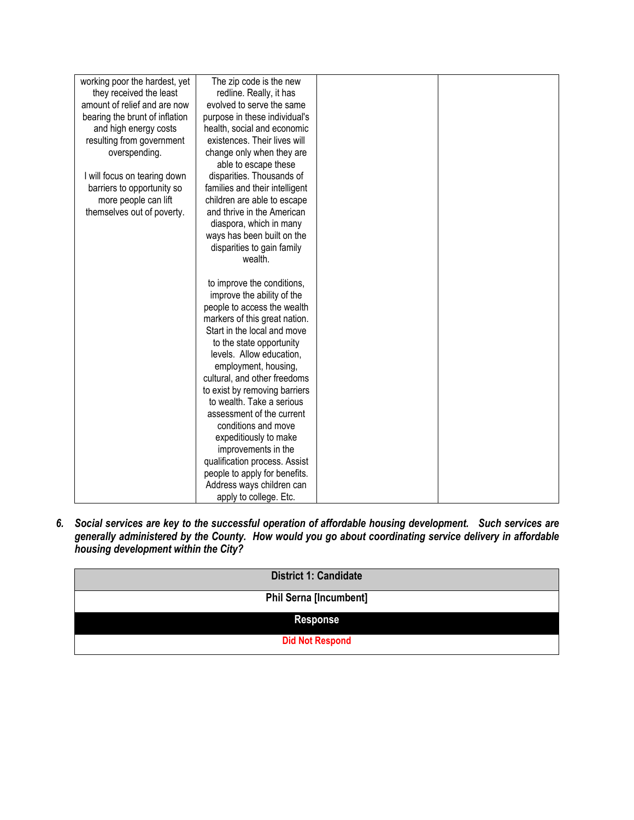| working poor the hardest, yet  | The zip code is the new        |  |
|--------------------------------|--------------------------------|--|
| they received the least        | redline. Really, it has        |  |
| amount of relief and are now   | evolved to serve the same      |  |
| bearing the brunt of inflation | purpose in these individual's  |  |
| and high energy costs          | health, social and economic    |  |
| resulting from government      | existences. Their lives will   |  |
| overspending.                  | change only when they are      |  |
|                                | able to escape these           |  |
| I will focus on tearing down   | disparities. Thousands of      |  |
| barriers to opportunity so     | families and their intelligent |  |
| more people can lift           | children are able to escape    |  |
| themselves out of poverty.     | and thrive in the American     |  |
|                                | diaspora, which in many        |  |
|                                | ways has been built on the     |  |
|                                | disparities to gain family     |  |
|                                | wealth.                        |  |
|                                |                                |  |
|                                | to improve the conditions,     |  |
|                                | improve the ability of the     |  |
|                                | people to access the wealth    |  |
|                                | markers of this great nation.  |  |
|                                | Start in the local and move    |  |
|                                | to the state opportunity       |  |
|                                | levels. Allow education,       |  |
|                                | employment, housing,           |  |
|                                | cultural, and other freedoms   |  |
|                                | to exist by removing barriers  |  |
|                                | to wealth. Take a serious      |  |
|                                | assessment of the current      |  |
|                                | conditions and move            |  |
|                                | expeditiously to make          |  |
|                                | improvements in the            |  |
|                                | qualification process. Assist  |  |
|                                | people to apply for benefits.  |  |
|                                | Address ways children can      |  |
|                                | apply to college. Etc.         |  |

*6. Social services are key to the successful operation of affordable housing development. Such services are generally administered by the County. How would you go about coordinating service delivery in affordable housing development within the City?* 

| <b>District 1: Candidate</b>  |
|-------------------------------|
| <b>Phil Serna [Incumbent]</b> |
| <b>Response</b>               |
| <b>Did Not Respond</b>        |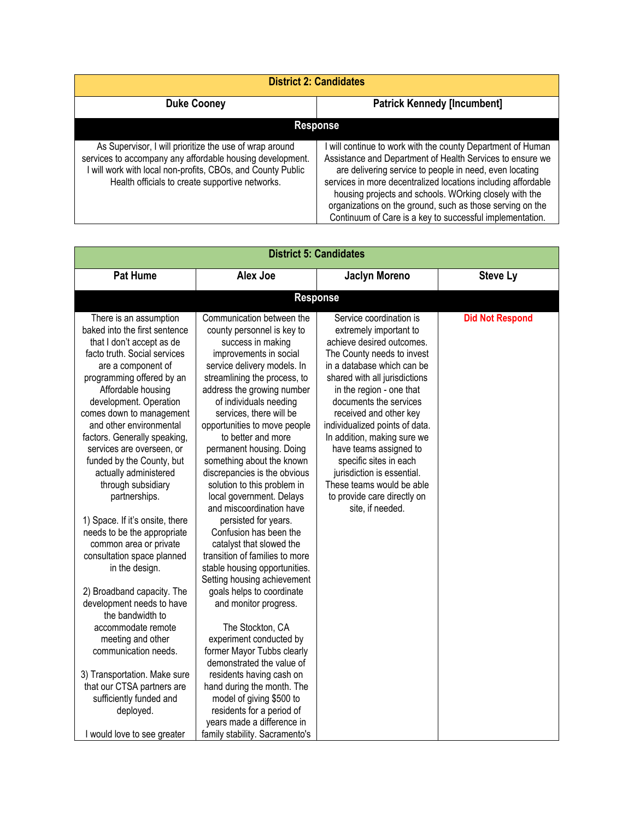| <b>Duke Cooney</b><br><b>Patrick Kennedy [Incumbent]</b>                                                                                                                                                                               |                                                                                                                                                                                                                                                                                                                                                                                                                                       |  |
|----------------------------------------------------------------------------------------------------------------------------------------------------------------------------------------------------------------------------------------|---------------------------------------------------------------------------------------------------------------------------------------------------------------------------------------------------------------------------------------------------------------------------------------------------------------------------------------------------------------------------------------------------------------------------------------|--|
| <b>Response</b>                                                                                                                                                                                                                        |                                                                                                                                                                                                                                                                                                                                                                                                                                       |  |
| As Supervisor, I will prioritize the use of wrap around<br>services to accompany any affordable housing development.<br>I will work with local non-profits, CBOs, and County Public<br>Health officials to create supportive networks. | will continue to work with the county Department of Human<br>Assistance and Department of Health Services to ensure we<br>are delivering service to people in need, even locating<br>services in more decentralized locations including affordable<br>housing projects and schools. WOrking closely with the<br>organizations on the ground, such as those serving on the<br>Continuum of Care is a key to successful implementation. |  |

| <b>District 5: Candidates</b>                                                                                                                                                                                                                                                                                                                                                                                                                                                                                                                                                                                                                                                                                                                                                                                                                                               |                                                                                                                                                                                                                                                                                                                                                                                                                                                                                                                                                                                                                                                                                                                                                                                                                                                                                                                                                                                                                                   |                                                                                                                                                                                                                                                                                                                                                                                                                                                                                                |                        |
|-----------------------------------------------------------------------------------------------------------------------------------------------------------------------------------------------------------------------------------------------------------------------------------------------------------------------------------------------------------------------------------------------------------------------------------------------------------------------------------------------------------------------------------------------------------------------------------------------------------------------------------------------------------------------------------------------------------------------------------------------------------------------------------------------------------------------------------------------------------------------------|-----------------------------------------------------------------------------------------------------------------------------------------------------------------------------------------------------------------------------------------------------------------------------------------------------------------------------------------------------------------------------------------------------------------------------------------------------------------------------------------------------------------------------------------------------------------------------------------------------------------------------------------------------------------------------------------------------------------------------------------------------------------------------------------------------------------------------------------------------------------------------------------------------------------------------------------------------------------------------------------------------------------------------------|------------------------------------------------------------------------------------------------------------------------------------------------------------------------------------------------------------------------------------------------------------------------------------------------------------------------------------------------------------------------------------------------------------------------------------------------------------------------------------------------|------------------------|
| <b>Pat Hume</b>                                                                                                                                                                                                                                                                                                                                                                                                                                                                                                                                                                                                                                                                                                                                                                                                                                                             | <b>Alex Joe</b>                                                                                                                                                                                                                                                                                                                                                                                                                                                                                                                                                                                                                                                                                                                                                                                                                                                                                                                                                                                                                   | <b>Jaclyn Moreno</b>                                                                                                                                                                                                                                                                                                                                                                                                                                                                           | <b>Steve Ly</b>        |
|                                                                                                                                                                                                                                                                                                                                                                                                                                                                                                                                                                                                                                                                                                                                                                                                                                                                             |                                                                                                                                                                                                                                                                                                                                                                                                                                                                                                                                                                                                                                                                                                                                                                                                                                                                                                                                                                                                                                   | <b>Response</b>                                                                                                                                                                                                                                                                                                                                                                                                                                                                                |                        |
| There is an assumption<br>baked into the first sentence<br>that I don't accept as de<br>facto truth. Social services<br>are a component of<br>programming offered by an<br>Affordable housing<br>development. Operation<br>comes down to management<br>and other environmental<br>factors. Generally speaking,<br>services are overseen, or<br>funded by the County, but<br>actually administered<br>through subsidiary<br>partnerships.<br>1) Space. If it's onsite, there<br>needs to be the appropriate<br>common area or private<br>consultation space planned<br>in the design.<br>2) Broadband capacity. The<br>development needs to have<br>the bandwidth to<br>accommodate remote<br>meeting and other<br>communication needs.<br>3) Transportation. Make sure<br>that our CTSA partners are<br>sufficiently funded and<br>deployed.<br>I would love to see greater | Communication between the<br>county personnel is key to<br>success in making<br>improvements in social<br>service delivery models. In<br>streamlining the process, to<br>address the growing number<br>of individuals needing<br>services, there will be<br>opportunities to move people<br>to better and more<br>permanent housing. Doing<br>something about the known<br>discrepancies is the obvious<br>solution to this problem in<br>local government. Delays<br>and miscoordination have<br>persisted for years.<br>Confusion has been the<br>catalyst that slowed the<br>transition of families to more<br>stable housing opportunities.<br>Setting housing achievement<br>goals helps to coordinate<br>and monitor progress.<br>The Stockton, CA<br>experiment conducted by<br>former Mayor Tubbs clearly<br>demonstrated the value of<br>residents having cash on<br>hand during the month. The<br>model of giving \$500 to<br>residents for a period of<br>years made a difference in<br>family stability. Sacramento's | Service coordination is<br>extremely important to<br>achieve desired outcomes.<br>The County needs to invest<br>in a database which can be<br>shared with all jurisdictions<br>in the region - one that<br>documents the services<br>received and other key<br>individualized points of data.<br>In addition, making sure we<br>have teams assigned to<br>specific sites in each<br>jurisdiction is essential.<br>These teams would be able<br>to provide care directly on<br>site, if needed. | <b>Did Not Respond</b> |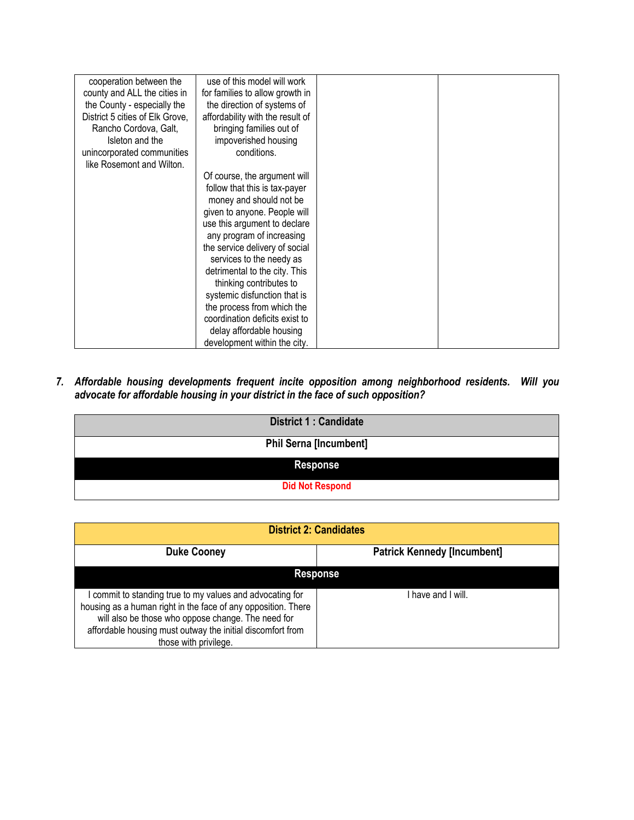| cooperation between the         | use of this model will work      |  |
|---------------------------------|----------------------------------|--|
| county and ALL the cities in    | for families to allow growth in  |  |
| the County - especially the     | the direction of systems of      |  |
| District 5 cities of Elk Grove, | affordability with the result of |  |
| Rancho Cordova, Galt,           | bringing families out of         |  |
| Isleton and the                 | impoverished housing             |  |
| unincorporated communities      | conditions.                      |  |
| like Rosemont and Wilton.       |                                  |  |
|                                 | Of course, the argument will     |  |
|                                 | follow that this is tax-payer    |  |
|                                 | money and should not be          |  |
|                                 | given to anyone. People will     |  |
|                                 | use this argument to declare     |  |
|                                 | any program of increasing        |  |
|                                 | the service delivery of social   |  |
|                                 | services to the needy as         |  |
|                                 | detrimental to the city. This    |  |
|                                 | thinking contributes to          |  |
|                                 | systemic disfunction that is     |  |
|                                 | the process from which the       |  |
|                                 | coordination deficits exist to   |  |
|                                 | delay affordable housing         |  |
|                                 | development within the city.     |  |

*7. Affordable housing developments frequent incite opposition among neighborhood residents. Will you advocate for affordable housing in your district in the face of such opposition?* 

| <b>District 1: Candidate</b>  |
|-------------------------------|
| <b>Phil Serna [Incumbent]</b> |
| <b>Response</b>               |
| <b>Did Not Respond</b>        |

| <b>District 2: Candidates</b>                                                                                                                                                                                                                                           |                                    |  |  |
|-------------------------------------------------------------------------------------------------------------------------------------------------------------------------------------------------------------------------------------------------------------------------|------------------------------------|--|--|
| <b>Duke Cooney</b>                                                                                                                                                                                                                                                      | <b>Patrick Kennedy [Incumbent]</b> |  |  |
| <b>Response</b>                                                                                                                                                                                                                                                         |                                    |  |  |
| I commit to standing true to my values and advocating for<br>housing as a human right in the face of any opposition. There<br>will also be those who oppose change. The need for<br>affordable housing must outway the initial discomfort from<br>those with privilege. | I have and I will.                 |  |  |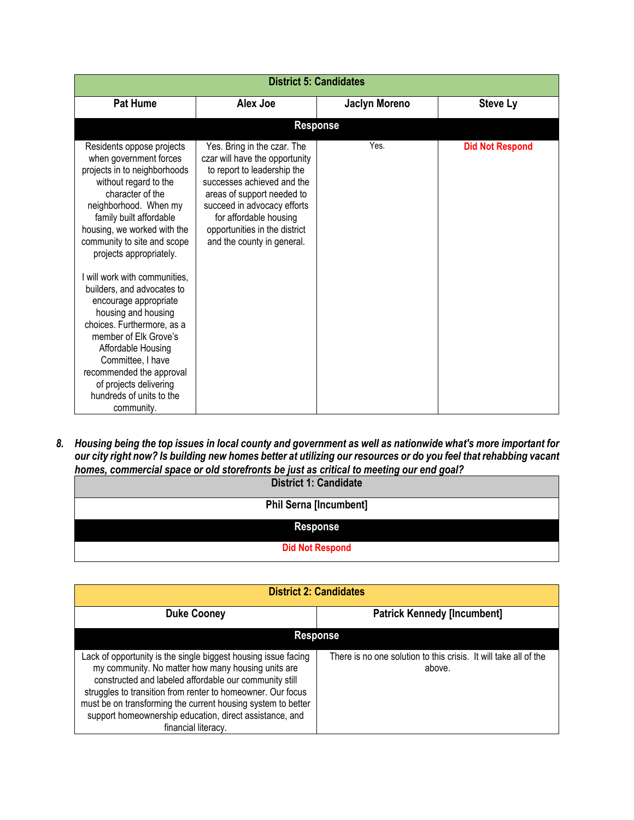| <b>District 5: Candidates</b>                                                                                                                                                                                                                                                                                                                                                                                                                                                                                                                                                                  |                                                                                                                                                                                                                                                                                  |                      |                        |
|------------------------------------------------------------------------------------------------------------------------------------------------------------------------------------------------------------------------------------------------------------------------------------------------------------------------------------------------------------------------------------------------------------------------------------------------------------------------------------------------------------------------------------------------------------------------------------------------|----------------------------------------------------------------------------------------------------------------------------------------------------------------------------------------------------------------------------------------------------------------------------------|----------------------|------------------------|
| <b>Pat Hume</b>                                                                                                                                                                                                                                                                                                                                                                                                                                                                                                                                                                                | Alex Joe                                                                                                                                                                                                                                                                         | <b>Jaclyn Moreno</b> | <b>Steve Ly</b>        |
|                                                                                                                                                                                                                                                                                                                                                                                                                                                                                                                                                                                                | <b>Response</b>                                                                                                                                                                                                                                                                  |                      |                        |
| Residents oppose projects<br>when government forces<br>projects in to neighborhoods<br>without regard to the<br>character of the<br>neighborhood. When my<br>family built affordable<br>housing, we worked with the<br>community to site and scope<br>projects appropriately.<br>I will work with communities.<br>builders, and advocates to<br>encourage appropriate<br>housing and housing<br>choices. Furthermore, as a<br>member of Elk Grove's<br>Affordable Housing<br>Committee, I have<br>recommended the approval<br>of projects delivering<br>hundreds of units to the<br>community. | Yes. Bring in the czar. The<br>czar will have the opportunity<br>to report to leadership the<br>successes achieved and the<br>areas of support needed to<br>succeed in advocacy efforts<br>for affordable housing<br>opportunities in the district<br>and the county in general. | Yes.                 | <b>Did Not Respond</b> |

*8. Housing being the top issues in local county and government as well as nationwide what's more important for our city right now? Is building new homes better at utilizing our resources or do you feel that rehabbing vacant homes, commercial space or old storefronts be just as critical to meeting our end goal?*

| <b>District 1: Candidate</b>  |
|-------------------------------|
| <b>Phil Serna [Incumbent]</b> |
| <b>Response</b>               |
| <b>Did Not Respond</b>        |

| <b>District 2: Candidates</b>                                                                                                                                                                                                                                                                                                                                                                   |                                                                            |  |  |
|-------------------------------------------------------------------------------------------------------------------------------------------------------------------------------------------------------------------------------------------------------------------------------------------------------------------------------------------------------------------------------------------------|----------------------------------------------------------------------------|--|--|
| <b>Duke Cooney</b>                                                                                                                                                                                                                                                                                                                                                                              | <b>Patrick Kennedy [Incumbent]</b>                                         |  |  |
|                                                                                                                                                                                                                                                                                                                                                                                                 | <b>Response</b>                                                            |  |  |
| Lack of opportunity is the single biggest housing issue facing<br>my community. No matter how many housing units are<br>constructed and labeled affordable our community still<br>struggles to transition from renter to homeowner. Our focus<br>must be on transforming the current housing system to better<br>support homeownership education, direct assistance, and<br>financial literacy. | There is no one solution to this crisis. It will take all of the<br>above. |  |  |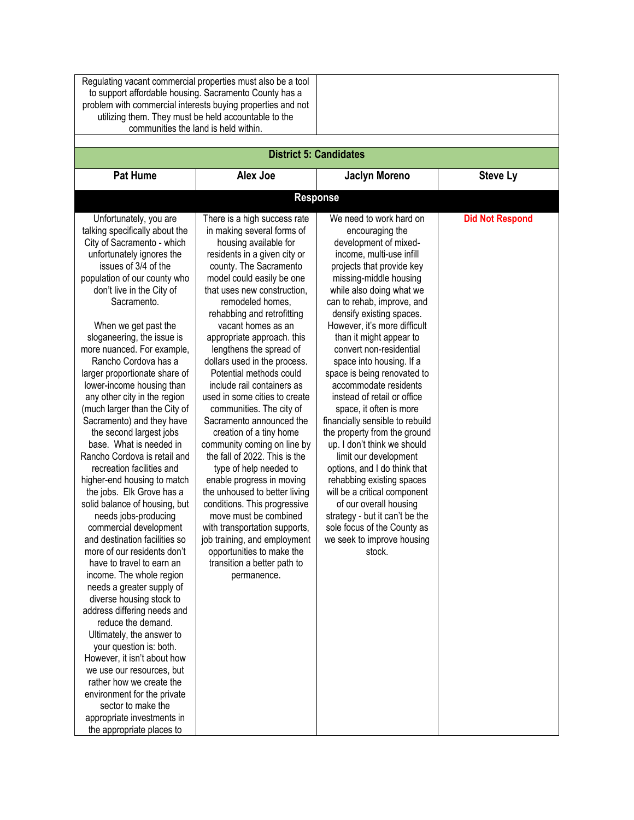|                                                                                                                                                                                                                                                                                                                                                                                                                                                                                                                                                                                                                                                                                                                                                                                                                                                                                                                                                                                                                                                                                                                                                                                                                                                                          | Regulating vacant commercial properties must also be a tool<br>to support affordable housing. Sacramento County has a<br>problem with commercial interests buying properties and not<br>utilizing them. They must be held accountable to the<br>communities the land is held within.                                                                                                                                                                                                                                                                                                                                                                                                                                                                                                                                                                                                                                 |                                                                                                                                                                                                                                                                                                                                                                                                                                                                                                                                                                                                                                                                                                                                                                                                                                             |                        |
|--------------------------------------------------------------------------------------------------------------------------------------------------------------------------------------------------------------------------------------------------------------------------------------------------------------------------------------------------------------------------------------------------------------------------------------------------------------------------------------------------------------------------------------------------------------------------------------------------------------------------------------------------------------------------------------------------------------------------------------------------------------------------------------------------------------------------------------------------------------------------------------------------------------------------------------------------------------------------------------------------------------------------------------------------------------------------------------------------------------------------------------------------------------------------------------------------------------------------------------------------------------------------|----------------------------------------------------------------------------------------------------------------------------------------------------------------------------------------------------------------------------------------------------------------------------------------------------------------------------------------------------------------------------------------------------------------------------------------------------------------------------------------------------------------------------------------------------------------------------------------------------------------------------------------------------------------------------------------------------------------------------------------------------------------------------------------------------------------------------------------------------------------------------------------------------------------------|---------------------------------------------------------------------------------------------------------------------------------------------------------------------------------------------------------------------------------------------------------------------------------------------------------------------------------------------------------------------------------------------------------------------------------------------------------------------------------------------------------------------------------------------------------------------------------------------------------------------------------------------------------------------------------------------------------------------------------------------------------------------------------------------------------------------------------------------|------------------------|
|                                                                                                                                                                                                                                                                                                                                                                                                                                                                                                                                                                                                                                                                                                                                                                                                                                                                                                                                                                                                                                                                                                                                                                                                                                                                          | <b>District 5: Candidates</b>                                                                                                                                                                                                                                                                                                                                                                                                                                                                                                                                                                                                                                                                                                                                                                                                                                                                                        |                                                                                                                                                                                                                                                                                                                                                                                                                                                                                                                                                                                                                                                                                                                                                                                                                                             |                        |
| <b>Pat Hume</b>                                                                                                                                                                                                                                                                                                                                                                                                                                                                                                                                                                                                                                                                                                                                                                                                                                                                                                                                                                                                                                                                                                                                                                                                                                                          | Alex Joe                                                                                                                                                                                                                                                                                                                                                                                                                                                                                                                                                                                                                                                                                                                                                                                                                                                                                                             | <b>Jaclyn Moreno</b>                                                                                                                                                                                                                                                                                                                                                                                                                                                                                                                                                                                                                                                                                                                                                                                                                        | <b>Steve Ly</b>        |
|                                                                                                                                                                                                                                                                                                                                                                                                                                                                                                                                                                                                                                                                                                                                                                                                                                                                                                                                                                                                                                                                                                                                                                                                                                                                          |                                                                                                                                                                                                                                                                                                                                                                                                                                                                                                                                                                                                                                                                                                                                                                                                                                                                                                                      | <b>Response</b>                                                                                                                                                                                                                                                                                                                                                                                                                                                                                                                                                                                                                                                                                                                                                                                                                             |                        |
| Unfortunately, you are<br>talking specifically about the<br>City of Sacramento - which<br>unfortunately ignores the<br>issues of 3/4 of the<br>population of our county who<br>don't live in the City of<br>Sacramento.<br>When we get past the<br>sloganeering, the issue is<br>more nuanced. For example,<br>Rancho Cordova has a<br>larger proportionate share of<br>lower-income housing than<br>any other city in the region<br>(much larger than the City of<br>Sacramento) and they have<br>the second largest jobs<br>base. What is needed in<br>Rancho Cordova is retail and<br>recreation facilities and<br>higher-end housing to match<br>the jobs. Elk Grove has a<br>solid balance of housing, but<br>needs jobs-producing<br>commercial development<br>and destination facilities so<br>more of our residents don't<br>have to travel to earn an<br>income. The whole region<br>needs a greater supply of<br>diverse housing stock to<br>address differing needs and<br>reduce the demand.<br>Ultimately, the answer to<br>your question is: both.<br>However, it isn't about how<br>we use our resources, but<br>rather how we create the<br>environment for the private<br>sector to make the<br>appropriate investments in<br>the appropriate places to | There is a high success rate<br>in making several forms of<br>housing available for<br>residents in a given city or<br>county. The Sacramento<br>model could easily be one<br>that uses new construction,<br>remodeled homes,<br>rehabbing and retrofitting<br>vacant homes as an<br>appropriate approach. this<br>lengthens the spread of<br>dollars used in the process.<br>Potential methods could<br>include rail containers as<br>used in some cities to create<br>communities. The city of<br>Sacramento announced the<br>creation of a tiny home<br>community coming on line by<br>the fall of 2022. This is the<br>type of help needed to<br>enable progress in moving<br>the unhoused to better living<br>conditions. This progressive<br>move must be combined<br>with transportation supports,<br>job training, and employment<br>opportunities to make the<br>transition a better path to<br>permanence. | We need to work hard on<br>encouraging the<br>development of mixed-<br>income, multi-use infill<br>projects that provide key<br>missing-middle housing<br>while also doing what we<br>can to rehab, improve, and<br>densify existing spaces.<br>However, it's more difficult<br>than it might appear to<br>convert non-residential<br>space into housing. If a<br>space is being renovated to<br>accommodate residents<br>instead of retail or office<br>space, it often is more<br>financially sensible to rebuild<br>the property from the ground<br>up. I don't think we should<br>limit our development<br>options, and I do think that<br>rehabbing existing spaces<br>will be a critical component<br>of our overall housing<br>strategy - but it can't be the<br>sole focus of the County as<br>we seek to improve housing<br>stock. | <b>Did Not Respond</b> |